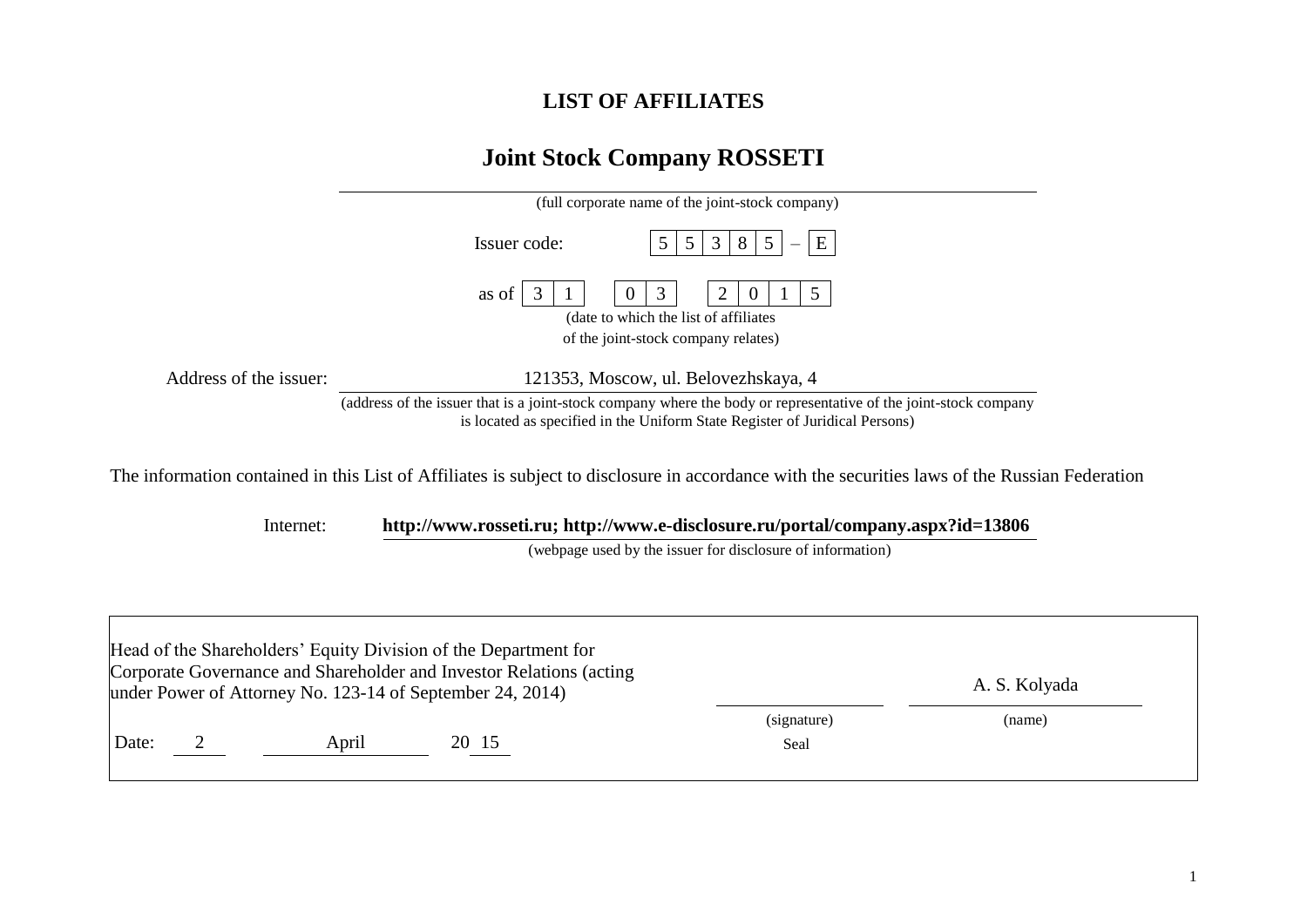## **LIST OF AFFILIATES**

## **Joint Stock Company ROSSETI**

|                        | (full corporate name of the joint-stock company)                                                                                                                                                |  |  |  |  |  |  |
|------------------------|-------------------------------------------------------------------------------------------------------------------------------------------------------------------------------------------------|--|--|--|--|--|--|
|                        | E<br>3<br>Issuer code:<br>8                                                                                                                                                                     |  |  |  |  |  |  |
|                        | 5<br>as of<br>(date to which the list of affiliates)<br>of the joint-stock company relates)                                                                                                     |  |  |  |  |  |  |
| Address of the issuer: | 121353, Moscow, ul. Belovezhskaya, 4                                                                                                                                                            |  |  |  |  |  |  |
|                        | (address of the issuer that is a joint-stock company where the body or representative of the joint-stock company<br>is located as specified in the Uniform State Register of Juridical Persons) |  |  |  |  |  |  |

The information contained in this List of Affiliates is subject to disclosure in accordance with the securities laws of the Russian Federation

Internet: **[http://www.rosseti.ru;](http://www.rosseti.ru/)<http://www.e-disclosure.ru/portal/company.aspx?id=13806>**

(webpage used by the issuer for disclosure of information)

|       |       | Head of the Shareholders' Equity Division of the Department for<br>Corporate Governance and Shareholder and Investor Relations (acting<br>under Power of Attorney No. 123-14 of September 24, 2014) |                     | A. S. Kolyada |  |
|-------|-------|-----------------------------------------------------------------------------------------------------------------------------------------------------------------------------------------------------|---------------------|---------------|--|
| Date: | April | 20 15                                                                                                                                                                                               | (signature)<br>Seal | (name)        |  |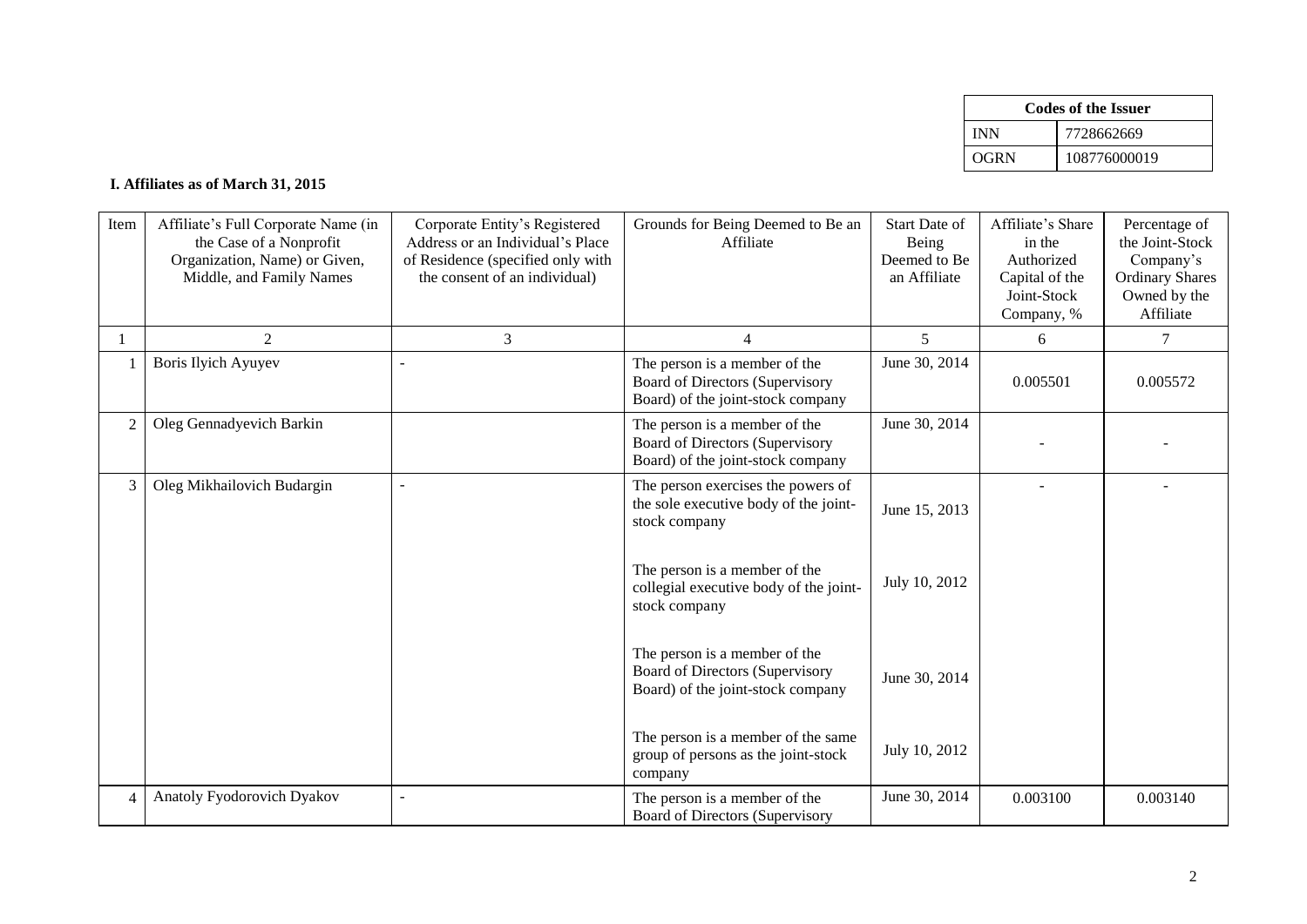|      | Codes of the Issuer |
|------|---------------------|
| INN  | 7728662669          |
| OGRN | 108776000019        |

## **I. Affiliates as of March 31, 2015**

| Item           | Affiliate's Full Corporate Name (in<br>the Case of a Nonprofit<br>Organization, Name) or Given,<br>Middle, and Family Names | Corporate Entity's Registered<br>Address or an Individual's Place<br>of Residence (specified only with<br>the consent of an individual) | Grounds for Being Deemed to Be an<br>Affiliate                                                        | Start Date of<br>Being<br>Deemed to Be<br>an Affiliate | Affiliate's Share<br>in the<br>Authorized<br>Capital of the<br>Joint-Stock<br>Company, % | Percentage of<br>the Joint-Stock<br>Company's<br><b>Ordinary Shares</b><br>Owned by the<br>Affiliate |
|----------------|-----------------------------------------------------------------------------------------------------------------------------|-----------------------------------------------------------------------------------------------------------------------------------------|-------------------------------------------------------------------------------------------------------|--------------------------------------------------------|------------------------------------------------------------------------------------------|------------------------------------------------------------------------------------------------------|
|                | $\overline{2}$                                                                                                              | 3                                                                                                                                       | 4                                                                                                     | 5                                                      | 6                                                                                        | $\tau$                                                                                               |
|                | <b>Boris Ilyich Ayuyev</b>                                                                                                  | L,                                                                                                                                      | The person is a member of the<br>Board of Directors (Supervisory<br>Board) of the joint-stock company | June 30, 2014                                          | 0.005501                                                                                 | 0.005572                                                                                             |
| $\overline{c}$ | Oleg Gennadyevich Barkin                                                                                                    |                                                                                                                                         | The person is a member of the<br>Board of Directors (Supervisory<br>Board) of the joint-stock company | June 30, 2014                                          |                                                                                          |                                                                                                      |
| 3              | Oleg Mikhailovich Budargin                                                                                                  |                                                                                                                                         | The person exercises the powers of<br>the sole executive body of the joint-<br>stock company          | June 15, 2013                                          |                                                                                          |                                                                                                      |
|                |                                                                                                                             |                                                                                                                                         | The person is a member of the<br>collegial executive body of the joint-<br>stock company              | July 10, 2012                                          |                                                                                          |                                                                                                      |
|                |                                                                                                                             |                                                                                                                                         | The person is a member of the<br>Board of Directors (Supervisory<br>Board) of the joint-stock company | June 30, 2014                                          |                                                                                          |                                                                                                      |
|                |                                                                                                                             |                                                                                                                                         | The person is a member of the same<br>group of persons as the joint-stock<br>company                  | July 10, 2012                                          |                                                                                          |                                                                                                      |
| 4              | Anatoly Fyodorovich Dyakov                                                                                                  |                                                                                                                                         | The person is a member of the<br>Board of Directors (Supervisory                                      | June 30, 2014                                          | 0.003100                                                                                 | 0.003140                                                                                             |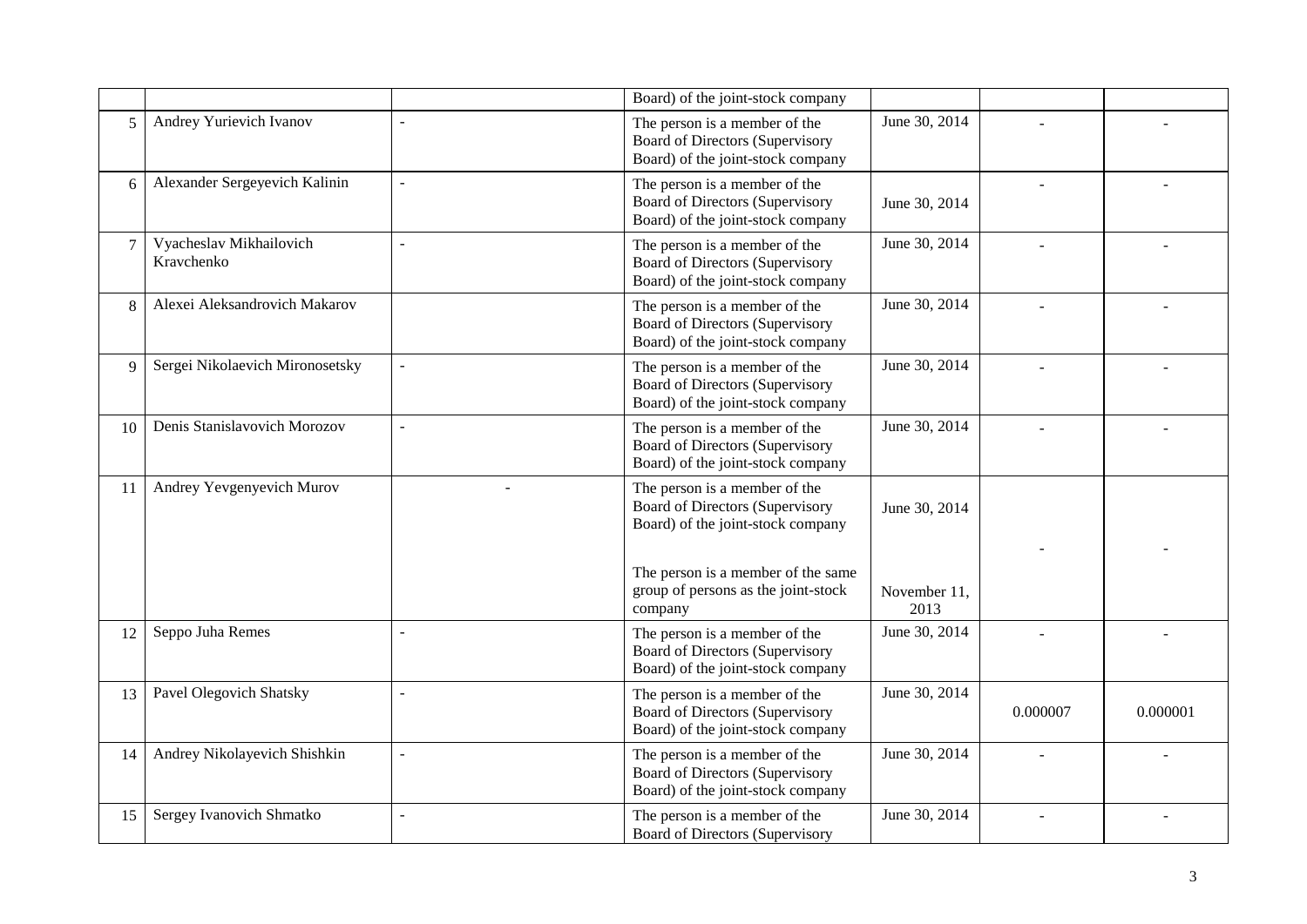|                |                                       |                | Board) of the joint-stock company                                                                     |                      |          |          |
|----------------|---------------------------------------|----------------|-------------------------------------------------------------------------------------------------------|----------------------|----------|----------|
| 5              | Andrey Yurievich Ivanov               |                | The person is a member of the<br>Board of Directors (Supervisory<br>Board) of the joint-stock company | June 30, 2014        |          |          |
| 6              | Alexander Sergeyevich Kalinin         | $\overline{a}$ | The person is a member of the<br>Board of Directors (Supervisory<br>Board) of the joint-stock company | June 30, 2014        |          |          |
| $\overline{7}$ | Vyacheslav Mikhailovich<br>Kravchenko | $\sim$         | The person is a member of the<br>Board of Directors (Supervisory<br>Board) of the joint-stock company | June 30, 2014        |          |          |
| 8              | Alexei Aleksandrovich Makarov         |                | The person is a member of the<br>Board of Directors (Supervisory<br>Board) of the joint-stock company | June 30, 2014        |          |          |
| 9              | Sergei Nikolaevich Mironosetsky       |                | The person is a member of the<br>Board of Directors (Supervisory<br>Board) of the joint-stock company | June 30, 2014        |          |          |
| 10             | Denis Stanislavovich Morozov          | $\sim$         | The person is a member of the<br>Board of Directors (Supervisory<br>Board) of the joint-stock company | June 30, 2014        |          |          |
| 11             | Andrey Yevgenyevich Murov             |                | The person is a member of the<br>Board of Directors (Supervisory<br>Board) of the joint-stock company | June 30, 2014        |          |          |
|                |                                       |                | The person is a member of the same<br>group of persons as the joint-stock<br>company                  | November 11,<br>2013 |          |          |
| 12             | Seppo Juha Remes                      | L,             | The person is a member of the<br>Board of Directors (Supervisory<br>Board) of the joint-stock company | June 30, 2014        |          |          |
| 13             | Pavel Olegovich Shatsky               | L,             | The person is a member of the<br>Board of Directors (Supervisory<br>Board) of the joint-stock company | June 30, 2014        | 0.000007 | 0.000001 |
| 14             | Andrey Nikolayevich Shishkin          | $\overline{a}$ | The person is a member of the<br>Board of Directors (Supervisory<br>Board) of the joint-stock company | June 30, 2014        |          |          |
| 15             | Sergey Ivanovich Shmatko              | L,             | The person is a member of the<br><b>Board of Directors (Supervisory</b>                               | June 30, 2014        |          |          |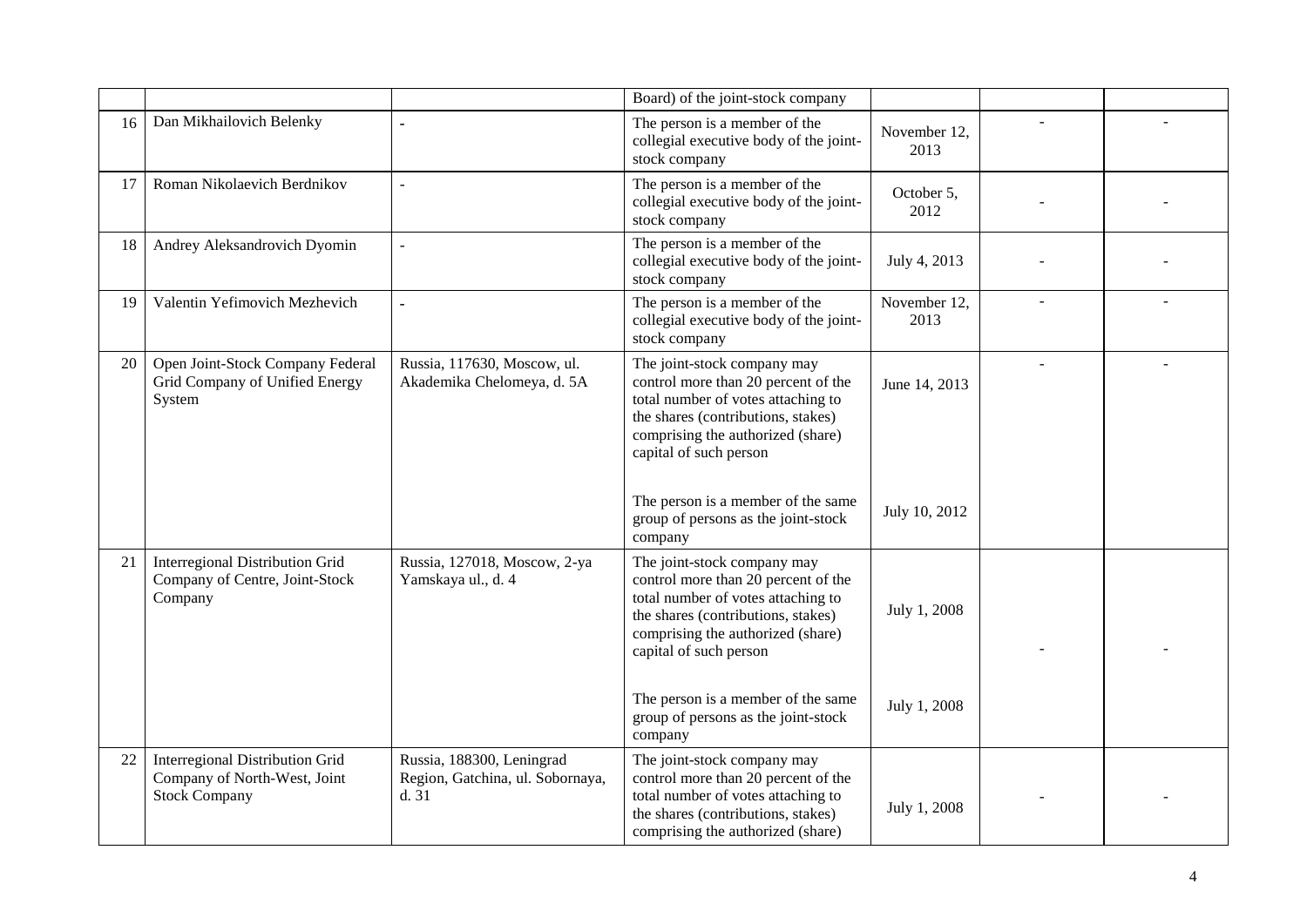|    |                                                                                         |                                                                       | Board) of the joint-stock company                                                                                                                                                                             |                      |                |  |
|----|-----------------------------------------------------------------------------------------|-----------------------------------------------------------------------|---------------------------------------------------------------------------------------------------------------------------------------------------------------------------------------------------------------|----------------------|----------------|--|
| 16 | Dan Mikhailovich Belenky                                                                |                                                                       | The person is a member of the<br>collegial executive body of the joint-<br>stock company                                                                                                                      | November 12,<br>2013 |                |  |
| 17 | Roman Nikolaevich Berdnikov                                                             |                                                                       | The person is a member of the<br>collegial executive body of the joint-<br>stock company                                                                                                                      | October 5,<br>2012   |                |  |
| 18 | Andrey Aleksandrovich Dyomin                                                            | $\overline{a}$                                                        | The person is a member of the<br>collegial executive body of the joint-<br>stock company                                                                                                                      | July 4, 2013         |                |  |
| 19 | Valentin Yefimovich Mezhevich                                                           | $\overline{a}$                                                        | The person is a member of the<br>collegial executive body of the joint-<br>stock company                                                                                                                      | November 12,<br>2013 |                |  |
| 20 | Open Joint-Stock Company Federal<br>Grid Company of Unified Energy<br>System            | Russia, 117630, Moscow, ul.<br>Akademika Chelomeya, d. 5A             | The joint-stock company may<br>control more than 20 percent of the<br>total number of votes attaching to<br>the shares (contributions, stakes)<br>comprising the authorized (share)<br>capital of such person | June 14, 2013        | $\overline{a}$ |  |
|    |                                                                                         |                                                                       | The person is a member of the same<br>group of persons as the joint-stock<br>company                                                                                                                          | July 10, 2012        |                |  |
| 21 | Interregional Distribution Grid<br>Company of Centre, Joint-Stock<br>Company            | Russia, 127018, Moscow, 2-ya<br>Yamskaya ul., d. 4                    | The joint-stock company may<br>control more than 20 percent of the<br>total number of votes attaching to<br>the shares (contributions, stakes)<br>comprising the authorized (share)<br>capital of such person | July 1, 2008         |                |  |
|    |                                                                                         |                                                                       | The person is a member of the same<br>group of persons as the joint-stock<br>company                                                                                                                          | July 1, 2008         |                |  |
| 22 | Interregional Distribution Grid<br>Company of North-West, Joint<br><b>Stock Company</b> | Russia, 188300, Leningrad<br>Region, Gatchina, ul. Sobornaya,<br>d.31 | The joint-stock company may<br>control more than 20 percent of the<br>total number of votes attaching to<br>the shares (contributions, stakes)<br>comprising the authorized (share)                           | July 1, 2008         |                |  |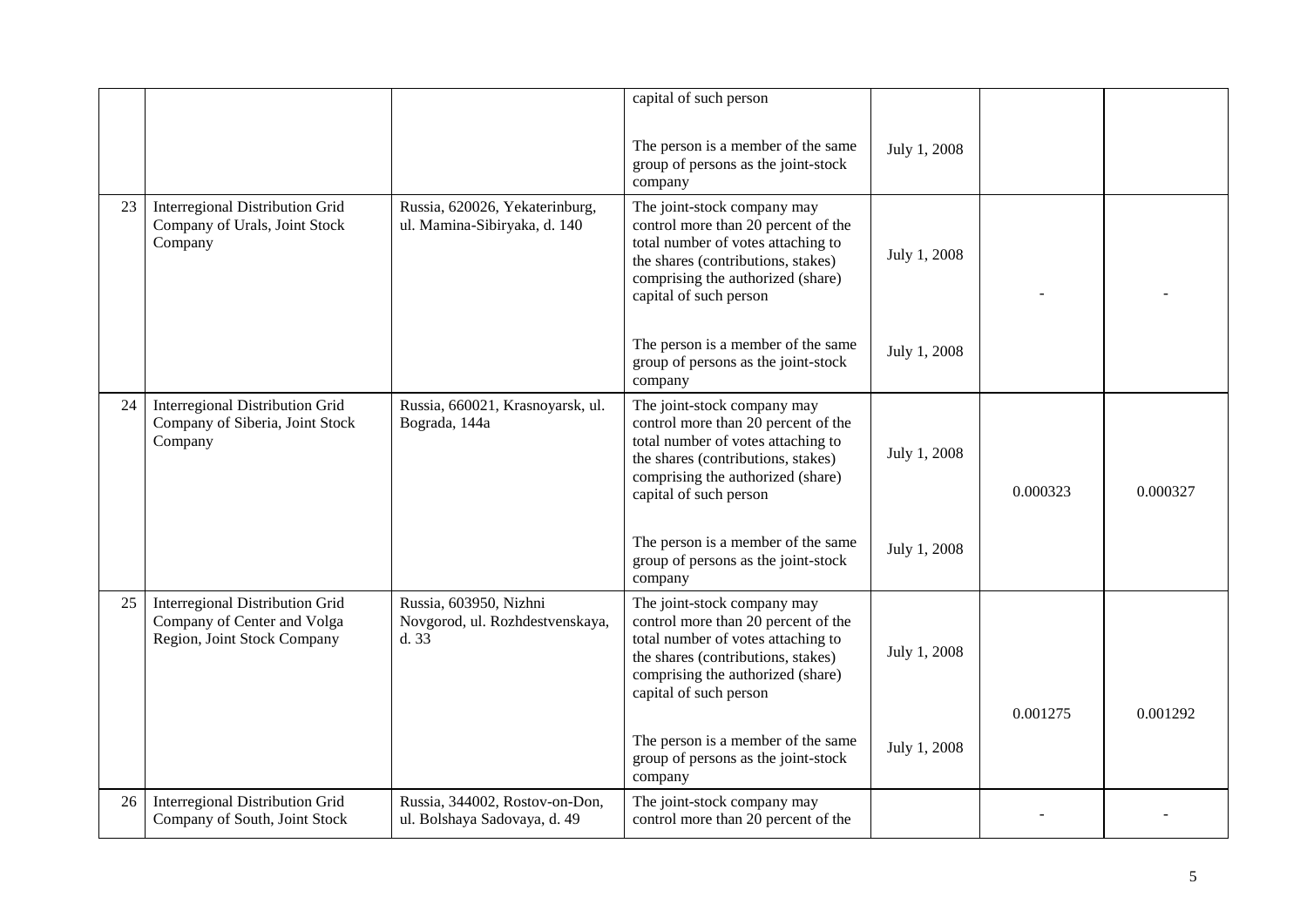|    |                                                                                                      |                                                                   | capital of such person                                                                                                                                                                                        |              |          |          |
|----|------------------------------------------------------------------------------------------------------|-------------------------------------------------------------------|---------------------------------------------------------------------------------------------------------------------------------------------------------------------------------------------------------------|--------------|----------|----------|
|    |                                                                                                      |                                                                   |                                                                                                                                                                                                               |              |          |          |
|    |                                                                                                      |                                                                   | The person is a member of the same<br>group of persons as the joint-stock<br>company                                                                                                                          | July 1, 2008 |          |          |
| 23 | <b>Interregional Distribution Grid</b><br>Company of Urals, Joint Stock<br>Company                   | Russia, 620026, Yekaterinburg,<br>ul. Mamina-Sibiryaka, d. 140    | The joint-stock company may<br>control more than 20 percent of the<br>total number of votes attaching to<br>the shares (contributions, stakes)<br>comprising the authorized (share)<br>capital of such person | July 1, 2008 |          |          |
|    |                                                                                                      |                                                                   | The person is a member of the same<br>group of persons as the joint-stock<br>company                                                                                                                          | July 1, 2008 |          |          |
| 24 | <b>Interregional Distribution Grid</b><br>Company of Siberia, Joint Stock<br>Company                 | Russia, 660021, Krasnoyarsk, ul.<br>Bograda, 144a                 | The joint-stock company may<br>control more than 20 percent of the<br>total number of votes attaching to<br>the shares (contributions, stakes)<br>comprising the authorized (share)<br>capital of such person | July 1, 2008 | 0.000323 | 0.000327 |
|    |                                                                                                      |                                                                   | The person is a member of the same<br>group of persons as the joint-stock<br>company                                                                                                                          | July 1, 2008 |          |          |
| 25 | <b>Interregional Distribution Grid</b><br>Company of Center and Volga<br>Region, Joint Stock Company | Russia, 603950, Nizhni<br>Novgorod, ul. Rozhdestvenskaya,<br>d.33 | The joint-stock company may<br>control more than 20 percent of the<br>total number of votes attaching to<br>the shares (contributions, stakes)<br>comprising the authorized (share)<br>capital of such person | July 1, 2008 |          |          |
|    |                                                                                                      |                                                                   | The person is a member of the same<br>group of persons as the joint-stock<br>company                                                                                                                          | July 1, 2008 | 0.001275 | 0.001292 |
| 26 | <b>Interregional Distribution Grid</b><br>Company of South, Joint Stock                              | Russia, 344002, Rostov-on-Don,<br>ul. Bolshaya Sadovaya, d. 49    | The joint-stock company may<br>control more than 20 percent of the                                                                                                                                            |              |          |          |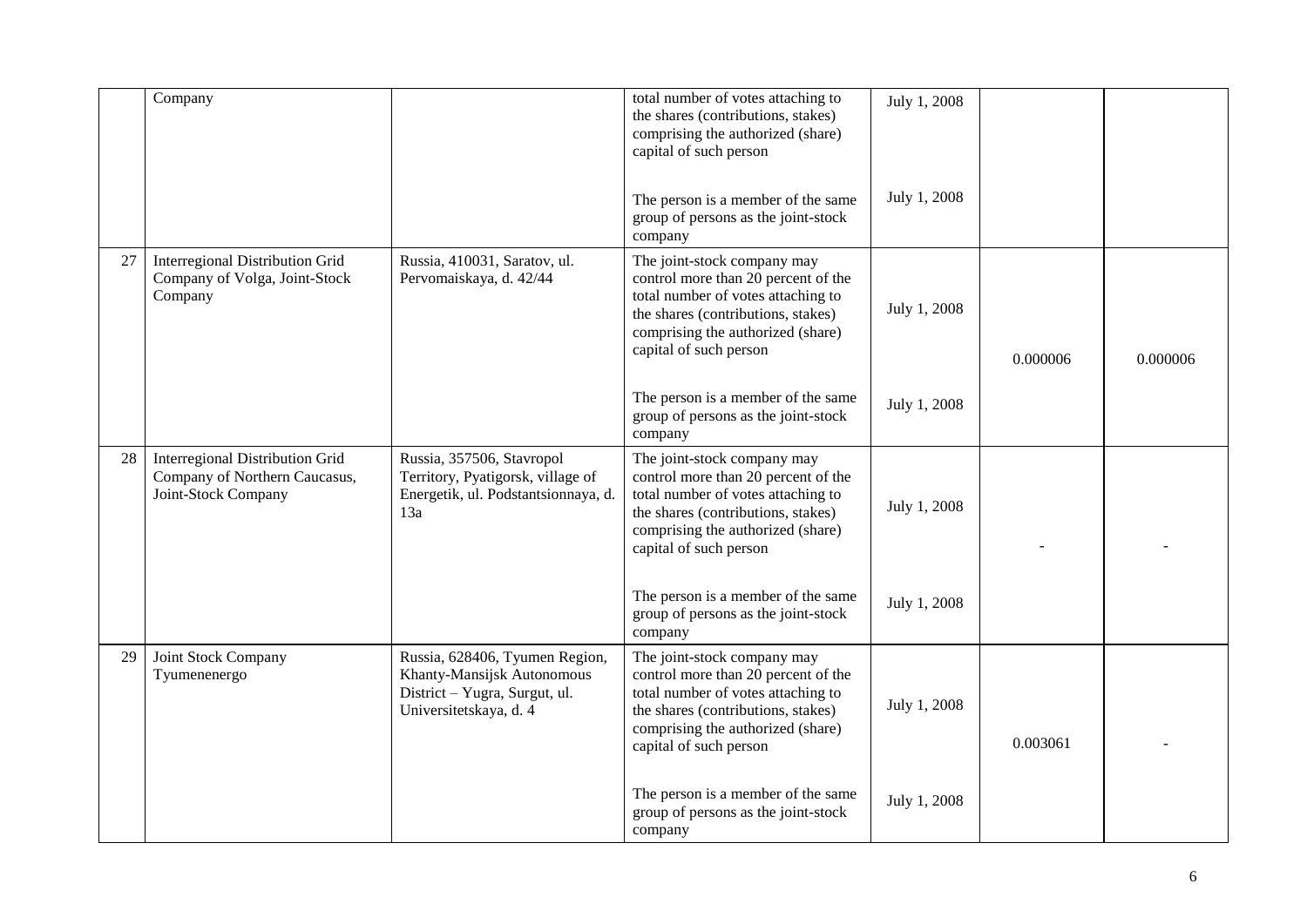|    | Company                                                                                 |                                                                                                                         | total number of votes attaching to<br>the shares (contributions, stakes)<br>comprising the authorized (share)<br>capital of such person                                                                       | July 1, 2008 |          |          |
|----|-----------------------------------------------------------------------------------------|-------------------------------------------------------------------------------------------------------------------------|---------------------------------------------------------------------------------------------------------------------------------------------------------------------------------------------------------------|--------------|----------|----------|
|    |                                                                                         |                                                                                                                         | The person is a member of the same<br>group of persons as the joint-stock<br>company                                                                                                                          | July 1, 2008 |          |          |
| 27 | Interregional Distribution Grid<br>Company of Volga, Joint-Stock<br>Company             | Russia, 410031, Saratov, ul.<br>Pervomaiskaya, d. 42/44                                                                 | The joint-stock company may<br>control more than 20 percent of the<br>total number of votes attaching to<br>the shares (contributions, stakes)<br>comprising the authorized (share)<br>capital of such person | July 1, 2008 | 0.000006 | 0.000006 |
|    |                                                                                         |                                                                                                                         | The person is a member of the same<br>group of persons as the joint-stock<br>company                                                                                                                          | July 1, 2008 |          |          |
| 28 | Interregional Distribution Grid<br>Company of Northern Caucasus,<br>Joint-Stock Company | Russia, 357506, Stavropol<br>Territory, Pyatigorsk, village of<br>Energetik, ul. Podstantsionnaya, d.<br>13a            | The joint-stock company may<br>control more than 20 percent of the<br>total number of votes attaching to<br>the shares (contributions, stakes)<br>comprising the authorized (share)<br>capital of such person | July 1, 2008 |          |          |
|    |                                                                                         |                                                                                                                         | The person is a member of the same<br>group of persons as the joint-stock<br>company                                                                                                                          | July 1, 2008 |          |          |
| 29 | Joint Stock Company<br>Tyumenenergo                                                     | Russia, 628406, Tyumen Region,<br>Khanty-Mansijsk Autonomous<br>District - Yugra, Surgut, ul.<br>Universitetskaya, d. 4 | The joint-stock company may<br>control more than 20 percent of the<br>total number of votes attaching to<br>the shares (contributions, stakes)<br>comprising the authorized (share)<br>capital of such person | July 1, 2008 | 0.003061 |          |
|    |                                                                                         |                                                                                                                         | The person is a member of the same<br>group of persons as the joint-stock<br>company                                                                                                                          | July 1, 2008 |          |          |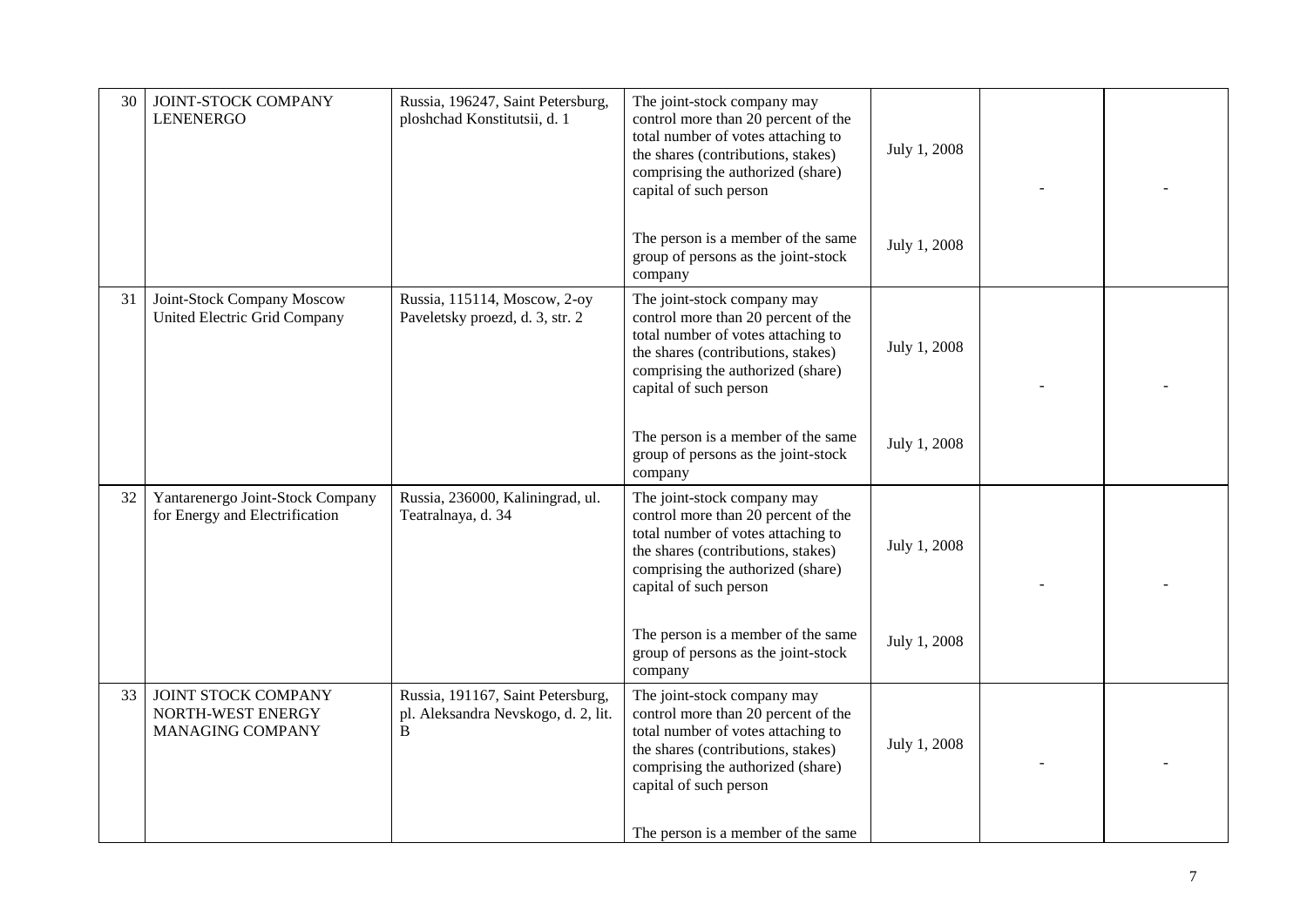| 30 | JOINT-STOCK COMPANY<br><b>LENENERGO</b>                            | Russia, 196247, Saint Petersburg,<br>ploshchad Konstitutsii, d. 1             | The joint-stock company may<br>control more than 20 percent of the<br>total number of votes attaching to<br>the shares (contributions, stakes)<br>comprising the authorized (share)<br>capital of such person | July 1, 2008 |  |
|----|--------------------------------------------------------------------|-------------------------------------------------------------------------------|---------------------------------------------------------------------------------------------------------------------------------------------------------------------------------------------------------------|--------------|--|
|    |                                                                    |                                                                               | The person is a member of the same<br>group of persons as the joint-stock<br>company                                                                                                                          | July 1, 2008 |  |
| 31 | Joint-Stock Company Moscow<br>United Electric Grid Company         | Russia, 115114, Moscow, 2-oy<br>Paveletsky proezd, d. 3, str. 2               | The joint-stock company may<br>control more than 20 percent of the<br>total number of votes attaching to<br>the shares (contributions, stakes)<br>comprising the authorized (share)<br>capital of such person | July 1, 2008 |  |
|    |                                                                    |                                                                               | The person is a member of the same<br>group of persons as the joint-stock<br>company                                                                                                                          | July 1, 2008 |  |
| 32 | Yantarenergo Joint-Stock Company<br>for Energy and Electrification | Russia, 236000, Kaliningrad, ul.<br>Teatralnaya, d. 34                        | The joint-stock company may<br>control more than 20 percent of the<br>total number of votes attaching to<br>the shares (contributions, stakes)<br>comprising the authorized (share)<br>capital of such person | July 1, 2008 |  |
|    |                                                                    |                                                                               | The person is a member of the same<br>group of persons as the joint-stock<br>company                                                                                                                          | July 1, 2008 |  |
| 33 | JOINT STOCK COMPANY<br>NORTH-WEST ENERGY<br>MANAGING COMPANY       | Russia, 191167, Saint Petersburg,<br>pl. Aleksandra Nevskogo, d. 2, lit.<br>B | The joint-stock company may<br>control more than 20 percent of the<br>total number of votes attaching to<br>the shares (contributions, stakes)<br>comprising the authorized (share)<br>capital of such person | July 1, 2008 |  |
|    |                                                                    |                                                                               | The person is a member of the same                                                                                                                                                                            |              |  |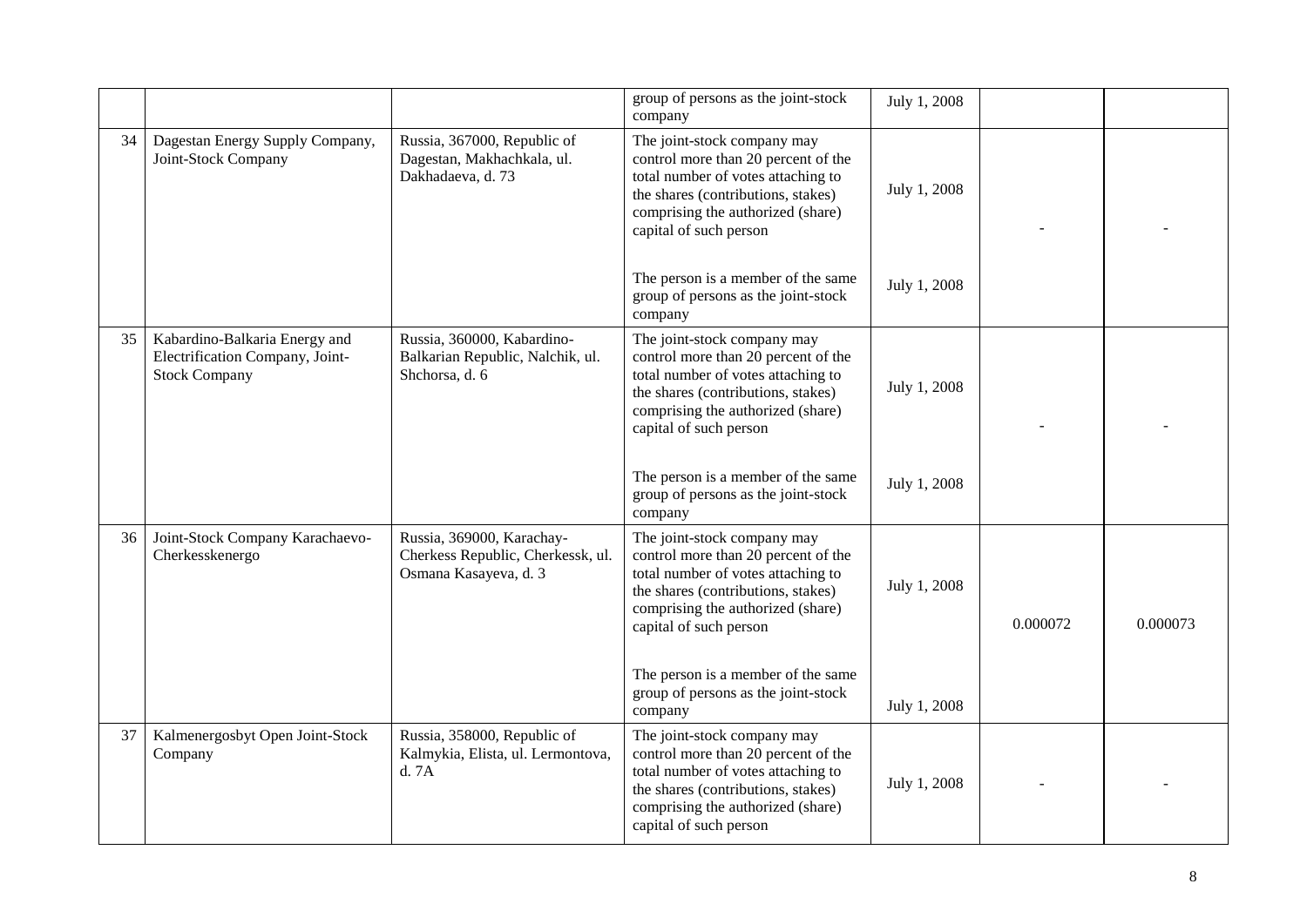|    |                                                                                          |                                                                                         | group of persons as the joint-stock<br>company                                                                                                                                                                | July 1, 2008 |          |          |
|----|------------------------------------------------------------------------------------------|-----------------------------------------------------------------------------------------|---------------------------------------------------------------------------------------------------------------------------------------------------------------------------------------------------------------|--------------|----------|----------|
| 34 | Dagestan Energy Supply Company,<br>Joint-Stock Company                                   | Russia, 367000, Republic of<br>Dagestan, Makhachkala, ul.<br>Dakhadaeva, d. 73          | The joint-stock company may<br>control more than 20 percent of the<br>total number of votes attaching to<br>the shares (contributions, stakes)<br>comprising the authorized (share)<br>capital of such person | July 1, 2008 |          |          |
|    |                                                                                          |                                                                                         | The person is a member of the same<br>group of persons as the joint-stock<br>company                                                                                                                          | July 1, 2008 |          |          |
| 35 | Kabardino-Balkaria Energy and<br>Electrification Company, Joint-<br><b>Stock Company</b> | Russia, 360000, Kabardino-<br>Balkarian Republic, Nalchik, ul.<br>Shchorsa, d. 6        | The joint-stock company may<br>control more than 20 percent of the<br>total number of votes attaching to<br>the shares (contributions, stakes)<br>comprising the authorized (share)<br>capital of such person | July 1, 2008 |          |          |
|    |                                                                                          |                                                                                         | The person is a member of the same<br>group of persons as the joint-stock<br>company                                                                                                                          | July 1, 2008 |          |          |
| 36 | Joint-Stock Company Karachaevo-<br>Cherkesskenergo                                       | Russia, 369000, Karachay-<br>Cherkess Republic, Cherkessk, ul.<br>Osmana Kasayeva, d. 3 | The joint-stock company may<br>control more than 20 percent of the<br>total number of votes attaching to<br>the shares (contributions, stakes)<br>comprising the authorized (share)<br>capital of such person | July 1, 2008 | 0.000072 | 0.000073 |
|    |                                                                                          |                                                                                         | The person is a member of the same<br>group of persons as the joint-stock<br>company                                                                                                                          | July 1, 2008 |          |          |
| 37 | Kalmenergosbyt Open Joint-Stock<br>Company                                               | Russia, 358000, Republic of<br>Kalmykia, Elista, ul. Lermontova,<br>d.7A                | The joint-stock company may<br>control more than 20 percent of the<br>total number of votes attaching to<br>the shares (contributions, stakes)<br>comprising the authorized (share)<br>capital of such person | July 1, 2008 |          |          |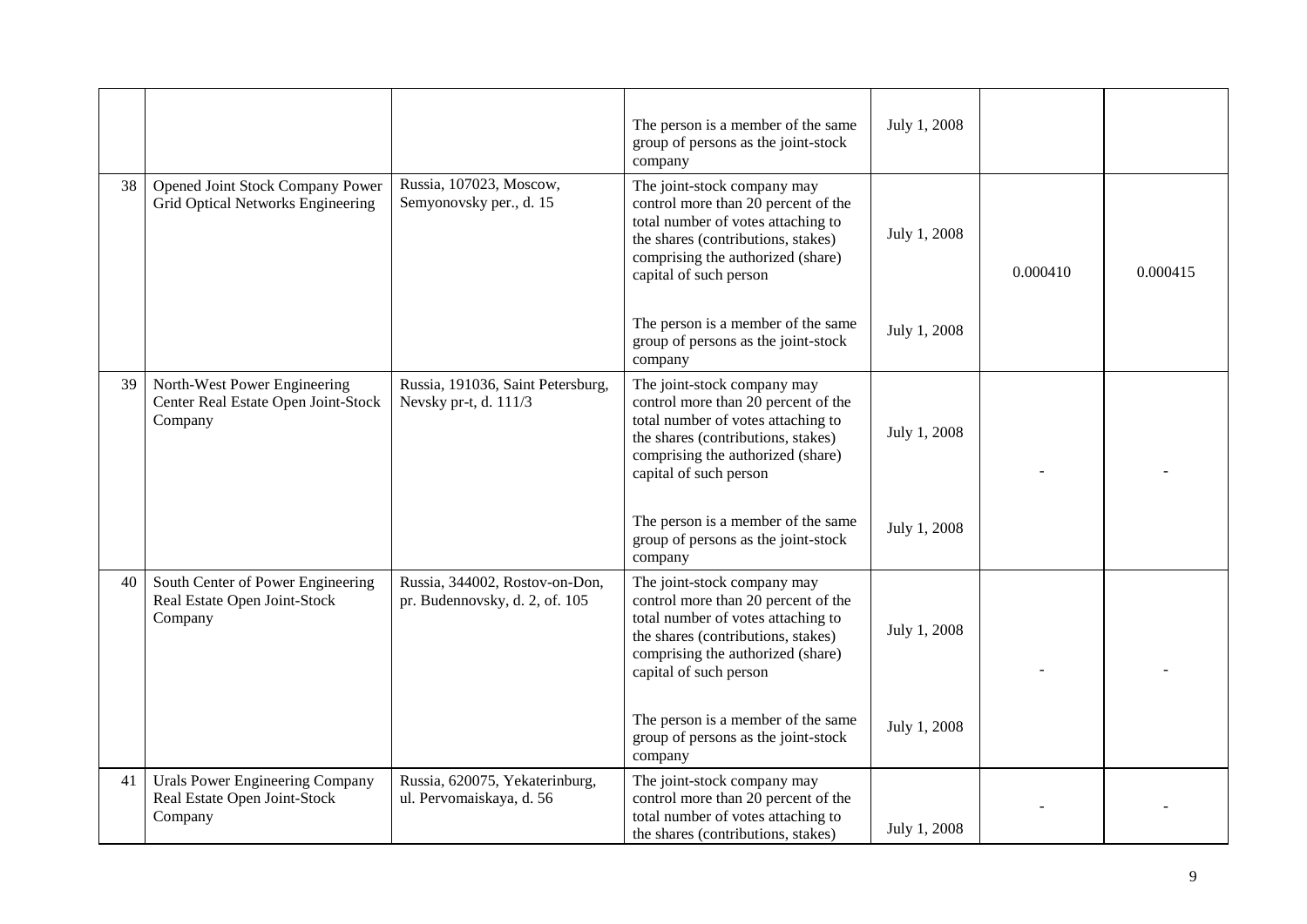|    |                                                                                |                                                                  | The person is a member of the same<br>group of persons as the joint-stock<br>company                                                                                                                          | July 1, 2008 |          |          |
|----|--------------------------------------------------------------------------------|------------------------------------------------------------------|---------------------------------------------------------------------------------------------------------------------------------------------------------------------------------------------------------------|--------------|----------|----------|
| 38 | Opened Joint Stock Company Power<br>Grid Optical Networks Engineering          | Russia, 107023, Moscow,<br>Semyonovsky per., d. 15               | The joint-stock company may<br>control more than 20 percent of the<br>total number of votes attaching to<br>the shares (contributions, stakes)<br>comprising the authorized (share)<br>capital of such person | July 1, 2008 | 0.000410 | 0.000415 |
|    |                                                                                |                                                                  | The person is a member of the same<br>group of persons as the joint-stock<br>company                                                                                                                          | July 1, 2008 |          |          |
| 39 | North-West Power Engineering<br>Center Real Estate Open Joint-Stock<br>Company | Russia, 191036, Saint Petersburg,<br>Nevsky pr-t, d. 111/3       | The joint-stock company may<br>control more than 20 percent of the<br>total number of votes attaching to<br>the shares (contributions, stakes)<br>comprising the authorized (share)<br>capital of such person | July 1, 2008 |          |          |
|    |                                                                                |                                                                  | The person is a member of the same<br>group of persons as the joint-stock<br>company                                                                                                                          | July 1, 2008 |          |          |
| 40 | South Center of Power Engineering<br>Real Estate Open Joint-Stock<br>Company   | Russia, 344002, Rostov-on-Don,<br>pr. Budennovsky, d. 2, of. 105 | The joint-stock company may<br>control more than 20 percent of the<br>total number of votes attaching to<br>the shares (contributions, stakes)<br>comprising the authorized (share)<br>capital of such person | July 1, 2008 |          |          |
|    |                                                                                |                                                                  | The person is a member of the same<br>group of persons as the joint-stock<br>company                                                                                                                          | July 1, 2008 |          |          |
| 41 | Urals Power Engineering Company<br>Real Estate Open Joint-Stock<br>Company     | Russia, 620075, Yekaterinburg,<br>ul. Pervomaiskaya, d. 56       | The joint-stock company may<br>control more than 20 percent of the<br>total number of votes attaching to<br>the shares (contributions, stakes)                                                                | July 1, 2008 |          |          |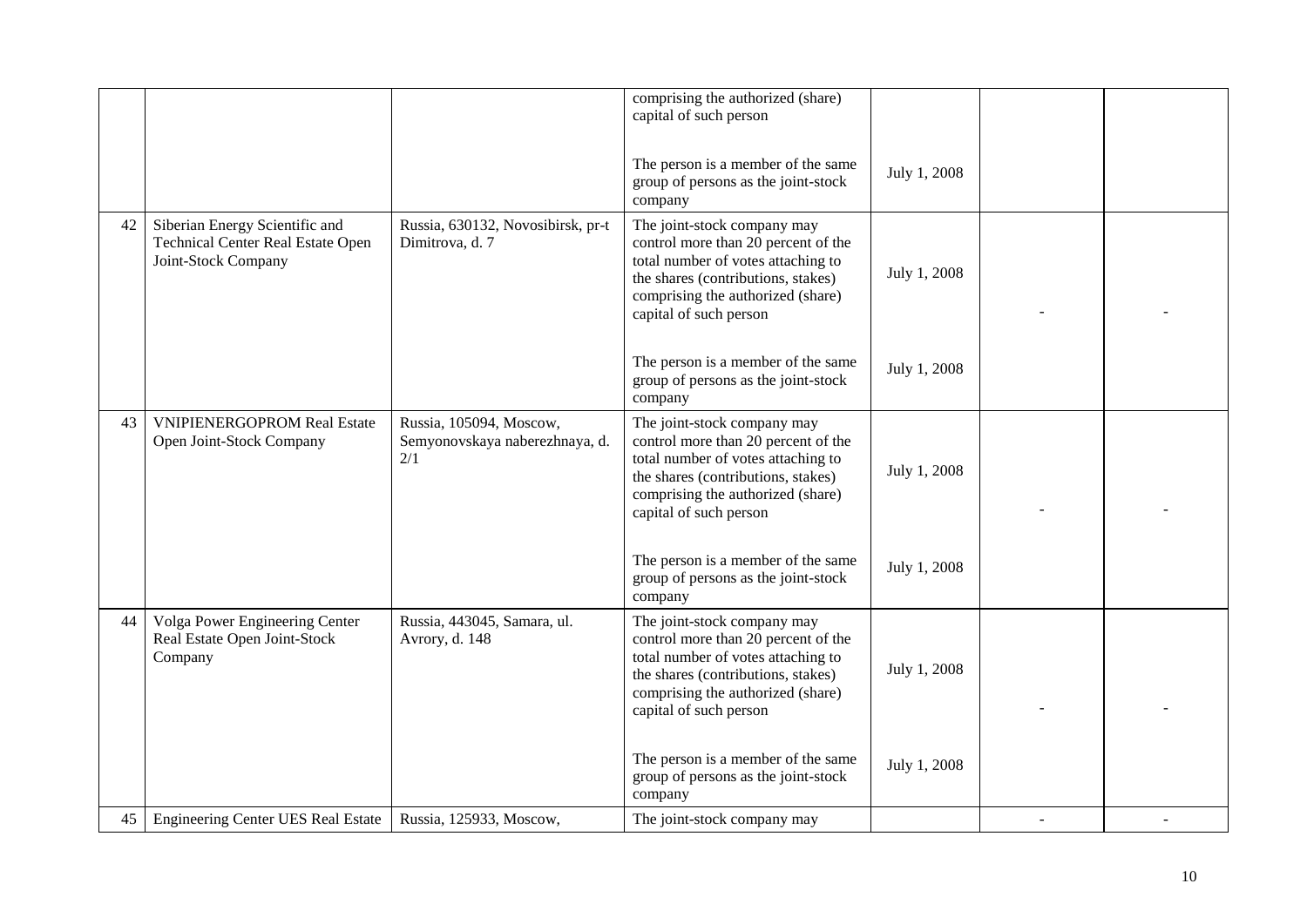|    |                                                                                                   |                                                                  | comprising the authorized (share)<br>capital of such person                                                                                                                                                   |              |  |
|----|---------------------------------------------------------------------------------------------------|------------------------------------------------------------------|---------------------------------------------------------------------------------------------------------------------------------------------------------------------------------------------------------------|--------------|--|
|    |                                                                                                   |                                                                  | The person is a member of the same                                                                                                                                                                            |              |  |
|    |                                                                                                   |                                                                  | group of persons as the joint-stock<br>company                                                                                                                                                                | July 1, 2008 |  |
| 42 | Siberian Energy Scientific and<br><b>Technical Center Real Estate Open</b><br>Joint-Stock Company | Russia, 630132, Novosibirsk, pr-t<br>Dimitrova, d. 7             | The joint-stock company may<br>control more than 20 percent of the<br>total number of votes attaching to<br>the shares (contributions, stakes)<br>comprising the authorized (share)<br>capital of such person | July 1, 2008 |  |
|    |                                                                                                   |                                                                  | The person is a member of the same<br>group of persons as the joint-stock<br>company                                                                                                                          | July 1, 2008 |  |
| 43 | <b>VNIPIENERGOPROM Real Estate</b><br>Open Joint-Stock Company                                    | Russia, 105094, Moscow,<br>Semyonovskaya naberezhnaya, d.<br>2/1 | The joint-stock company may<br>control more than 20 percent of the<br>total number of votes attaching to<br>the shares (contributions, stakes)<br>comprising the authorized (share)<br>capital of such person | July 1, 2008 |  |
|    |                                                                                                   |                                                                  | The person is a member of the same<br>group of persons as the joint-stock<br>company                                                                                                                          | July 1, 2008 |  |
| 44 | Volga Power Engineering Center<br>Real Estate Open Joint-Stock<br>Company                         | Russia, 443045, Samara, ul.<br>Avrory, d. 148                    | The joint-stock company may<br>control more than 20 percent of the<br>total number of votes attaching to<br>the shares (contributions, stakes)<br>comprising the authorized (share)<br>capital of such person | July 1, 2008 |  |
|    |                                                                                                   |                                                                  | The person is a member of the same<br>group of persons as the joint-stock<br>company                                                                                                                          | July 1, 2008 |  |
| 45 | <b>Engineering Center UES Real Estate</b>                                                         | Russia, 125933, Moscow,                                          | The joint-stock company may                                                                                                                                                                                   |              |  |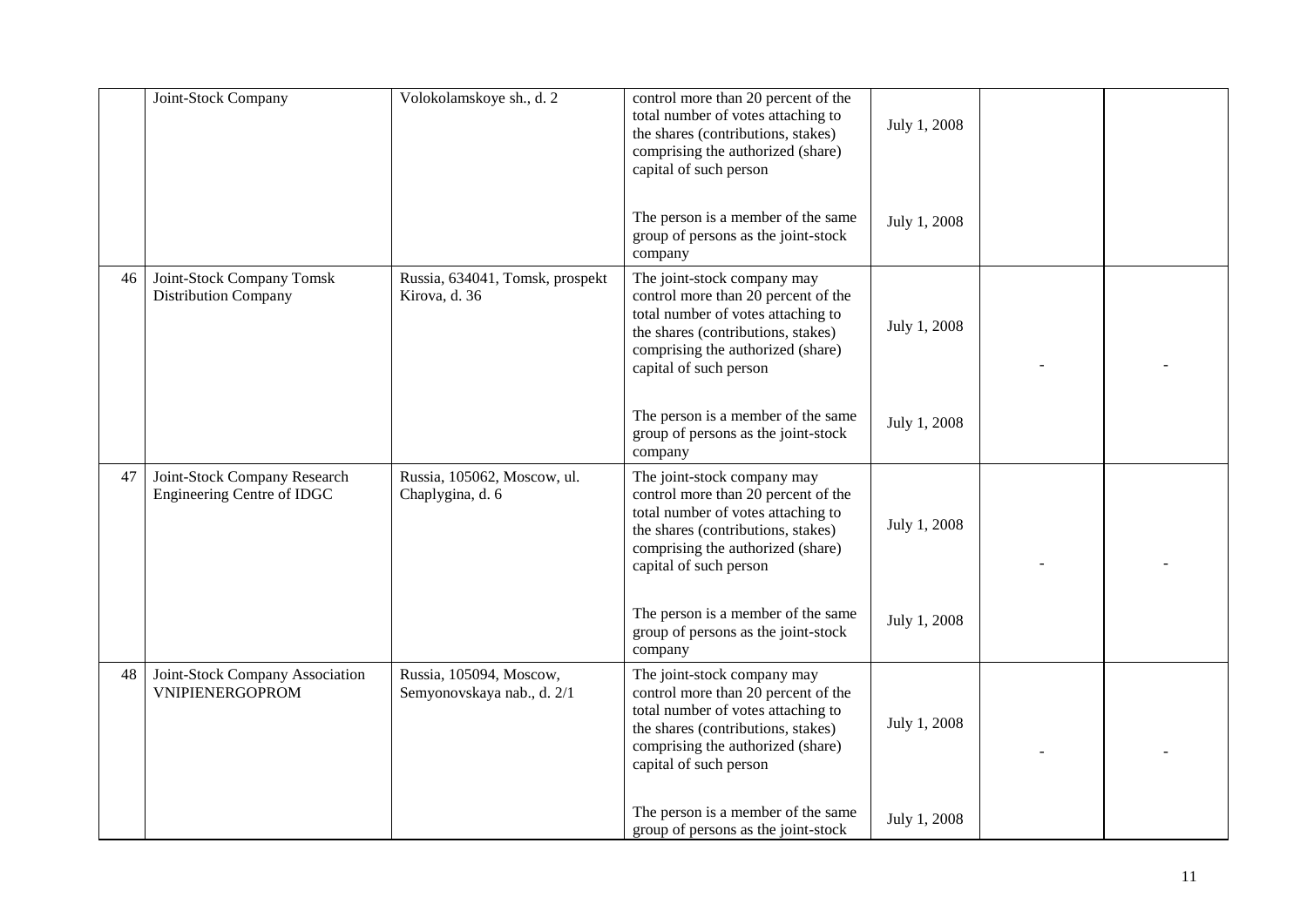|    | Joint-Stock Company                                        | Volokolamskoye sh., d. 2                              | control more than 20 percent of the<br>total number of votes attaching to<br>the shares (contributions, stakes)<br>comprising the authorized (share)<br>capital of such person                                | July 1, 2008 |  |
|----|------------------------------------------------------------|-------------------------------------------------------|---------------------------------------------------------------------------------------------------------------------------------------------------------------------------------------------------------------|--------------|--|
|    |                                                            |                                                       | The person is a member of the same<br>group of persons as the joint-stock<br>company                                                                                                                          | July 1, 2008 |  |
| 46 | Joint-Stock Company Tomsk<br><b>Distribution Company</b>   | Russia, 634041, Tomsk, prospekt<br>Kirova, d. 36      | The joint-stock company may<br>control more than 20 percent of the<br>total number of votes attaching to<br>the shares (contributions, stakes)<br>comprising the authorized (share)<br>capital of such person | July 1, 2008 |  |
|    |                                                            |                                                       | The person is a member of the same<br>group of persons as the joint-stock<br>company                                                                                                                          | July 1, 2008 |  |
| 47 | Joint-Stock Company Research<br>Engineering Centre of IDGC | Russia, 105062, Moscow, ul.<br>Chaplygina, d. 6       | The joint-stock company may<br>control more than 20 percent of the<br>total number of votes attaching to<br>the shares (contributions, stakes)<br>comprising the authorized (share)<br>capital of such person | July 1, 2008 |  |
|    |                                                            |                                                       | The person is a member of the same<br>group of persons as the joint-stock<br>company                                                                                                                          | July 1, 2008 |  |
| 48 | Joint-Stock Company Association<br>VNIPIENERGOPROM         | Russia, 105094, Moscow,<br>Semyonovskaya nab., d. 2/1 | The joint-stock company may<br>control more than 20 percent of the<br>total number of votes attaching to<br>the shares (contributions, stakes)<br>comprising the authorized (share)<br>capital of such person | July 1, 2008 |  |
|    |                                                            |                                                       | The person is a member of the same<br>group of persons as the joint-stock                                                                                                                                     | July 1, 2008 |  |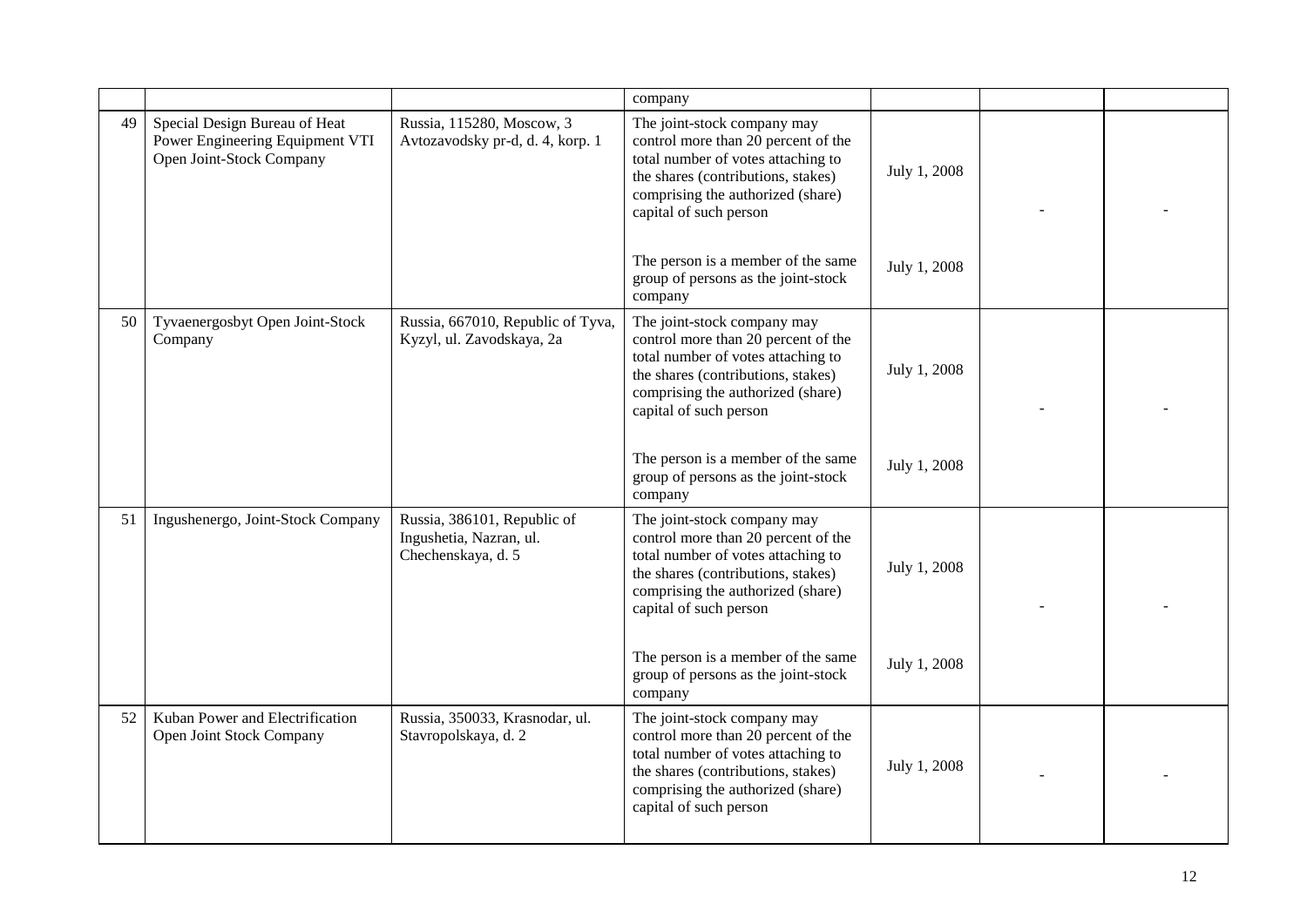|    |                                                                                              |                                                                              | company                                                                                                                                                                                                       |              |  |
|----|----------------------------------------------------------------------------------------------|------------------------------------------------------------------------------|---------------------------------------------------------------------------------------------------------------------------------------------------------------------------------------------------------------|--------------|--|
| 49 | Special Design Bureau of Heat<br>Power Engineering Equipment VTI<br>Open Joint-Stock Company | Russia, 115280, Moscow, 3<br>Avtozavodsky pr-d, d. 4, korp. 1                | The joint-stock company may<br>control more than 20 percent of the<br>total number of votes attaching to<br>the shares (contributions, stakes)<br>comprising the authorized (share)<br>capital of such person | July 1, 2008 |  |
|    |                                                                                              |                                                                              | The person is a member of the same<br>group of persons as the joint-stock<br>company                                                                                                                          | July 1, 2008 |  |
| 50 | Tyvaenergosbyt Open Joint-Stock<br>Company                                                   | Russia, 667010, Republic of Tyva,<br>Kyzyl, ul. Zavodskaya, 2a               | The joint-stock company may<br>control more than 20 percent of the<br>total number of votes attaching to<br>the shares (contributions, stakes)<br>comprising the authorized (share)<br>capital of such person | July 1, 2008 |  |
|    |                                                                                              |                                                                              | The person is a member of the same<br>group of persons as the joint-stock<br>company                                                                                                                          | July 1, 2008 |  |
| 51 | Ingushenergo, Joint-Stock Company                                                            | Russia, 386101, Republic of<br>Ingushetia, Nazran, ul.<br>Chechenskaya, d. 5 | The joint-stock company may<br>control more than 20 percent of the<br>total number of votes attaching to<br>the shares (contributions, stakes)<br>comprising the authorized (share)<br>capital of such person | July 1, 2008 |  |
|    |                                                                                              |                                                                              | The person is a member of the same<br>group of persons as the joint-stock<br>company                                                                                                                          | July 1, 2008 |  |
| 52 | Kuban Power and Electrification<br>Open Joint Stock Company                                  | Russia, 350033, Krasnodar, ul.<br>Stavropolskaya, d. 2                       | The joint-stock company may<br>control more than 20 percent of the<br>total number of votes attaching to<br>the shares (contributions, stakes)<br>comprising the authorized (share)<br>capital of such person | July 1, 2008 |  |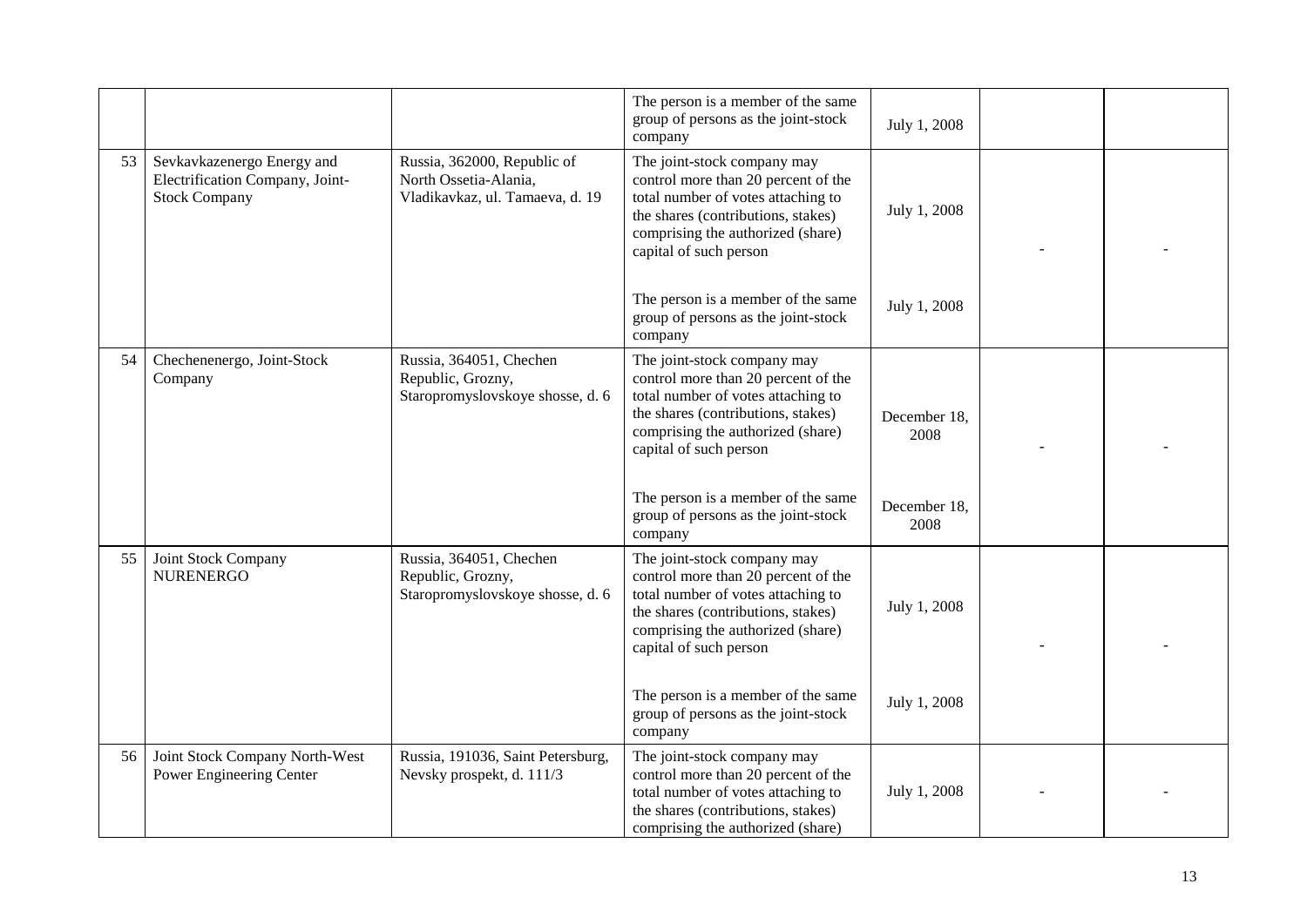|    |                                                                                       |                                                                                         | The person is a member of the same<br>group of persons as the joint-stock<br>company                                                                                                                          | July 1, 2008         |  |
|----|---------------------------------------------------------------------------------------|-----------------------------------------------------------------------------------------|---------------------------------------------------------------------------------------------------------------------------------------------------------------------------------------------------------------|----------------------|--|
| 53 | Sevkavkazenergo Energy and<br>Electrification Company, Joint-<br><b>Stock Company</b> | Russia, 362000, Republic of<br>North Ossetia-Alania,<br>Vladikavkaz, ul. Tamaeva, d. 19 | The joint-stock company may<br>control more than 20 percent of the<br>total number of votes attaching to<br>the shares (contributions, stakes)<br>comprising the authorized (share)<br>capital of such person | July 1, 2008         |  |
|    |                                                                                       |                                                                                         | The person is a member of the same<br>group of persons as the joint-stock<br>company                                                                                                                          | July 1, 2008         |  |
| 54 | Chechenenergo, Joint-Stock<br>Company                                                 | Russia, 364051, Chechen<br>Republic, Grozny,<br>Staropromyslovskoye shosse, d. 6        | The joint-stock company may<br>control more than 20 percent of the<br>total number of votes attaching to<br>the shares (contributions, stakes)<br>comprising the authorized (share)<br>capital of such person | December 18,<br>2008 |  |
|    |                                                                                       |                                                                                         | The person is a member of the same<br>group of persons as the joint-stock<br>company                                                                                                                          | December 18,<br>2008 |  |
| 55 | Joint Stock Company<br><b>NURENERGO</b>                                               | Russia, 364051, Chechen<br>Republic, Grozny,<br>Staropromyslovskoye shosse, d. 6        | The joint-stock company may<br>control more than 20 percent of the<br>total number of votes attaching to<br>the shares (contributions, stakes)<br>comprising the authorized (share)<br>capital of such person | July 1, 2008         |  |
|    |                                                                                       |                                                                                         | The person is a member of the same<br>group of persons as the joint-stock<br>company                                                                                                                          | July 1, 2008         |  |
| 56 | Joint Stock Company North-West<br>Power Engineering Center                            | Russia, 191036, Saint Petersburg,<br>Nevsky prospekt, d. 111/3                          | The joint-stock company may<br>control more than 20 percent of the<br>total number of votes attaching to<br>the shares (contributions, stakes)<br>comprising the authorized (share)                           | July 1, 2008         |  |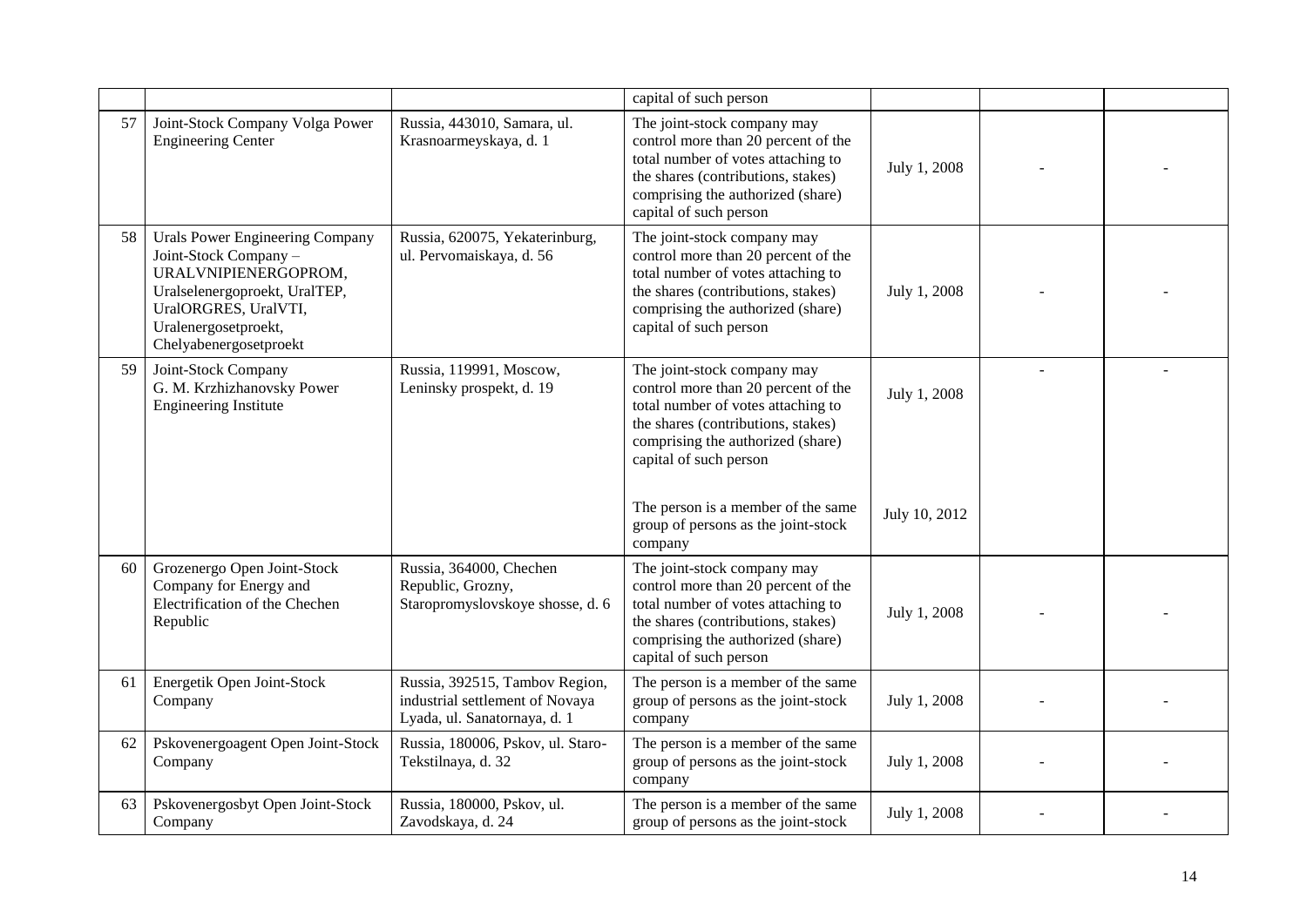|    |                                                                                                                                                                                             |                                                                                                   | capital of such person                                                                                                                                                                                                                                                                                |                               |  |
|----|---------------------------------------------------------------------------------------------------------------------------------------------------------------------------------------------|---------------------------------------------------------------------------------------------------|-------------------------------------------------------------------------------------------------------------------------------------------------------------------------------------------------------------------------------------------------------------------------------------------------------|-------------------------------|--|
| 57 | Joint-Stock Company Volga Power<br><b>Engineering Center</b>                                                                                                                                | Russia, 443010, Samara, ul.<br>Krasnoarmeyskaya, d. 1                                             | The joint-stock company may<br>control more than 20 percent of the<br>total number of votes attaching to<br>the shares (contributions, stakes)<br>comprising the authorized (share)<br>capital of such person                                                                                         | July 1, 2008                  |  |
| 58 | Urals Power Engineering Company<br>Joint-Stock Company -<br>URALVNIPIENERGOPROM,<br>Uralselenergoproekt, UralTEP,<br>UralORGRES, UralVTI,<br>Uralenergosetproekt,<br>Chelyabenergosetproekt | Russia, 620075, Yekaterinburg,<br>ul. Pervomaiskaya, d. 56                                        | The joint-stock company may<br>control more than 20 percent of the<br>total number of votes attaching to<br>the shares (contributions, stakes)<br>comprising the authorized (share)<br>capital of such person                                                                                         | July 1, 2008                  |  |
| 59 | Joint-Stock Company<br>G. M. Krzhizhanovsky Power<br><b>Engineering Institute</b>                                                                                                           | Russia, 119991, Moscow,<br>Leninsky prospekt, d. 19                                               | The joint-stock company may<br>control more than 20 percent of the<br>total number of votes attaching to<br>the shares (contributions, stakes)<br>comprising the authorized (share)<br>capital of such person<br>The person is a member of the same<br>group of persons as the joint-stock<br>company | July 1, 2008<br>July 10, 2012 |  |
| 60 | Grozenergo Open Joint-Stock<br>Company for Energy and<br>Electrification of the Chechen<br>Republic                                                                                         | Russia, 364000, Chechen<br>Republic, Grozny,<br>Staropromyslovskoye shosse, d. 6                  | The joint-stock company may<br>control more than 20 percent of the<br>total number of votes attaching to<br>the shares (contributions, stakes)<br>comprising the authorized (share)<br>capital of such person                                                                                         | July 1, 2008                  |  |
| 61 | Energetik Open Joint-Stock<br>Company                                                                                                                                                       | Russia, 392515, Tambov Region,<br>industrial settlement of Novaya<br>Lyada, ul. Sanatornaya, d. 1 | The person is a member of the same<br>group of persons as the joint-stock<br>company                                                                                                                                                                                                                  | July 1, 2008                  |  |
| 62 | Pskovenergoagent Open Joint-Stock<br>Company                                                                                                                                                | Russia, 180006, Pskov, ul. Staro-<br>Tekstilnaya, d. 32                                           | The person is a member of the same<br>group of persons as the joint-stock<br>company                                                                                                                                                                                                                  | July 1, 2008                  |  |
| 63 | Pskovenergosbyt Open Joint-Stock<br>Company                                                                                                                                                 | Russia, 180000, Pskov, ul.<br>Zavodskaya, d. 24                                                   | The person is a member of the same<br>group of persons as the joint-stock                                                                                                                                                                                                                             | July 1, 2008                  |  |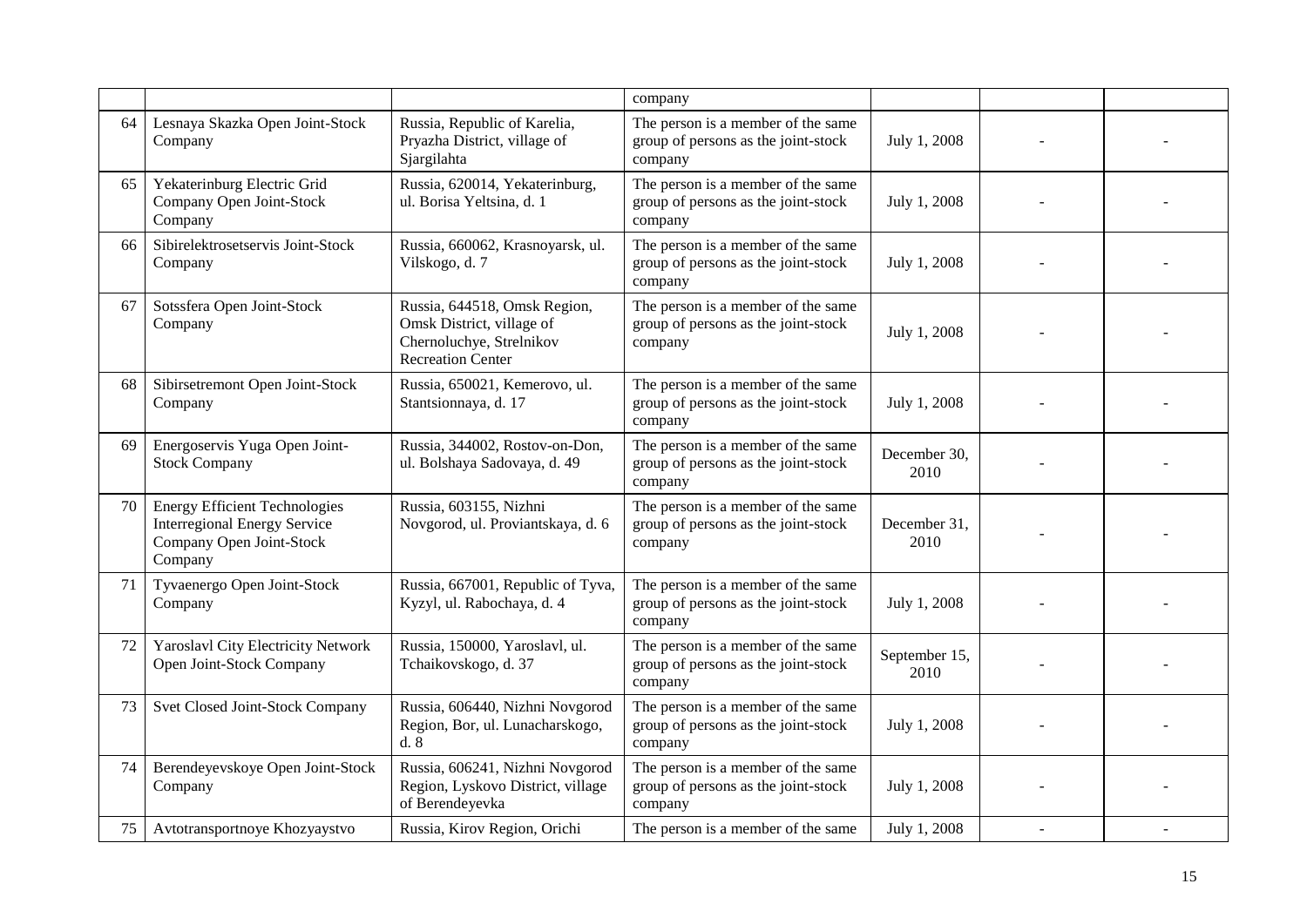|    |                                                                                                                    |                                                                                                                   | company                                                                              |                       |  |
|----|--------------------------------------------------------------------------------------------------------------------|-------------------------------------------------------------------------------------------------------------------|--------------------------------------------------------------------------------------|-----------------------|--|
| 64 | Lesnaya Skazka Open Joint-Stock<br>Company                                                                         | Russia, Republic of Karelia,<br>Pryazha District, village of<br>Sjargilahta                                       | The person is a member of the same<br>group of persons as the joint-stock<br>company | July 1, 2008          |  |
| 65 | Yekaterinburg Electric Grid<br>Company Open Joint-Stock<br>Company                                                 | Russia, 620014, Yekaterinburg,<br>ul. Borisa Yeltsina, d. 1                                                       | The person is a member of the same<br>group of persons as the joint-stock<br>company | July 1, 2008          |  |
| 66 | Sibirelektrosetservis Joint-Stock<br>Company                                                                       | Russia, 660062, Krasnoyarsk, ul.<br>Vilskogo, d. 7                                                                | The person is a member of the same<br>group of persons as the joint-stock<br>company | July 1, 2008          |  |
| 67 | Sotssfera Open Joint-Stock<br>Company                                                                              | Russia, 644518, Omsk Region,<br>Omsk District, village of<br>Chernoluchye, Strelnikov<br><b>Recreation Center</b> | The person is a member of the same<br>group of persons as the joint-stock<br>company | July 1, 2008          |  |
| 68 | Sibirsetremont Open Joint-Stock<br>Company                                                                         | Russia, 650021, Kemerovo, ul.<br>Stantsionnaya, d. 17                                                             | The person is a member of the same<br>group of persons as the joint-stock<br>company | July 1, 2008          |  |
| 69 | Energoservis Yuga Open Joint-<br><b>Stock Company</b>                                                              | Russia, 344002, Rostov-on-Don,<br>ul. Bolshaya Sadovaya, d. 49                                                    | The person is a member of the same<br>group of persons as the joint-stock<br>company | December 30,<br>2010  |  |
| 70 | <b>Energy Efficient Technologies</b><br><b>Interregional Energy Service</b><br>Company Open Joint-Stock<br>Company | Russia, 603155, Nizhni<br>Novgorod, ul. Proviantskaya, d. 6                                                       | The person is a member of the same<br>group of persons as the joint-stock<br>company | December 31,<br>2010  |  |
| 71 | Tyvaenergo Open Joint-Stock<br>Company                                                                             | Russia, 667001, Republic of Tyva,<br>Kyzyl, ul. Rabochaya, d. 4                                                   | The person is a member of the same<br>group of persons as the joint-stock<br>company | July 1, 2008          |  |
| 72 | Yaroslavl City Electricity Network<br>Open Joint-Stock Company                                                     | Russia, 150000, Yaroslavl, ul.<br>Tchaikovskogo, d. 37                                                            | The person is a member of the same<br>group of persons as the joint-stock<br>company | September 15,<br>2010 |  |
| 73 | Svet Closed Joint-Stock Company                                                                                    | Russia, 606440, Nizhni Novgorod<br>Region, Bor, ul. Lunacharskogo,<br>d.8                                         | The person is a member of the same<br>group of persons as the joint-stock<br>company | July 1, 2008          |  |
| 74 | Berendeyevskoye Open Joint-Stock<br>Company                                                                        | Russia, 606241, Nizhni Novgorod<br>Region, Lyskovo District, village<br>of Berendeyevka                           | The person is a member of the same<br>group of persons as the joint-stock<br>company | July 1, 2008          |  |
| 75 | Avtotransportnoye Khozyaystvo                                                                                      | Russia, Kirov Region, Orichi                                                                                      | The person is a member of the same                                                   | July 1, 2008          |  |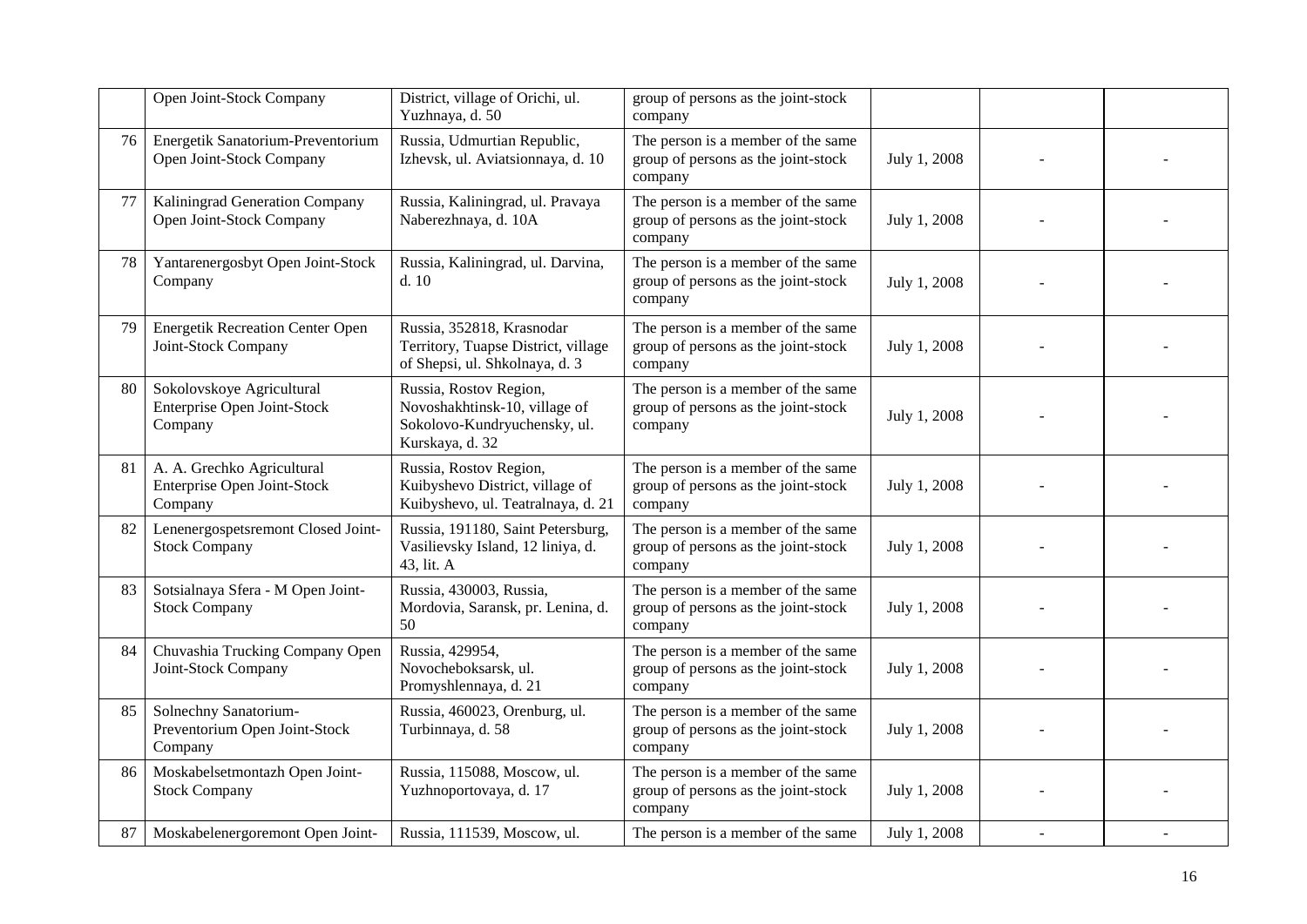|    | Open Joint-Stock Company                                             | District, village of Orichi, ul.<br>Yuzhnaya, d. 50                                                        | group of persons as the joint-stock<br>company                                       |              |  |
|----|----------------------------------------------------------------------|------------------------------------------------------------------------------------------------------------|--------------------------------------------------------------------------------------|--------------|--|
| 76 | Energetik Sanatorium-Preventorium<br>Open Joint-Stock Company        | Russia, Udmurtian Republic,<br>Izhevsk, ul. Aviatsionnaya, d. 10                                           | The person is a member of the same<br>group of persons as the joint-stock<br>company | July 1, 2008 |  |
| 77 | Kaliningrad Generation Company<br>Open Joint-Stock Company           | Russia, Kaliningrad, ul. Pravaya<br>Naberezhnaya, d. 10A                                                   | The person is a member of the same<br>group of persons as the joint-stock<br>company | July 1, 2008 |  |
| 78 | Yantarenergosbyt Open Joint-Stock<br>Company                         | Russia, Kaliningrad, ul. Darvina,<br>d.10                                                                  | The person is a member of the same<br>group of persons as the joint-stock<br>company | July 1, 2008 |  |
| 79 | <b>Energetik Recreation Center Open</b><br>Joint-Stock Company       | Russia, 352818, Krasnodar<br>Territory, Tuapse District, village<br>of Shepsi, ul. Shkolnaya, d. 3         | The person is a member of the same<br>group of persons as the joint-stock<br>company | July 1, 2008 |  |
| 80 | Sokolovskoye Agricultural<br>Enterprise Open Joint-Stock<br>Company  | Russia, Rostov Region,<br>Novoshakhtinsk-10, village of<br>Sokolovo-Kundryuchensky, ul.<br>Kurskaya, d. 32 | The person is a member of the same<br>group of persons as the joint-stock<br>company | July 1, 2008 |  |
| 81 | A. A. Grechko Agricultural<br>Enterprise Open Joint-Stock<br>Company | Russia, Rostov Region,<br>Kuibyshevo District, village of<br>Kuibyshevo, ul. Teatralnaya, d. 21            | The person is a member of the same<br>group of persons as the joint-stock<br>company | July 1, 2008 |  |
| 82 | Lenenergospetsremont Closed Joint-<br><b>Stock Company</b>           | Russia, 191180, Saint Petersburg,<br>Vasilievsky Island, 12 liniya, d.<br>43, lit. A                       | The person is a member of the same<br>group of persons as the joint-stock<br>company | July 1, 2008 |  |
| 83 | Sotsialnaya Sfera - M Open Joint-<br><b>Stock Company</b>            | Russia, 430003, Russia,<br>Mordovia, Saransk, pr. Lenina, d.<br>50                                         | The person is a member of the same<br>group of persons as the joint-stock<br>company | July 1, 2008 |  |
| 84 | Chuvashia Trucking Company Open<br>Joint-Stock Company               | Russia, 429954,<br>Novocheboksarsk, ul.<br>Promyshlennaya, d. 21                                           | The person is a member of the same<br>group of persons as the joint-stock<br>company | July 1, 2008 |  |
| 85 | Solnechny Sanatorium-<br>Preventorium Open Joint-Stock<br>Company    | Russia, 460023, Orenburg, ul.<br>Turbinnaya, d. 58                                                         | The person is a member of the same<br>group of persons as the joint-stock<br>company | July 1, 2008 |  |
| 86 | Moskabelsetmontazh Open Joint-<br><b>Stock Company</b>               | Russia, 115088, Moscow, ul.<br>Yuzhnoportovaya, d. 17                                                      | The person is a member of the same<br>group of persons as the joint-stock<br>company | July 1, 2008 |  |
| 87 | Moskabelenergoremont Open Joint-                                     | Russia, 111539, Moscow, ul.                                                                                | The person is a member of the same                                                   | July 1, 2008 |  |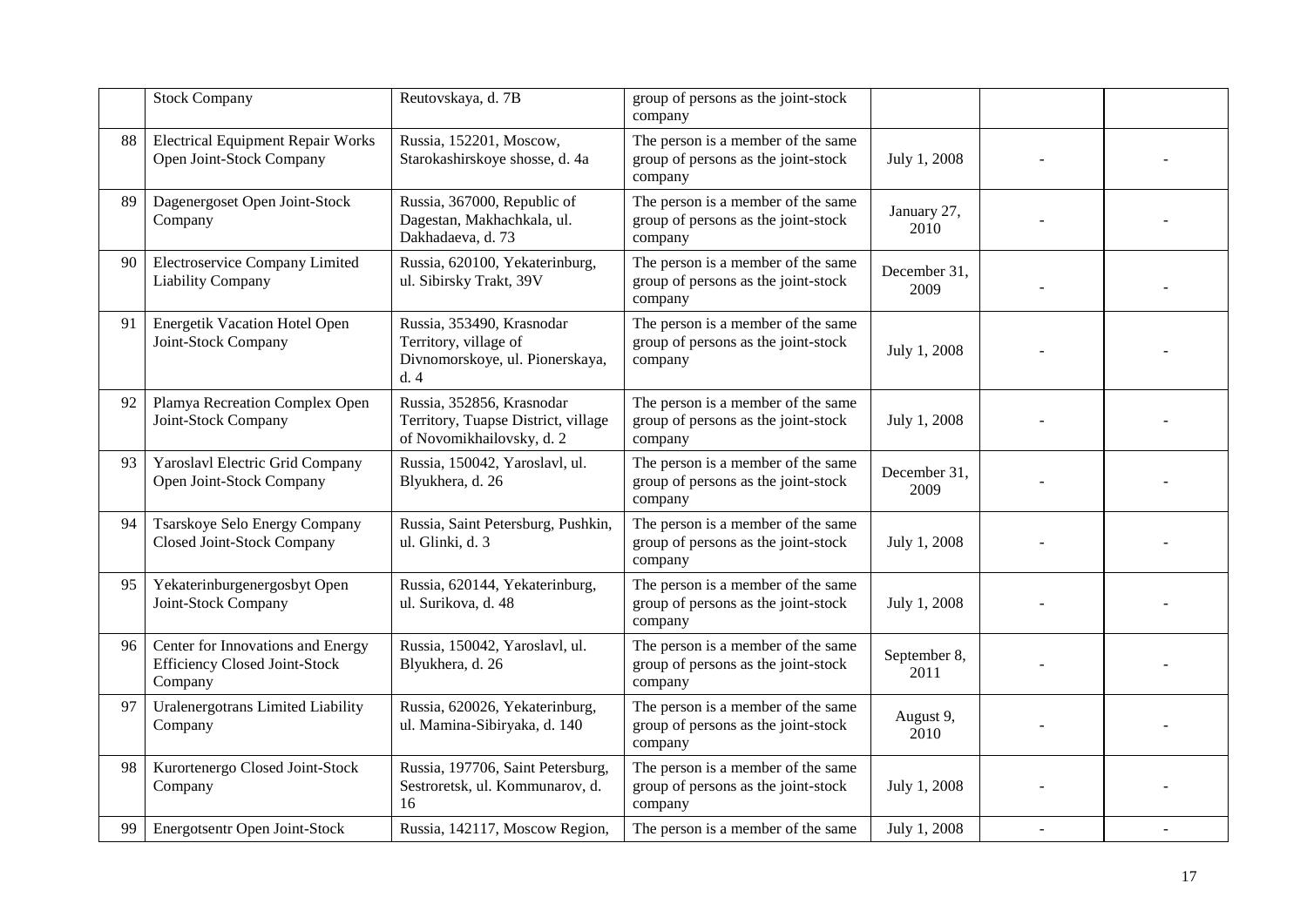|    | <b>Stock Company</b>                                                                 | Reutovskaya, d. 7B                                                                            | group of persons as the joint-stock<br>company                                       |                      |    |  |
|----|--------------------------------------------------------------------------------------|-----------------------------------------------------------------------------------------------|--------------------------------------------------------------------------------------|----------------------|----|--|
| 88 | <b>Electrical Equipment Repair Works</b><br>Open Joint-Stock Company                 | Russia, 152201, Moscow,<br>Starokashirskoye shosse, d. 4a                                     | The person is a member of the same<br>group of persons as the joint-stock<br>company | July 1, 2008         |    |  |
| 89 | Dagenergoset Open Joint-Stock<br>Company                                             | Russia, 367000, Republic of<br>Dagestan, Makhachkala, ul.<br>Dakhadaeva, d. 73                | The person is a member of the same<br>group of persons as the joint-stock<br>company | January 27,<br>2010  |    |  |
| 90 | Electroservice Company Limited<br>Liability Company                                  | Russia, 620100, Yekaterinburg,<br>ul. Sibirsky Trakt, 39V                                     | The person is a member of the same<br>group of persons as the joint-stock<br>company | December 31.<br>2009 |    |  |
| 91 | Energetik Vacation Hotel Open<br>Joint-Stock Company                                 | Russia, 353490, Krasnodar<br>Territory, village of<br>Divnomorskoye, ul. Pionerskaya,<br>d.4  | The person is a member of the same<br>group of persons as the joint-stock<br>company | July 1, 2008         |    |  |
| 92 | Plamya Recreation Complex Open<br>Joint-Stock Company                                | Russia, 352856, Krasnodar<br>Territory, Tuapse District, village<br>of Novomikhailovsky, d. 2 | The person is a member of the same<br>group of persons as the joint-stock<br>company | July 1, 2008         |    |  |
| 93 | Yaroslavl Electric Grid Company<br>Open Joint-Stock Company                          | Russia, 150042, Yaroslavl, ul.<br>Blyukhera, d. 26                                            | The person is a member of the same<br>group of persons as the joint-stock<br>company | December 31,<br>2009 |    |  |
| 94 | Tsarskoye Selo Energy Company<br>Closed Joint-Stock Company                          | Russia, Saint Petersburg, Pushkin,<br>ul. Glinki, d. 3                                        | The person is a member of the same<br>group of persons as the joint-stock<br>company | July 1, 2008         |    |  |
| 95 | Yekaterinburgenergosbyt Open<br>Joint-Stock Company                                  | Russia, 620144, Yekaterinburg,<br>ul. Surikova, d. 48                                         | The person is a member of the same<br>group of persons as the joint-stock<br>company | July 1, 2008         |    |  |
| 96 | Center for Innovations and Energy<br><b>Efficiency Closed Joint-Stock</b><br>Company | Russia, 150042, Yaroslavl, ul.<br>Blyukhera, d. 26                                            | The person is a member of the same<br>group of persons as the joint-stock<br>company | September 8,<br>2011 |    |  |
| 97 | Uralenergotrans Limited Liability<br>Company                                         | Russia, 620026, Yekaterinburg,<br>ul. Mamina-Sibiryaka, d. 140                                | The person is a member of the same<br>group of persons as the joint-stock<br>company | August 9,<br>2010    |    |  |
| 98 | Kurortenergo Closed Joint-Stock<br>Company                                           | Russia, 197706, Saint Petersburg,<br>Sestroretsk, ul. Kommunarov, d.<br>16                    | The person is a member of the same<br>group of persons as the joint-stock<br>company | July 1, 2008         |    |  |
| 99 | Energotsentr Open Joint-Stock                                                        | Russia, 142117, Moscow Region,                                                                | The person is a member of the same                                                   | July 1, 2008         | ÷, |  |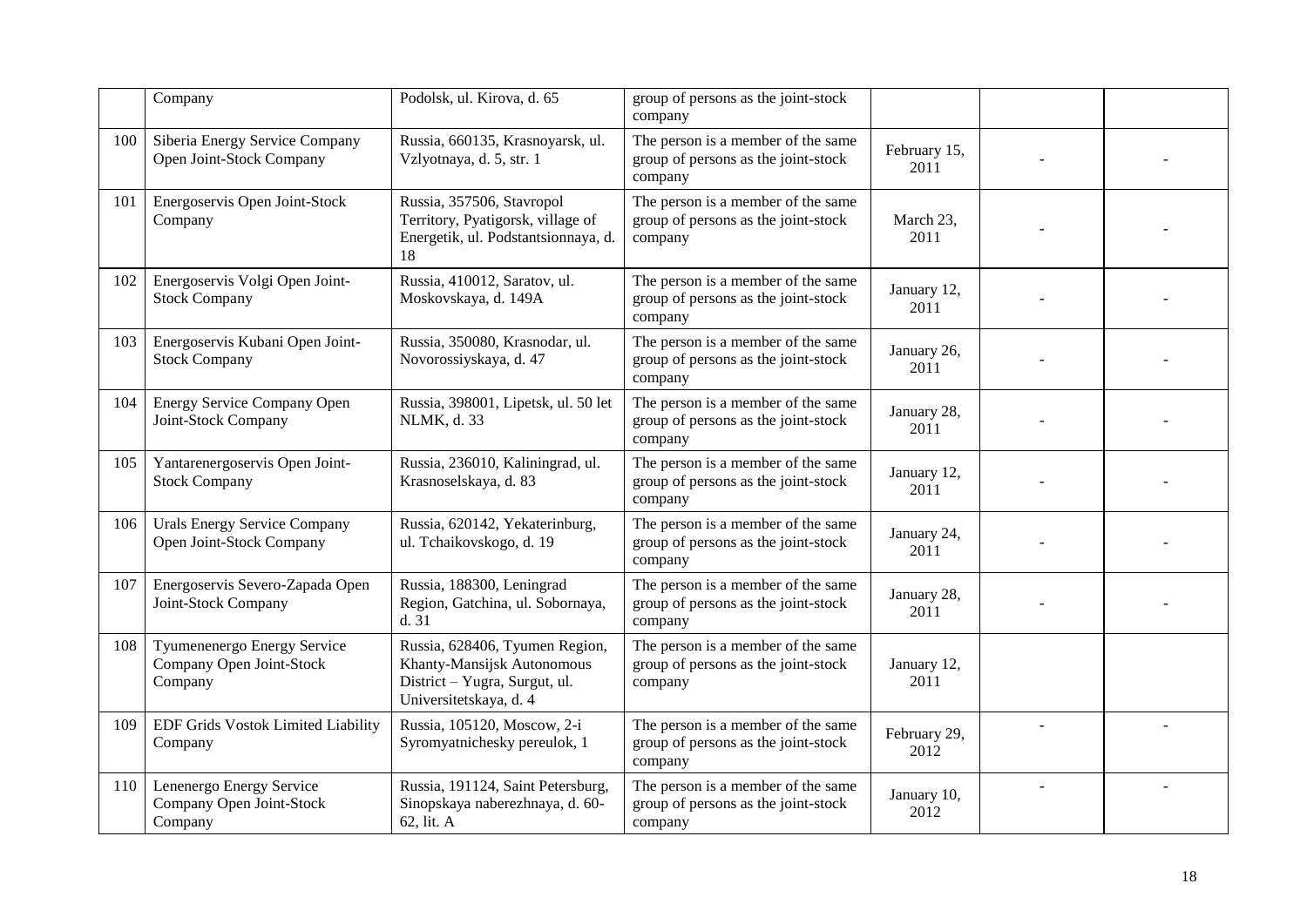|     | Company                                                            | Podolsk, ul. Kirova, d. 65                                                                                              | group of persons as the joint-stock<br>company                                       |                      |  |
|-----|--------------------------------------------------------------------|-------------------------------------------------------------------------------------------------------------------------|--------------------------------------------------------------------------------------|----------------------|--|
| 100 | Siberia Energy Service Company<br>Open Joint-Stock Company         | Russia, 660135, Krasnoyarsk, ul.<br>Vzlyotnaya, d. 5, str. 1                                                            | The person is a member of the same<br>group of persons as the joint-stock<br>company | February 15,<br>2011 |  |
| 101 | Energoservis Open Joint-Stock<br>Company                           | Russia, 357506, Stavropol<br>Territory, Pyatigorsk, village of<br>Energetik, ul. Podstantsionnaya, d.<br>18             | The person is a member of the same<br>group of persons as the joint-stock<br>company | March 23,<br>2011    |  |
| 102 | Energoservis Volgi Open Joint-<br><b>Stock Company</b>             | Russia, 410012, Saratov, ul.<br>Moskovskaya, d. 149A                                                                    | The person is a member of the same<br>group of persons as the joint-stock<br>company | January 12,<br>2011  |  |
| 103 | Energoservis Kubani Open Joint-<br><b>Stock Company</b>            | Russia, 350080, Krasnodar, ul.<br>Novorossiyskaya, d. 47                                                                | The person is a member of the same<br>group of persons as the joint-stock<br>company | January 26,<br>2011  |  |
| 104 | Energy Service Company Open<br>Joint-Stock Company                 | Russia, 398001, Lipetsk, ul. 50 let<br>NLMK, d. 33                                                                      | The person is a member of the same<br>group of persons as the joint-stock<br>company | January 28,<br>2011  |  |
| 105 | Yantarenergoservis Open Joint-<br><b>Stock Company</b>             | Russia, 236010, Kaliningrad, ul.<br>Krasnoselskaya, d. 83                                                               | The person is a member of the same<br>group of persons as the joint-stock<br>company | January 12,<br>2011  |  |
| 106 | <b>Urals Energy Service Company</b><br>Open Joint-Stock Company    | Russia, 620142, Yekaterinburg,<br>ul. Tchaikovskogo, d. 19                                                              | The person is a member of the same<br>group of persons as the joint-stock<br>company | January 24,<br>2011  |  |
| 107 | Energoservis Severo-Zapada Open<br>Joint-Stock Company             | Russia, 188300, Leningrad<br>Region, Gatchina, ul. Sobornaya,<br>d.31                                                   | The person is a member of the same<br>group of persons as the joint-stock<br>company | January 28,<br>2011  |  |
| 108 | Tyumenenergo Energy Service<br>Company Open Joint-Stock<br>Company | Russia, 628406, Tyumen Region,<br>Khanty-Mansijsk Autonomous<br>District - Yugra, Surgut, ul.<br>Universitetskaya, d. 4 | The person is a member of the same<br>group of persons as the joint-stock<br>company | January 12,<br>2011  |  |
| 109 | EDF Grids Vostok Limited Liability<br>Company                      | Russia, 105120, Moscow, 2-i<br>Syromyatnichesky pereulok, 1                                                             | The person is a member of the same<br>group of persons as the joint-stock<br>company | February 29,<br>2012 |  |
| 110 | Lenenergo Energy Service<br>Company Open Joint-Stock<br>Company    | Russia, 191124, Saint Petersburg,<br>Sinopskaya naberezhnaya, d. 60-<br>62, lit. A                                      | The person is a member of the same<br>group of persons as the joint-stock<br>company | January 10,<br>2012  |  |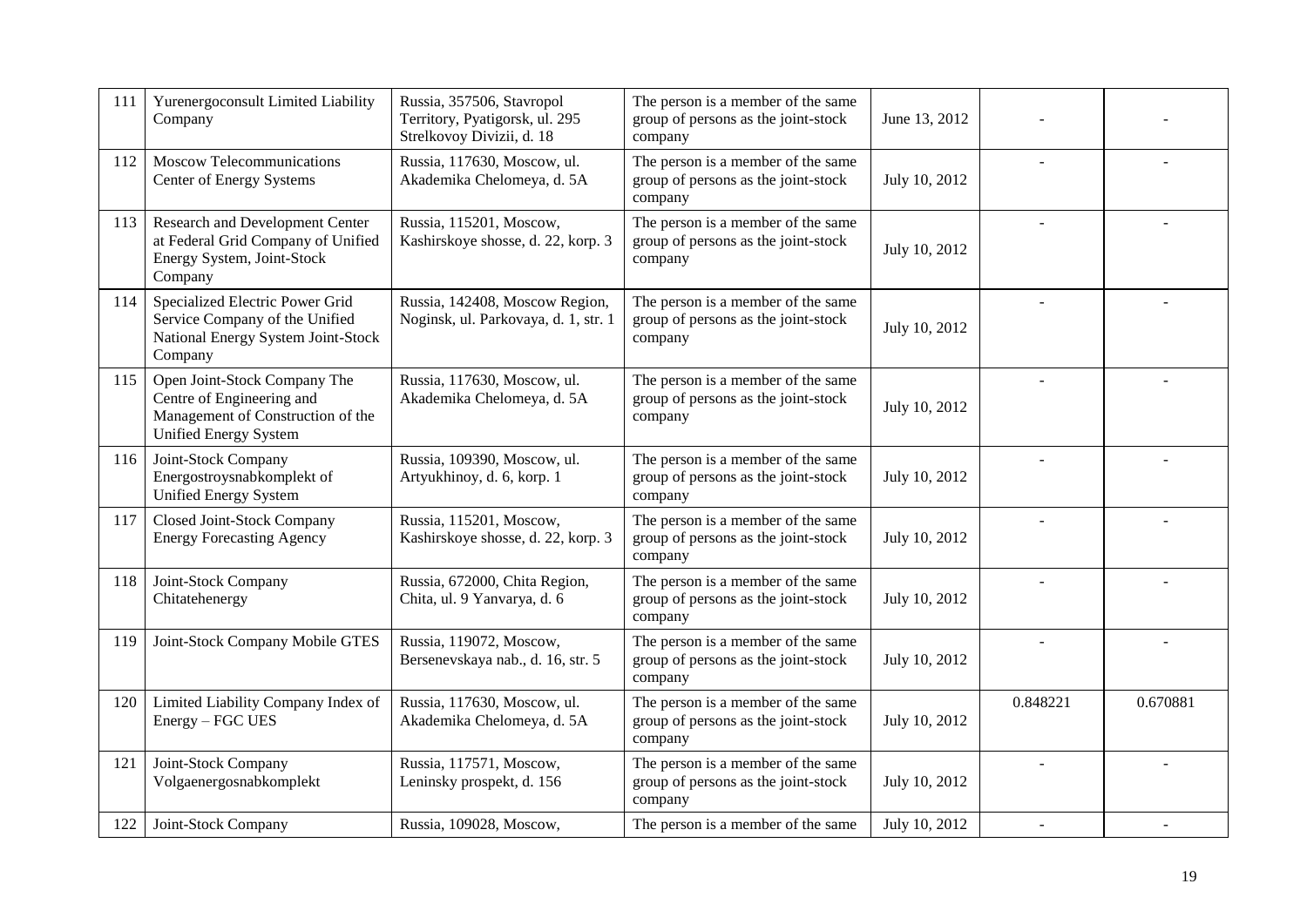| 111 | Yurenergoconsult Limited Liability<br>Company                                                                                  | Russia, 357506, Stavropol<br>Territory, Pyatigorsk, ul. 295<br>Strelkovoy Divizii, d. 18 | The person is a member of the same<br>group of persons as the joint-stock<br>company | June 13, 2012 |                |          |
|-----|--------------------------------------------------------------------------------------------------------------------------------|------------------------------------------------------------------------------------------|--------------------------------------------------------------------------------------|---------------|----------------|----------|
| 112 | Moscow Telecommunications<br>Center of Energy Systems                                                                          | Russia, 117630, Moscow, ul.<br>Akademika Chelomeya, d. 5A                                | The person is a member of the same<br>group of persons as the joint-stock<br>company | July 10, 2012 |                |          |
| 113 | Research and Development Center<br>at Federal Grid Company of Unified<br>Energy System, Joint-Stock<br>Company                 | Russia, 115201, Moscow,<br>Kashirskoye shosse, d. 22, korp. 3                            | The person is a member of the same<br>group of persons as the joint-stock<br>company | July 10, 2012 | $\overline{a}$ |          |
| 114 | Specialized Electric Power Grid<br>Service Company of the Unified<br>National Energy System Joint-Stock<br>Company             | Russia, 142408, Moscow Region,<br>Noginsk, ul. Parkovaya, d. 1, str. 1                   | The person is a member of the same<br>group of persons as the joint-stock<br>company | July 10, 2012 | $\overline{a}$ |          |
| 115 | Open Joint-Stock Company The<br>Centre of Engineering and<br>Management of Construction of the<br><b>Unified Energy System</b> | Russia, 117630, Moscow, ul.<br>Akademika Chelomeya, d. 5A                                | The person is a member of the same<br>group of persons as the joint-stock<br>company | July 10, 2012 |                |          |
| 116 | Joint-Stock Company<br>Energostroysnabkomplekt of<br><b>Unified Energy System</b>                                              | Russia, 109390, Moscow, ul.<br>Artyukhinoy, d. 6, korp. 1                                | The person is a member of the same<br>group of persons as the joint-stock<br>company | July 10, 2012 |                |          |
| 117 | Closed Joint-Stock Company<br><b>Energy Forecasting Agency</b>                                                                 | Russia, 115201, Moscow,<br>Kashirskoye shosse, d. 22, korp. 3                            | The person is a member of the same<br>group of persons as the joint-stock<br>company | July 10, 2012 |                |          |
| 118 | Joint-Stock Company<br>Chitatehenergy                                                                                          | Russia, 672000, Chita Region,<br>Chita, ul. 9 Yanvarya, d. 6                             | The person is a member of the same<br>group of persons as the joint-stock<br>company | July 10, 2012 |                |          |
| 119 | Joint-Stock Company Mobile GTES                                                                                                | Russia, 119072, Moscow,<br>Bersenevskaya nab., d. 16, str. 5                             | The person is a member of the same<br>group of persons as the joint-stock<br>company | July 10, 2012 | $\sim$         |          |
| 120 | Limited Liability Company Index of<br>Energy - FGC UES                                                                         | Russia, 117630, Moscow, ul.<br>Akademika Chelomeya, d. 5A                                | The person is a member of the same<br>group of persons as the joint-stock<br>company | July 10, 2012 | 0.848221       | 0.670881 |
| 121 | Joint-Stock Company<br>Volgaenergosnabkomplekt                                                                                 | Russia, 117571, Moscow,<br>Leninsky prospekt, d. 156                                     | The person is a member of the same<br>group of persons as the joint-stock<br>company | July 10, 2012 |                |          |
| 122 | Joint-Stock Company                                                                                                            | Russia, 109028, Moscow,                                                                  | The person is a member of the same                                                   | July 10, 2012 |                |          |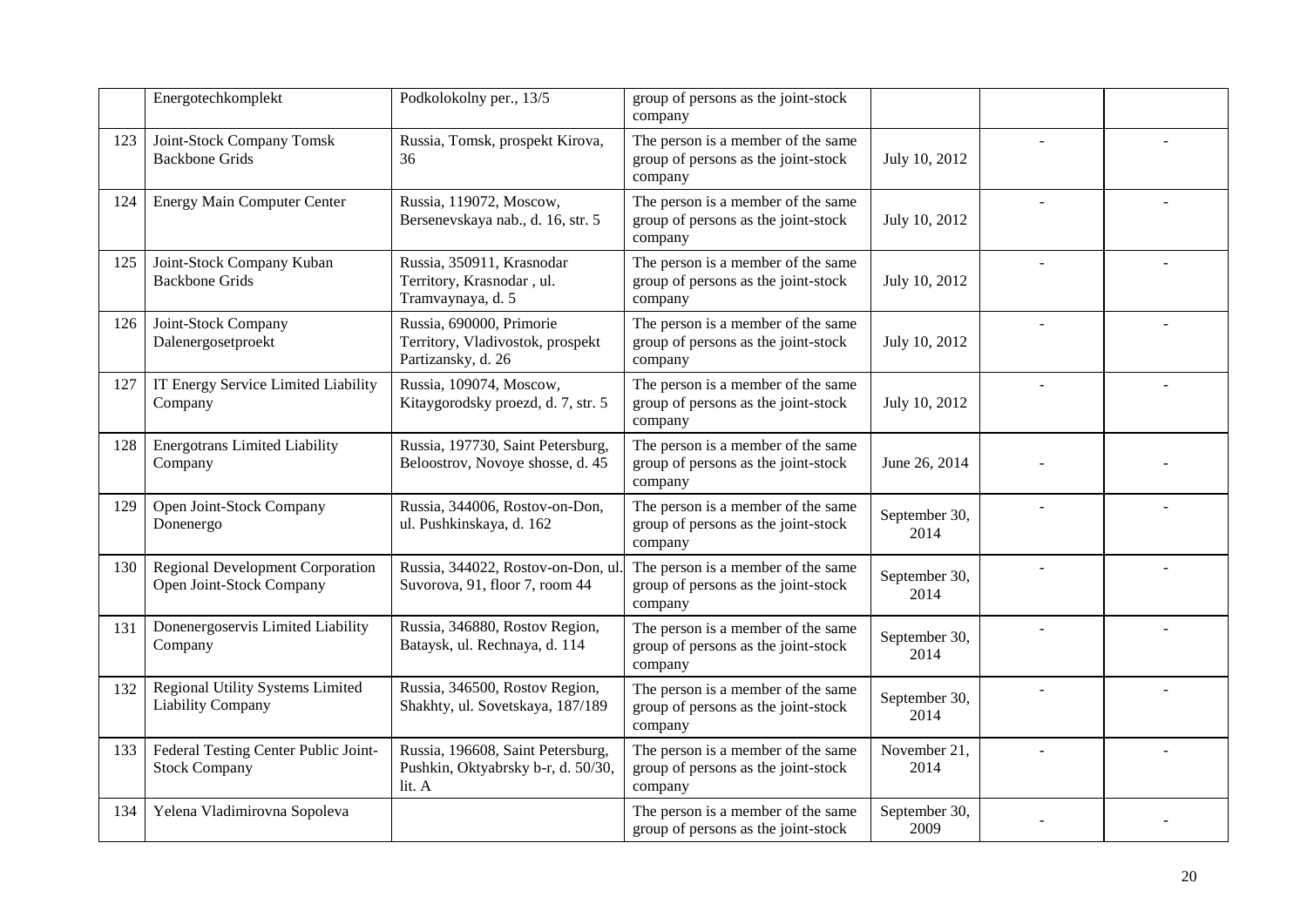|     | Energotechkomplekt                                                  | Podkolokolny per., 13/5                                                            | group of persons as the joint-stock<br>company                                       |                       |        |  |
|-----|---------------------------------------------------------------------|------------------------------------------------------------------------------------|--------------------------------------------------------------------------------------|-----------------------|--------|--|
| 123 | Joint-Stock Company Tomsk<br><b>Backbone Grids</b>                  | Russia, Tomsk, prospekt Kirova,<br>36                                              | The person is a member of the same<br>group of persons as the joint-stock<br>company | July 10, 2012         |        |  |
| 124 | <b>Energy Main Computer Center</b>                                  | Russia, 119072, Moscow,<br>Bersenevskaya nab., d. 16, str. 5                       | The person is a member of the same<br>group of persons as the joint-stock<br>company | July 10, 2012         | $\sim$ |  |
| 125 | Joint-Stock Company Kuban<br><b>Backbone Grids</b>                  | Russia, 350911, Krasnodar<br>Territory, Krasnodar, ul.<br>Tramvaynaya, d. 5        | The person is a member of the same<br>group of persons as the joint-stock<br>company | July 10, 2012         |        |  |
| 126 | Joint-Stock Company<br>Dalenergosetproekt                           | Russia, 690000, Primorie<br>Territory, Vladivostok, prospekt<br>Partizansky, d. 26 | The person is a member of the same<br>group of persons as the joint-stock<br>company | July 10, 2012         |        |  |
| 127 | IT Energy Service Limited Liability<br>Company                      | Russia, 109074, Moscow,<br>Kitaygorodsky proezd, d. 7, str. 5                      | The person is a member of the same<br>group of persons as the joint-stock<br>company | July 10, 2012         |        |  |
| 128 | <b>Energotrans Limited Liability</b><br>Company                     | Russia, 197730, Saint Petersburg,<br>Beloostrov, Novoye shosse, d. 45              | The person is a member of the same<br>group of persons as the joint-stock<br>company | June 26, 2014         |        |  |
| 129 | Open Joint-Stock Company<br>Donenergo                               | Russia, 344006, Rostov-on-Don,<br>ul. Pushkinskaya, d. 162                         | The person is a member of the same<br>group of persons as the joint-stock<br>company | September 30,<br>2014 |        |  |
| 130 | <b>Regional Development Corporation</b><br>Open Joint-Stock Company | Russia, 344022, Rostov-on-Don, ul.<br>Suvorova, 91, floor 7, room 44               | The person is a member of the same<br>group of persons as the joint-stock<br>company | September 30,<br>2014 |        |  |
| 131 | Donenergoservis Limited Liability<br>Company                        | Russia, 346880, Rostov Region,<br>Bataysk, ul. Rechnaya, d. 114                    | The person is a member of the same<br>group of persons as the joint-stock<br>company | September 30,<br>2014 |        |  |
| 132 | Regional Utility Systems Limited<br><b>Liability Company</b>        | Russia, 346500, Rostov Region,<br>Shakhty, ul. Sovetskaya, 187/189                 | The person is a member of the same<br>group of persons as the joint-stock<br>company | September 30,<br>2014 |        |  |
| 133 | Federal Testing Center Public Joint-<br><b>Stock Company</b>        | Russia, 196608, Saint Petersburg,<br>Pushkin, Oktyabrsky b-r, d. 50/30,<br>lit. A  | The person is a member of the same<br>group of persons as the joint-stock<br>company | November 21,<br>2014  |        |  |
| 134 | Yelena Vladimirovna Sopoleva                                        |                                                                                    | The person is a member of the same<br>group of persons as the joint-stock            | September 30,<br>2009 |        |  |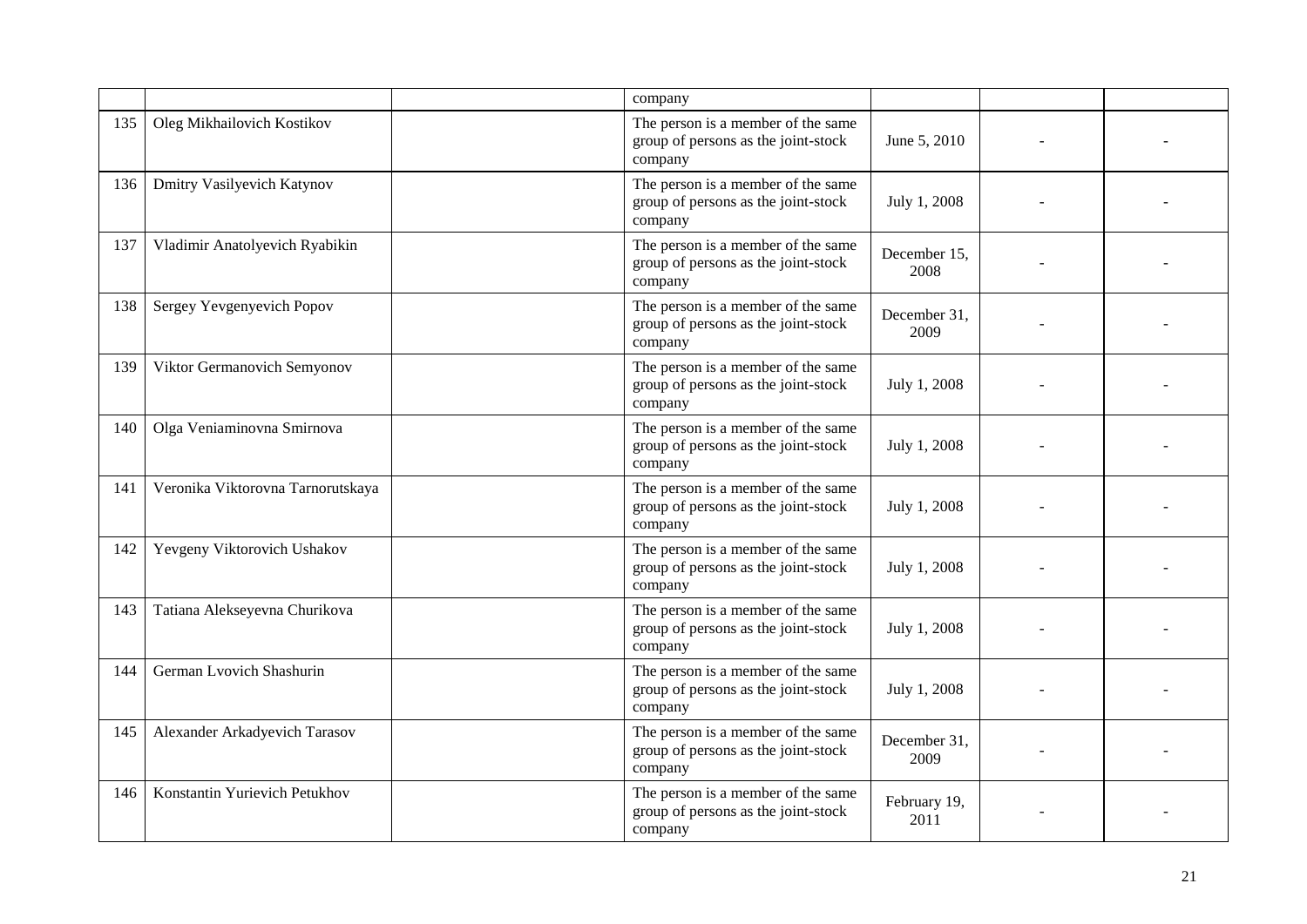|     |                                   | company                                                                              |                      |  |
|-----|-----------------------------------|--------------------------------------------------------------------------------------|----------------------|--|
| 135 | Oleg Mikhailovich Kostikov        | The person is a member of the same<br>group of persons as the joint-stock<br>company | June 5, 2010         |  |
| 136 | Dmitry Vasilyevich Katynov        | The person is a member of the same<br>group of persons as the joint-stock<br>company | July 1, 2008         |  |
| 137 | Vladimir Anatolyevich Ryabikin    | The person is a member of the same<br>group of persons as the joint-stock<br>company | December 15,<br>2008 |  |
| 138 | Sergey Yevgenyevich Popov         | The person is a member of the same<br>group of persons as the joint-stock<br>company | December 31,<br>2009 |  |
| 139 | Viktor Germanovich Semyonov       | The person is a member of the same<br>group of persons as the joint-stock<br>company | July 1, 2008         |  |
| 140 | Olga Veniaminovna Smirnova        | The person is a member of the same<br>group of persons as the joint-stock<br>company | July 1, 2008         |  |
| 141 | Veronika Viktorovna Tarnorutskaya | The person is a member of the same<br>group of persons as the joint-stock<br>company | July 1, 2008         |  |
| 142 | Yevgeny Viktorovich Ushakov       | The person is a member of the same<br>group of persons as the joint-stock<br>company | July 1, 2008         |  |
| 143 | Tatiana Alekseyevna Churikova     | The person is a member of the same<br>group of persons as the joint-stock<br>company | July 1, 2008         |  |
| 144 | German Lvovich Shashurin          | The person is a member of the same<br>group of persons as the joint-stock<br>company | July 1, 2008         |  |
| 145 | Alexander Arkadyevich Tarasov     | The person is a member of the same<br>group of persons as the joint-stock<br>company | December 31,<br>2009 |  |
| 146 | Konstantin Yurievich Petukhov     | The person is a member of the same<br>group of persons as the joint-stock<br>company | February 19,<br>2011 |  |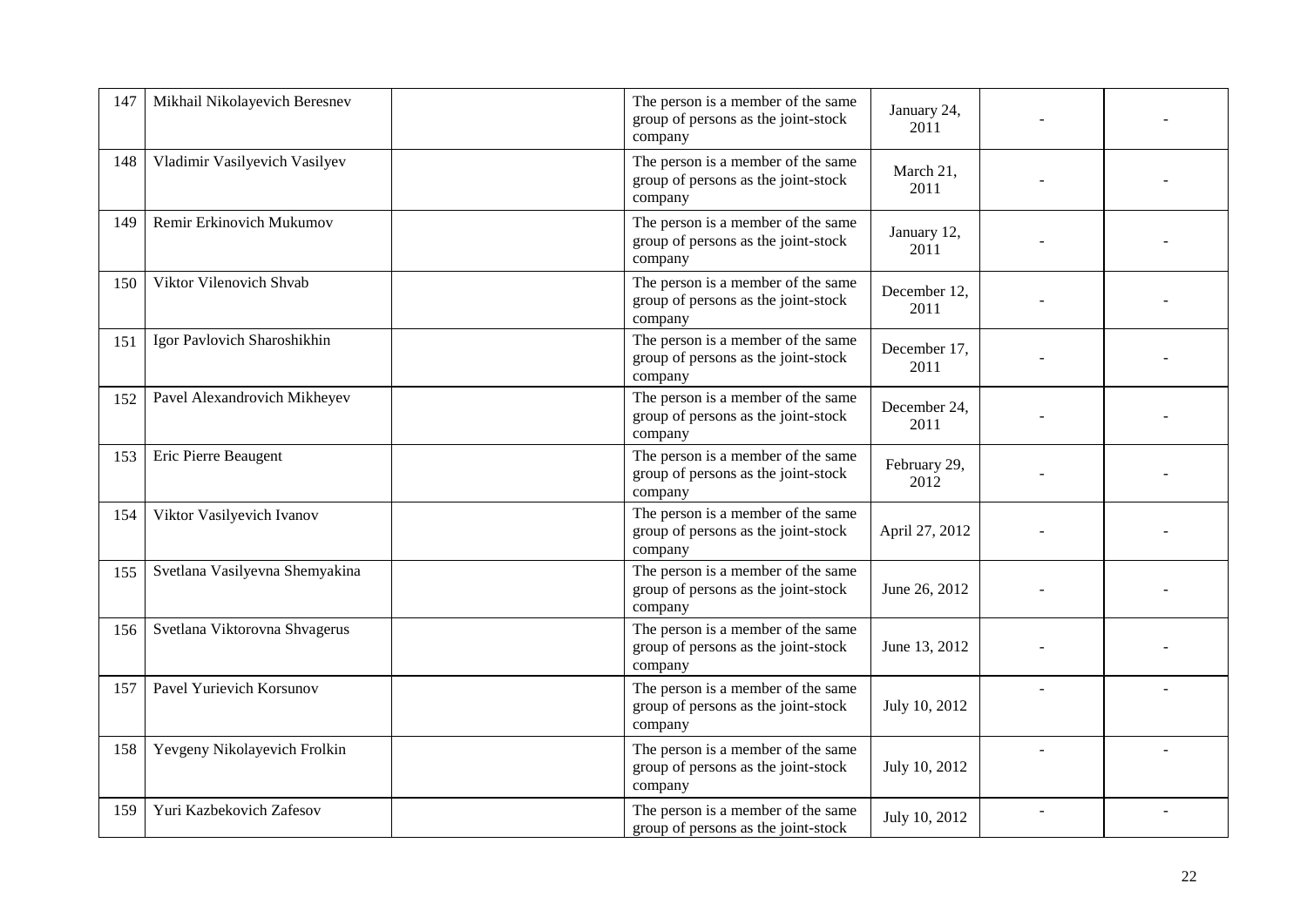| 147 | Mikhail Nikolayevich Beresnev  | The person is a member of the same<br>group of persons as the joint-stock<br>company | January 24,<br>2011  |  |
|-----|--------------------------------|--------------------------------------------------------------------------------------|----------------------|--|
| 148 | Vladimir Vasilyevich Vasilyev  | The person is a member of the same<br>group of persons as the joint-stock<br>company | March 21,<br>2011    |  |
| 149 | Remir Erkinovich Mukumov       | The person is a member of the same<br>group of persons as the joint-stock<br>company | January 12,<br>2011  |  |
| 150 | Viktor Vilenovich Shvab        | The person is a member of the same<br>group of persons as the joint-stock<br>company | December 12,<br>2011 |  |
| 151 | Igor Pavlovich Sharoshikhin    | The person is a member of the same<br>group of persons as the joint-stock<br>company | December 17,<br>2011 |  |
| 152 | Pavel Alexandrovich Mikheyev   | The person is a member of the same<br>group of persons as the joint-stock<br>company | December 24,<br>2011 |  |
| 153 | Eric Pierre Beaugent           | The person is a member of the same<br>group of persons as the joint-stock<br>company | February 29,<br>2012 |  |
| 154 | Viktor Vasilyevich Ivanov      | The person is a member of the same<br>group of persons as the joint-stock<br>company | April 27, 2012       |  |
| 155 | Svetlana Vasilyevna Shemyakina | The person is a member of the same<br>group of persons as the joint-stock<br>company | June 26, 2012        |  |
| 156 | Svetlana Viktorovna Shvagerus  | The person is a member of the same<br>group of persons as the joint-stock<br>company | June 13, 2012        |  |
| 157 | Pavel Yurievich Korsunov       | The person is a member of the same<br>group of persons as the joint-stock<br>company | July 10, 2012        |  |
| 158 | Yevgeny Nikolayevich Frolkin   | The person is a member of the same<br>group of persons as the joint-stock<br>company | July 10, 2012        |  |
| 159 | Yuri Kazbekovich Zafesov       | The person is a member of the same<br>group of persons as the joint-stock            | July 10, 2012        |  |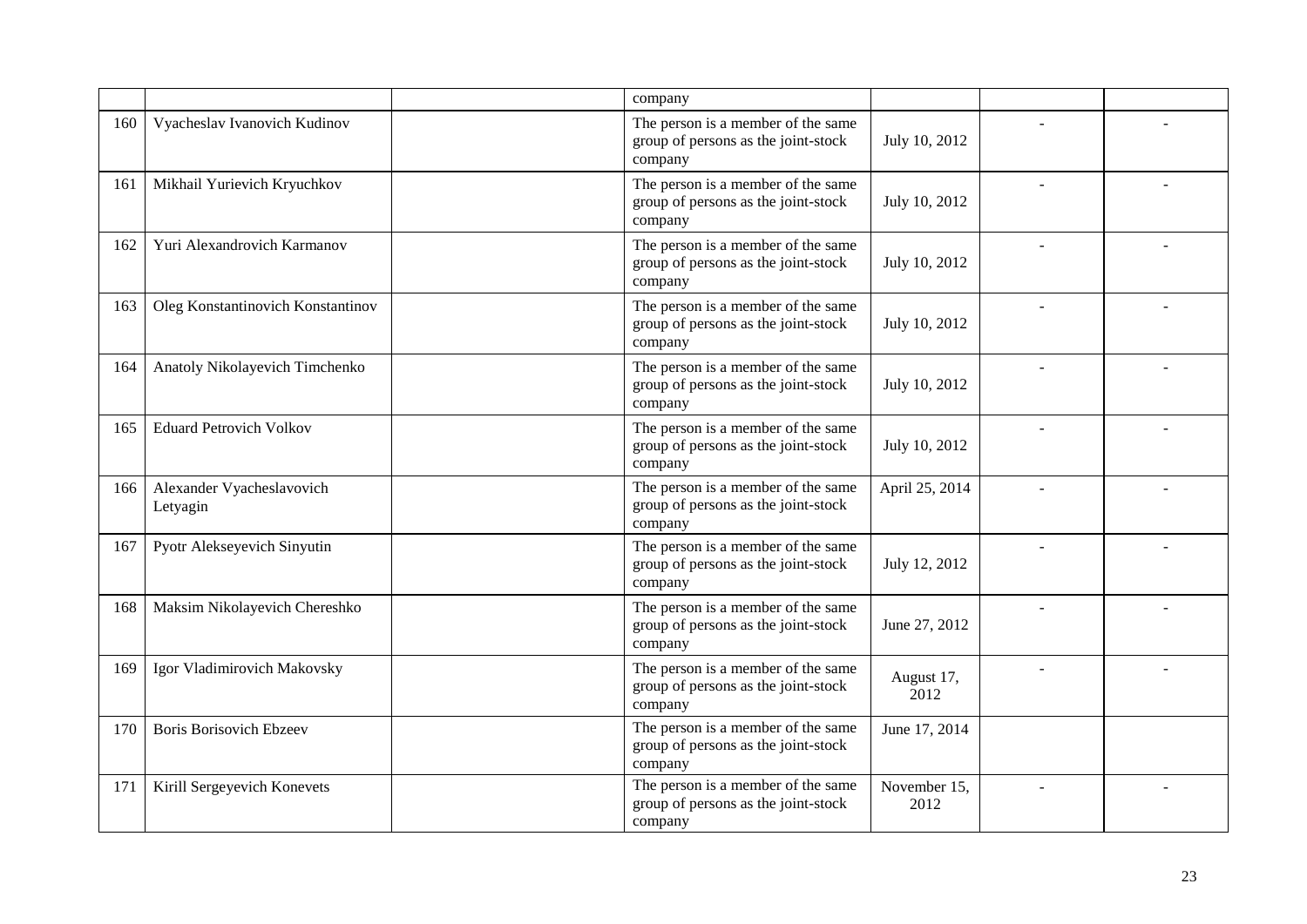|     |                                       | company                                                                              |                      |  |
|-----|---------------------------------------|--------------------------------------------------------------------------------------|----------------------|--|
| 160 | Vyacheslav Ivanovich Kudinov          | The person is a member of the same<br>group of persons as the joint-stock<br>company | July 10, 2012        |  |
| 161 | Mikhail Yurievich Kryuchkov           | The person is a member of the same<br>group of persons as the joint-stock<br>company | July 10, 2012        |  |
| 162 | Yuri Alexandrovich Karmanov           | The person is a member of the same<br>group of persons as the joint-stock<br>company | July 10, 2012        |  |
| 163 | Oleg Konstantinovich Konstantinov     | The person is a member of the same<br>group of persons as the joint-stock<br>company | July 10, 2012        |  |
| 164 | Anatoly Nikolayevich Timchenko        | The person is a member of the same<br>group of persons as the joint-stock<br>company | July 10, 2012        |  |
| 165 | <b>Eduard Petrovich Volkov</b>        | The person is a member of the same<br>group of persons as the joint-stock<br>company | July 10, 2012        |  |
| 166 | Alexander Vyacheslavovich<br>Letyagin | The person is a member of the same<br>group of persons as the joint-stock<br>company | April 25, 2014       |  |
| 167 | Pyotr Alekseyevich Sinyutin           | The person is a member of the same<br>group of persons as the joint-stock<br>company | July 12, 2012        |  |
| 168 | Maksim Nikolayevich Chereshko         | The person is a member of the same<br>group of persons as the joint-stock<br>company | June 27, 2012        |  |
| 169 | Igor Vladimirovich Makovsky           | The person is a member of the same<br>group of persons as the joint-stock<br>company | August 17,<br>2012   |  |
| 170 | <b>Boris Borisovich Ebzeev</b>        | The person is a member of the same<br>group of persons as the joint-stock<br>company | June 17, 2014        |  |
| 171 | Kirill Sergeyevich Konevets           | The person is a member of the same<br>group of persons as the joint-stock<br>company | November 15,<br>2012 |  |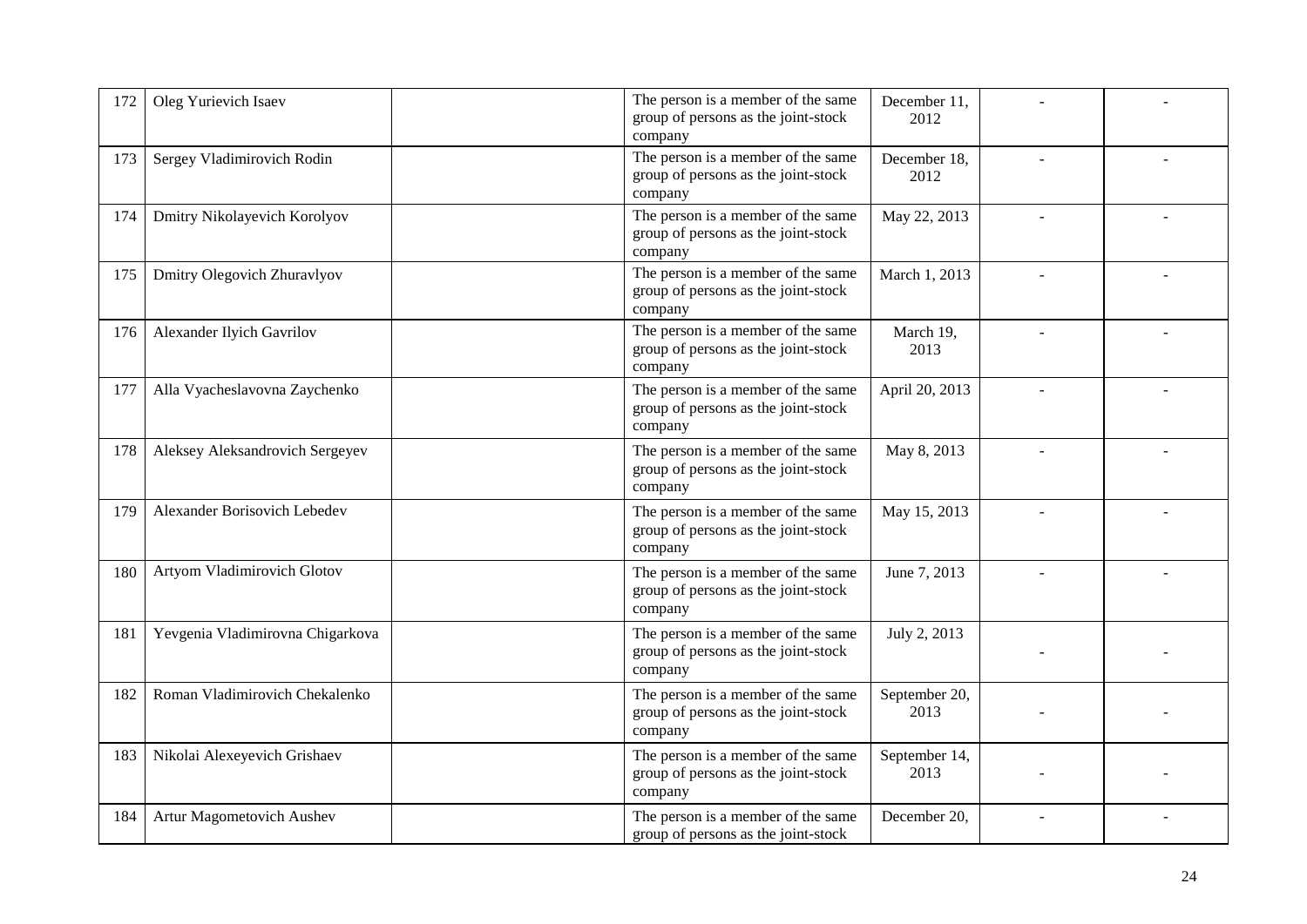| 172 | Oleg Yurievich Isaev             | The person is a member of the same<br>group of persons as the joint-stock<br>company | December 11,<br>2012  |  |
|-----|----------------------------------|--------------------------------------------------------------------------------------|-----------------------|--|
| 173 | Sergey Vladimirovich Rodin       | The person is a member of the same<br>group of persons as the joint-stock<br>company | December 18,<br>2012  |  |
| 174 | Dmitry Nikolayevich Korolyov     | The person is a member of the same<br>group of persons as the joint-stock<br>company | May 22, 2013          |  |
| 175 | Dmitry Olegovich Zhuravlyov      | The person is a member of the same<br>group of persons as the joint-stock<br>company | March 1, 2013         |  |
| 176 | Alexander Ilyich Gavrilov        | The person is a member of the same<br>group of persons as the joint-stock<br>company | March 19,<br>2013     |  |
| 177 | Alla Vyacheslavovna Zaychenko    | The person is a member of the same<br>group of persons as the joint-stock<br>company | April 20, 2013        |  |
| 178 | Aleksey Aleksandrovich Sergeyev  | The person is a member of the same<br>group of persons as the joint-stock<br>company | May 8, 2013           |  |
| 179 | Alexander Borisovich Lebedev     | The person is a member of the same<br>group of persons as the joint-stock<br>company | May 15, 2013          |  |
| 180 | Artyom Vladimirovich Glotov      | The person is a member of the same<br>group of persons as the joint-stock<br>company | June 7, 2013          |  |
| 181 | Yevgenia Vladimirovna Chigarkova | The person is a member of the same<br>group of persons as the joint-stock<br>company | July 2, 2013          |  |
| 182 | Roman Vladimirovich Chekalenko   | The person is a member of the same<br>group of persons as the joint-stock<br>company | September 20,<br>2013 |  |
| 183 | Nikolai Alexeyevich Grishaev     | The person is a member of the same<br>group of persons as the joint-stock<br>company | September 14,<br>2013 |  |
| 184 | Artur Magometovich Aushev        | The person is a member of the same<br>group of persons as the joint-stock            | December 20,          |  |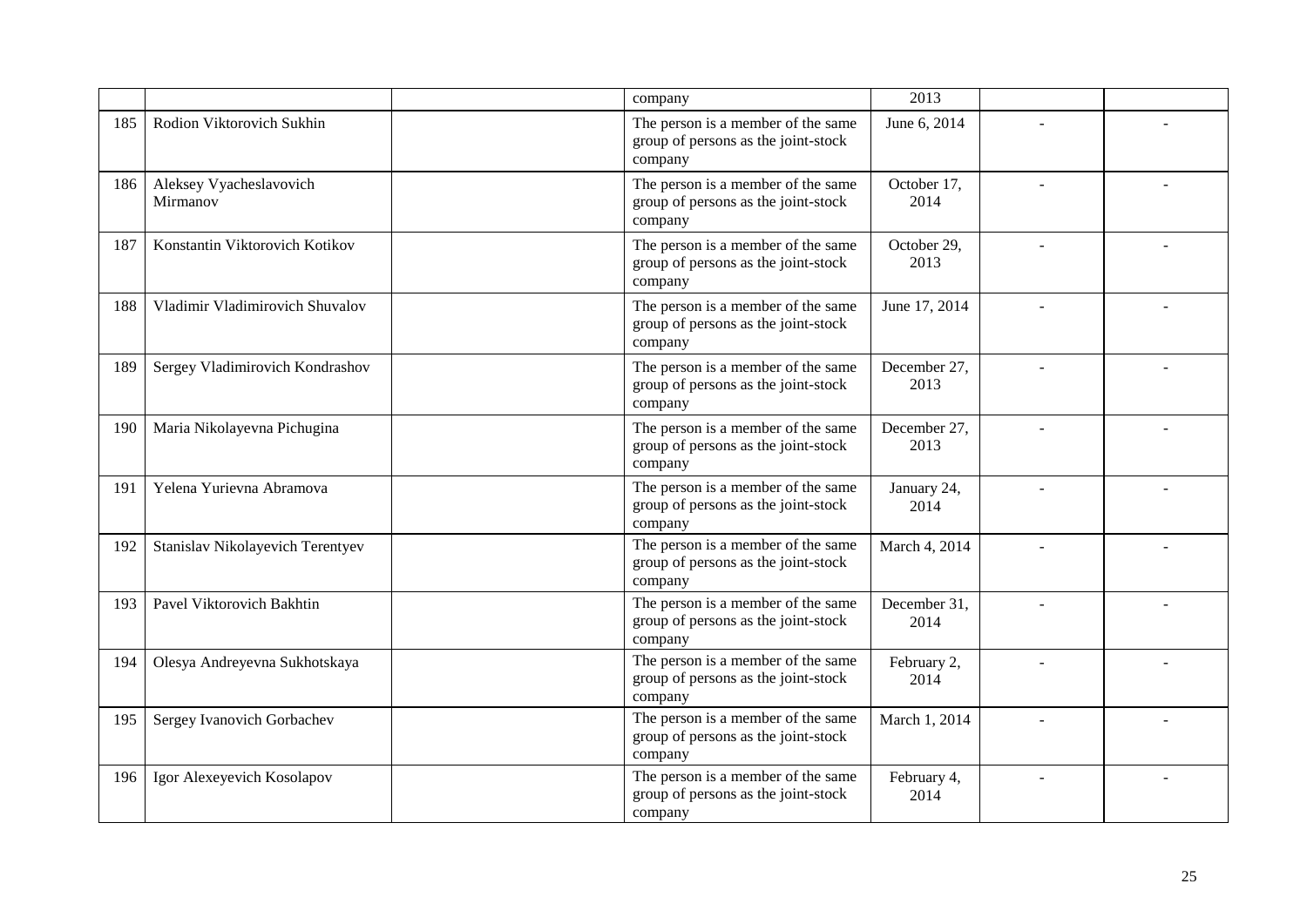|     |                                     | company                                                                              | 2013                 |  |
|-----|-------------------------------------|--------------------------------------------------------------------------------------|----------------------|--|
| 185 | Rodion Viktorovich Sukhin           | The person is a member of the same<br>group of persons as the joint-stock<br>company | June 6, 2014         |  |
| 186 | Aleksey Vyacheslavovich<br>Mirmanov | The person is a member of the same<br>group of persons as the joint-stock<br>company | October 17,<br>2014  |  |
| 187 | Konstantin Viktorovich Kotikov      | The person is a member of the same<br>group of persons as the joint-stock<br>company | October 29,<br>2013  |  |
| 188 | Vladimir Vladimirovich Shuvalov     | The person is a member of the same<br>group of persons as the joint-stock<br>company | June 17, 2014        |  |
| 189 | Sergey Vladimirovich Kondrashov     | The person is a member of the same<br>group of persons as the joint-stock<br>company | December 27,<br>2013 |  |
| 190 | Maria Nikolayevna Pichugina         | The person is a member of the same<br>group of persons as the joint-stock<br>company | December 27,<br>2013 |  |
| 191 | Yelena Yurievna Abramova            | The person is a member of the same<br>group of persons as the joint-stock<br>company | January 24,<br>2014  |  |
| 192 | Stanislav Nikolayevich Terentyev    | The person is a member of the same<br>group of persons as the joint-stock<br>company | March 4, 2014        |  |
| 193 | Pavel Viktorovich Bakhtin           | The person is a member of the same<br>group of persons as the joint-stock<br>company | December 31,<br>2014 |  |
| 194 | Olesya Andreyevna Sukhotskaya       | The person is a member of the same<br>group of persons as the joint-stock<br>company | February 2,<br>2014  |  |
| 195 | Sergey Ivanovich Gorbachev          | The person is a member of the same<br>group of persons as the joint-stock<br>company | March 1, 2014        |  |
| 196 | Igor Alexeyevich Kosolapov          | The person is a member of the same<br>group of persons as the joint-stock<br>company | February 4,<br>2014  |  |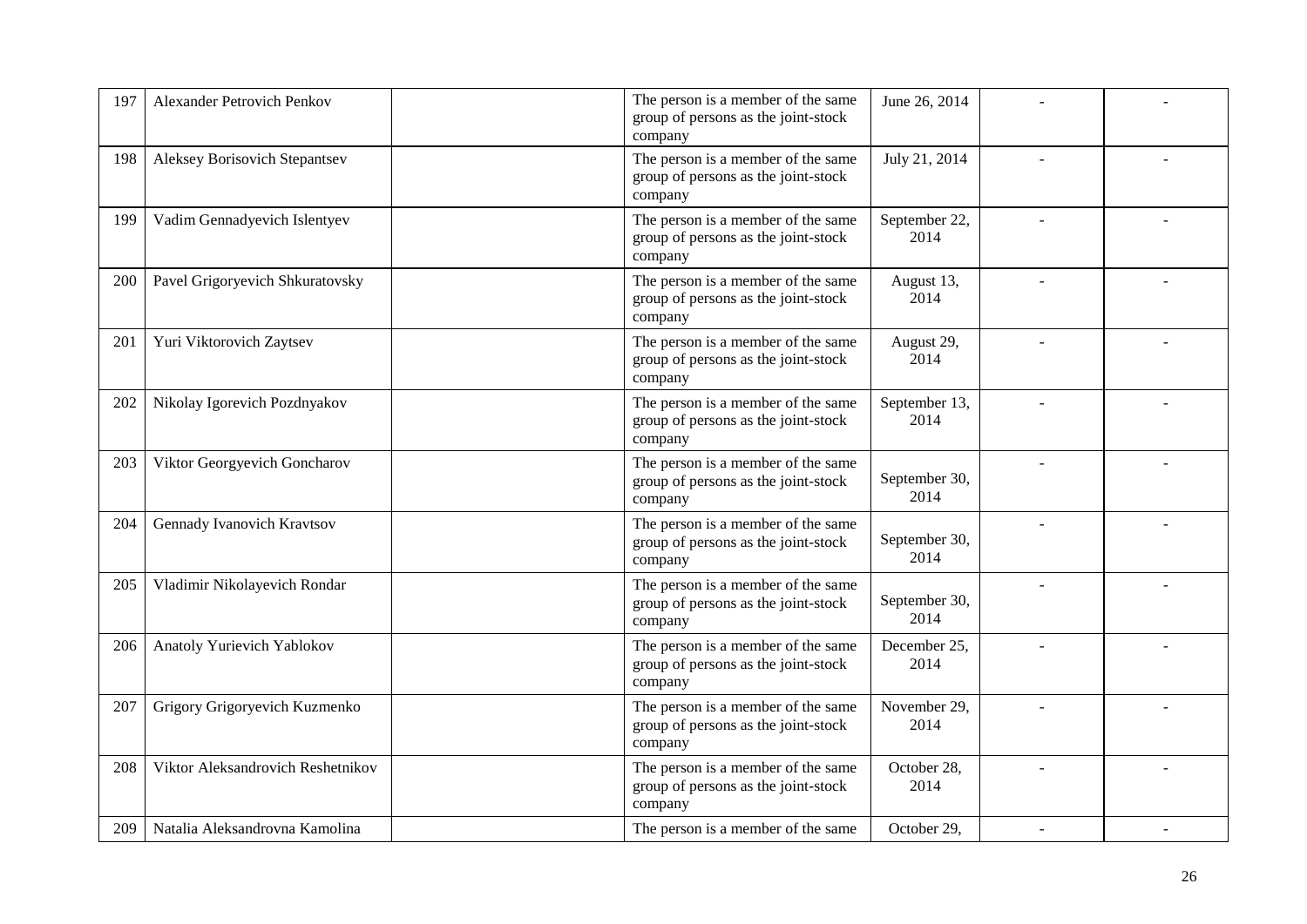| 197 | <b>Alexander Petrovich Penkov</b>    | The person is a member of the same<br>group of persons as the joint-stock<br>company | June 26, 2014         |  |
|-----|--------------------------------------|--------------------------------------------------------------------------------------|-----------------------|--|
| 198 | <b>Aleksey Borisovich Stepantsev</b> | The person is a member of the same<br>group of persons as the joint-stock<br>company | July 21, 2014         |  |
| 199 | Vadim Gennadyevich Islentyev         | The person is a member of the same<br>group of persons as the joint-stock<br>company | September 22,<br>2014 |  |
| 200 | Pavel Grigoryevich Shkuratovsky      | The person is a member of the same<br>group of persons as the joint-stock<br>company | August 13,<br>2014    |  |
| 201 | Yuri Viktorovich Zaytsev             | The person is a member of the same<br>group of persons as the joint-stock<br>company | August 29,<br>2014    |  |
| 202 | Nikolay Igorevich Pozdnyakov         | The person is a member of the same<br>group of persons as the joint-stock<br>company | September 13,<br>2014 |  |
| 203 | Viktor Georgyevich Goncharov         | The person is a member of the same<br>group of persons as the joint-stock<br>company | September 30,<br>2014 |  |
| 204 | Gennady Ivanovich Kravtsov           | The person is a member of the same<br>group of persons as the joint-stock<br>company | September 30,<br>2014 |  |
| 205 | Vladimir Nikolayevich Rondar         | The person is a member of the same<br>group of persons as the joint-stock<br>company | September 30,<br>2014 |  |
| 206 | Anatoly Yurievich Yablokov           | The person is a member of the same<br>group of persons as the joint-stock<br>company | December 25,<br>2014  |  |
| 207 | Grigory Grigoryevich Kuzmenko        | The person is a member of the same<br>group of persons as the joint-stock<br>company | November 29,<br>2014  |  |
| 208 | Viktor Aleksandrovich Reshetnikov    | The person is a member of the same<br>group of persons as the joint-stock<br>company | October 28,<br>2014   |  |
| 209 | Natalia Aleksandrovna Kamolina       | The person is a member of the same                                                   | October 29,           |  |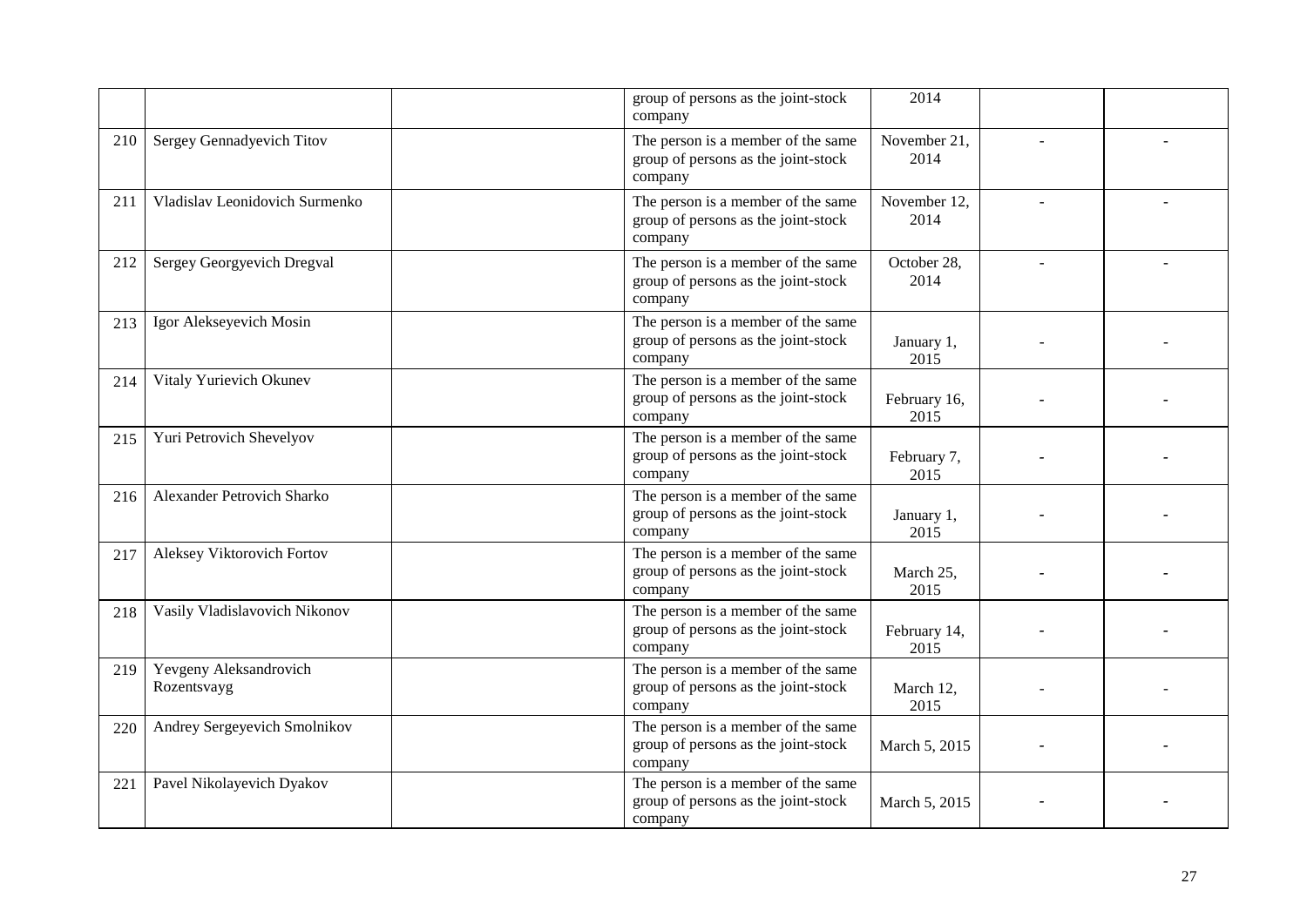|     |                                       | group of persons as the joint-stock<br>company                                       | 2014                 |  |
|-----|---------------------------------------|--------------------------------------------------------------------------------------|----------------------|--|
| 210 | Sergey Gennadyevich Titov             | The person is a member of the same<br>group of persons as the joint-stock<br>company | November 21,<br>2014 |  |
| 211 | Vladislav Leonidovich Surmenko        | The person is a member of the same<br>group of persons as the joint-stock<br>company | November 12,<br>2014 |  |
| 212 | Sergey Georgyevich Dregval            | The person is a member of the same<br>group of persons as the joint-stock<br>company | October 28,<br>2014  |  |
| 213 | Igor Alekseyevich Mosin               | The person is a member of the same<br>group of persons as the joint-stock<br>company | January 1,<br>2015   |  |
| 214 | Vitaly Yurievich Okunev               | The person is a member of the same<br>group of persons as the joint-stock<br>company | February 16,<br>2015 |  |
| 215 | Yuri Petrovich Shevelyov              | The person is a member of the same<br>group of persons as the joint-stock<br>company | February 7,<br>2015  |  |
| 216 | Alexander Petrovich Sharko            | The person is a member of the same<br>group of persons as the joint-stock<br>company | January 1,<br>2015   |  |
| 217 | Aleksey Viktorovich Fortov            | The person is a member of the same<br>group of persons as the joint-stock<br>company | March 25,<br>2015    |  |
| 218 | Vasily Vladislavovich Nikonov         | The person is a member of the same<br>group of persons as the joint-stock<br>company | February 14,<br>2015 |  |
| 219 | Yevgeny Aleksandrovich<br>Rozentsvayg | The person is a member of the same<br>group of persons as the joint-stock<br>company | March 12,<br>2015    |  |
| 220 | Andrey Sergeyevich Smolnikov          | The person is a member of the same<br>group of persons as the joint-stock<br>company | March 5, 2015        |  |
| 221 | Pavel Nikolayevich Dyakov             | The person is a member of the same<br>group of persons as the joint-stock<br>company | March 5, 2015        |  |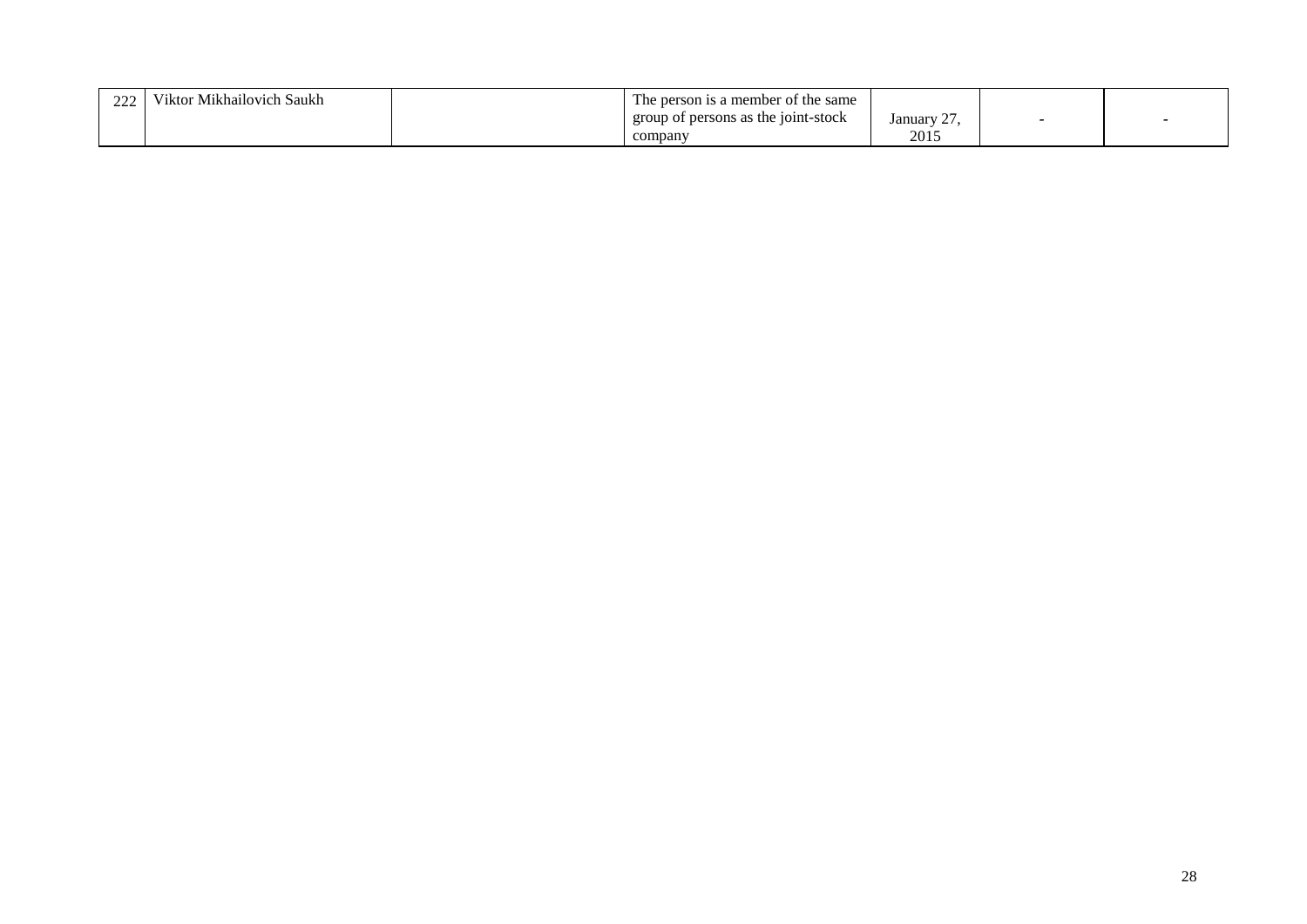| $\sim$<br>444 | $\mathbf{v}$ $\mathbf{v}$<br>Mikhailovich<br>Saukh | $\overline{\phantom{a}}$<br>s a member of the same<br>1 he r |                                |  |
|---------------|----------------------------------------------------|--------------------------------------------------------------|--------------------------------|--|
|               |                                                    | the joint-stock<br>group of persons as                       | $\sim$<br>January <sup>-</sup> |  |
|               |                                                    | company                                                      | 2015                           |  |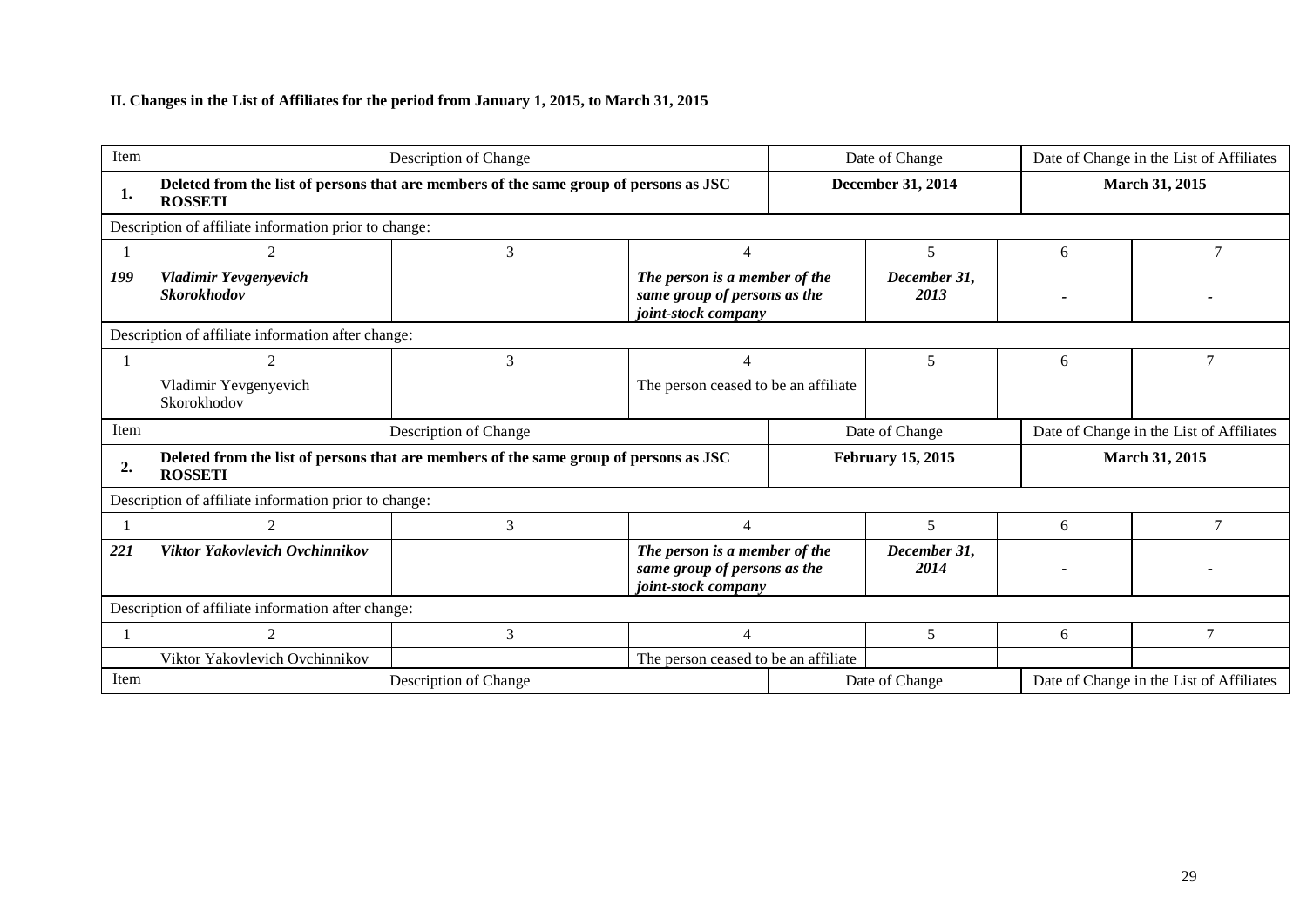## **II. Changes in the List of Affiliates for the period from January 1, 2015, to March 31, 2015**

| Item |                                                                                                         | Description of Change |                                                                                      |                | Date of Change           | Date of Change in the List of Affiliates |                                          |  |  |
|------|---------------------------------------------------------------------------------------------------------|-----------------------|--------------------------------------------------------------------------------------|----------------|--------------------------|------------------------------------------|------------------------------------------|--|--|
| 1.   | Deleted from the list of persons that are members of the same group of persons as JSC<br><b>ROSSETI</b> |                       |                                                                                      |                | December 31, 2014        |                                          | <b>March 31, 2015</b>                    |  |  |
|      | Description of affiliate information prior to change:                                                   |                       |                                                                                      |                |                          |                                          |                                          |  |  |
|      |                                                                                                         | 3                     | $\overline{4}$                                                                       |                | 5                        | 6                                        | $\tau$                                   |  |  |
| 199  | Vladimir Yevgenyevich<br><b>Skorokhodov</b>                                                             |                       | The person is a member of the<br>same group of persons as the<br>joint-stock company |                | December 31,<br>2013     |                                          |                                          |  |  |
|      | Description of affiliate information after change:                                                      |                       |                                                                                      |                |                          |                                          |                                          |  |  |
|      | $\overline{2}$                                                                                          | 3                     | $\overline{4}$                                                                       |                | 5                        | 6                                        | $\overline{7}$                           |  |  |
|      | Vladimir Yevgenyevich<br>Skorokhodov                                                                    |                       | The person ceased to be an affiliate                                                 |                |                          |                                          |                                          |  |  |
| Item |                                                                                                         | Description of Change |                                                                                      |                | Date of Change           |                                          | Date of Change in the List of Affiliates |  |  |
| 2.   | Deleted from the list of persons that are members of the same group of persons as JSC<br><b>ROSSETI</b> |                       |                                                                                      |                | <b>February 15, 2015</b> | <b>March 31, 2015</b>                    |                                          |  |  |
|      | Description of affiliate information prior to change:                                                   |                       |                                                                                      |                |                          |                                          |                                          |  |  |
|      |                                                                                                         | 3                     | 4                                                                                    |                | 5                        | 6                                        |                                          |  |  |
| 221  | Viktor Yakovlevich Ovchinnikov                                                                          |                       | The person is a member of the<br>same group of persons as the<br>joint-stock company |                | December 31,<br>2014     |                                          |                                          |  |  |
|      | Description of affiliate information after change:                                                      |                       |                                                                                      |                |                          |                                          |                                          |  |  |
|      | 2                                                                                                       | 3                     | $\Delta$                                                                             |                | 5                        | 6                                        | 7                                        |  |  |
|      | Viktor Yakovlevich Ovchinnikov                                                                          |                       | The person ceased to be an affiliate                                                 |                |                          |                                          |                                          |  |  |
| Item |                                                                                                         | Description of Change |                                                                                      | Date of Change |                          |                                          | Date of Change in the List of Affiliates |  |  |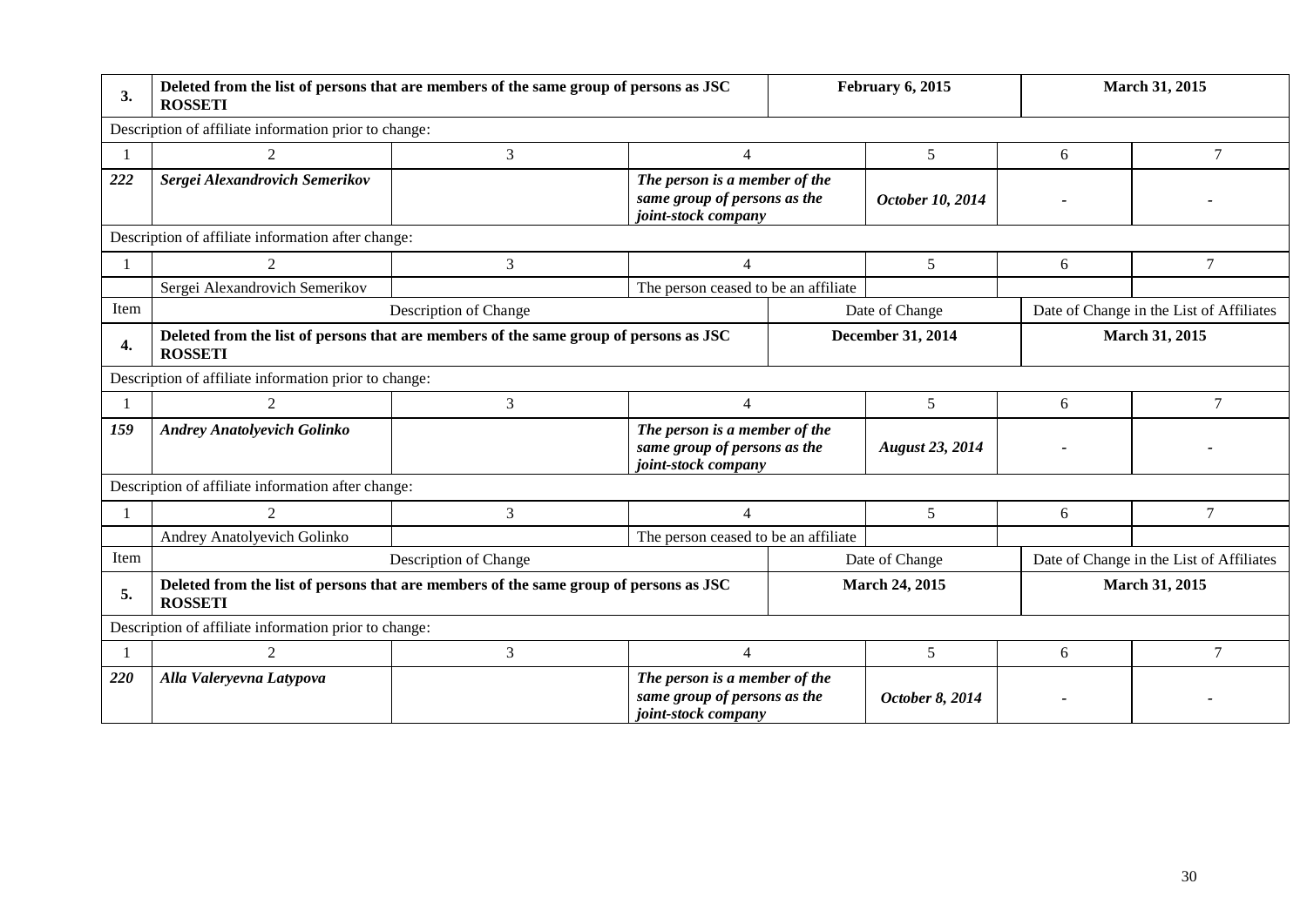| 3.   | Deleted from the list of persons that are members of the same group of persons as JSC<br><b>ROSSETI</b> |                       |                                                                                      |  | February 6, 2015       |                | March 31, 2015                           |  |  |
|------|---------------------------------------------------------------------------------------------------------|-----------------------|--------------------------------------------------------------------------------------|--|------------------------|----------------|------------------------------------------|--|--|
|      | Description of affiliate information prior to change:                                                   |                       |                                                                                      |  |                        |                |                                          |  |  |
|      |                                                                                                         | 3                     | 4                                                                                    |  | 5                      | 6              | $\overline{7}$                           |  |  |
| 222  | Sergei Alexandrovich Semerikov                                                                          |                       | The person is a member of the<br>same group of persons as the<br>joint-stock company |  | October 10, 2014       |                |                                          |  |  |
|      | Description of affiliate information after change:                                                      |                       |                                                                                      |  |                        |                |                                          |  |  |
| -1   | $\mathfrak{D}$                                                                                          | 3                     | 4                                                                                    |  | 5                      | 6              | 7                                        |  |  |
|      | Sergei Alexandrovich Semerikov                                                                          |                       | The person ceased to be an affiliate                                                 |  |                        |                |                                          |  |  |
| Item |                                                                                                         | Description of Change |                                                                                      |  | Date of Change         |                | Date of Change in the List of Affiliates |  |  |
| 4.   | Deleted from the list of persons that are members of the same group of persons as JSC<br><b>ROSSETI</b> |                       | December 31, 2014                                                                    |  |                        | March 31, 2015 |                                          |  |  |
|      | Description of affiliate information prior to change:                                                   |                       |                                                                                      |  |                        |                |                                          |  |  |
|      | $\mathfrak{D}$                                                                                          | 3                     | $\overline{4}$                                                                       |  | 5                      | 6              | 7                                        |  |  |
| 159  | <b>Andrey Anatolyevich Golinko</b>                                                                      |                       | The person is a member of the<br>same group of persons as the<br>joint-stock company |  | <b>August 23, 2014</b> |                |                                          |  |  |
|      | Description of affiliate information after change:                                                      |                       |                                                                                      |  |                        |                |                                          |  |  |
|      | $\mathcal{D}$                                                                                           | 3                     | 4                                                                                    |  | 5                      | 6              | 7                                        |  |  |
|      | Andrey Anatolyevich Golinko                                                                             |                       | The person ceased to be an affiliate                                                 |  |                        |                |                                          |  |  |
| Item |                                                                                                         | Description of Change |                                                                                      |  | Date of Change         |                | Date of Change in the List of Affiliates |  |  |
| 5.   | Deleted from the list of persons that are members of the same group of persons as JSC<br><b>ROSSETI</b> |                       |                                                                                      |  | <b>March 24, 2015</b>  |                | March 31, 2015                           |  |  |
|      | Description of affiliate information prior to change:                                                   |                       |                                                                                      |  |                        |                |                                          |  |  |
|      | $\mathcal{D}_{\mathcal{L}}$                                                                             | 3                     | $\overline{4}$                                                                       |  | 5                      | 6              | 7                                        |  |  |
| 220  | Alla Valeryevna Latypova                                                                                |                       | The person is a member of the<br>same group of persons as the<br>joint-stock company |  | October 8, 2014        |                |                                          |  |  |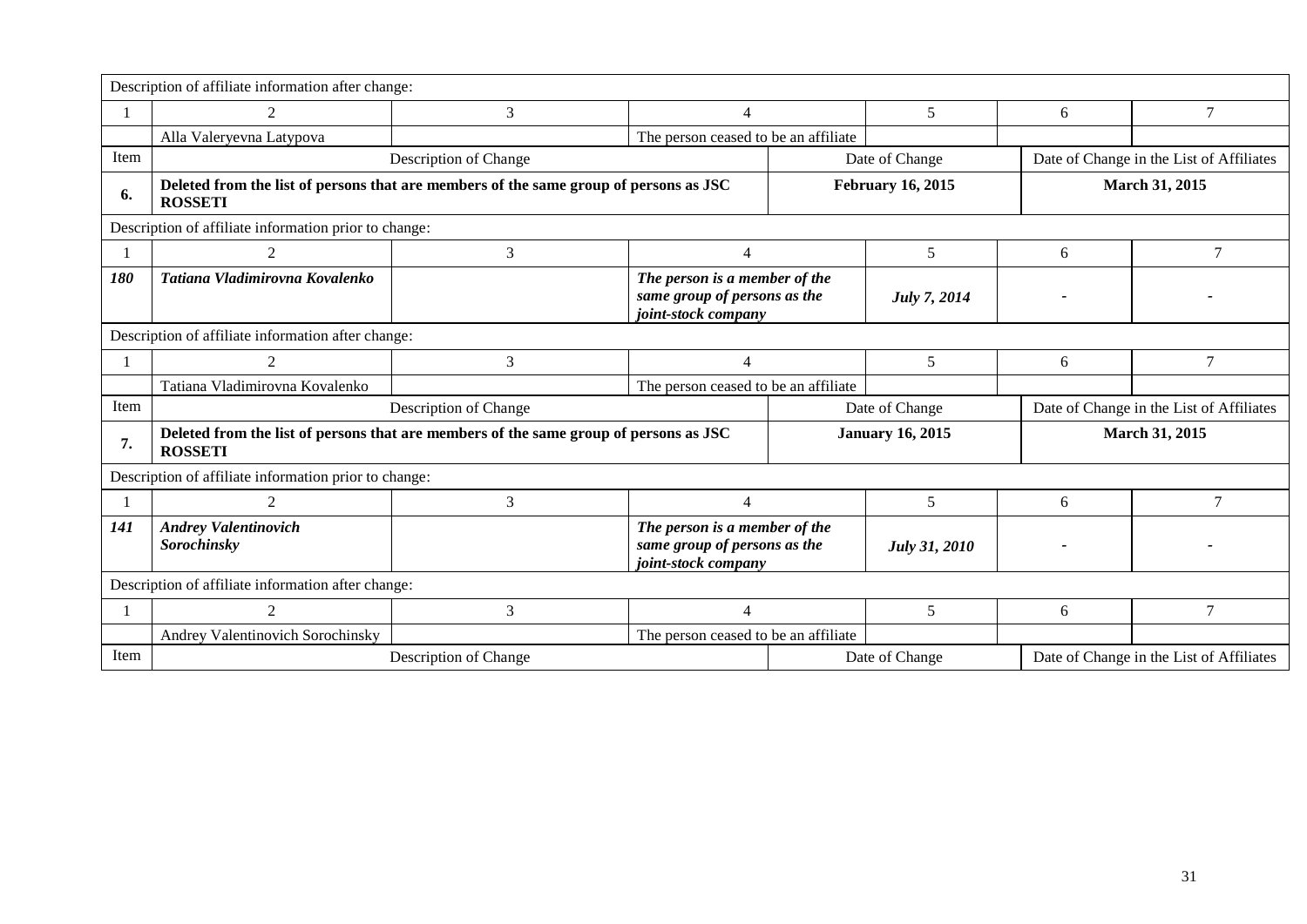|      | Description of affiliate information after change:                                                      |                       |                                                                                      |                                      |                          |                                          |                                          |  |  |
|------|---------------------------------------------------------------------------------------------------------|-----------------------|--------------------------------------------------------------------------------------|--------------------------------------|--------------------------|------------------------------------------|------------------------------------------|--|--|
|      | $\mathfrak{D}$                                                                                          | 3                     | $\overline{4}$                                                                       |                                      | 5                        | 6                                        | $\overline{7}$                           |  |  |
|      | Alla Valeryevna Latypova                                                                                |                       |                                                                                      | The person ceased to be an affiliate |                          |                                          |                                          |  |  |
| Item |                                                                                                         | Description of Change |                                                                                      |                                      | Date of Change           |                                          | Date of Change in the List of Affiliates |  |  |
| 6.   | Deleted from the list of persons that are members of the same group of persons as JSC<br><b>ROSSETI</b> |                       |                                                                                      |                                      | <b>February 16, 2015</b> |                                          | March 31, 2015                           |  |  |
|      | Description of affiliate information prior to change:                                                   |                       |                                                                                      |                                      |                          |                                          |                                          |  |  |
|      | $\mathfrak{D}$                                                                                          | 3                     | $\overline{4}$                                                                       |                                      | 5                        | 6                                        | 7                                        |  |  |
| 180  | Tatiana Vladimirovna Kovalenko                                                                          |                       | The person is a member of the<br>same group of persons as the<br>joint-stock company |                                      | July 7, 2014             |                                          |                                          |  |  |
|      | Description of affiliate information after change:                                                      |                       |                                                                                      |                                      |                          |                                          |                                          |  |  |
|      | $\mathfrak{D}$                                                                                          | 3                     | $\overline{\mathcal{A}}$                                                             |                                      | 5                        | 6                                        | $\overline{7}$                           |  |  |
|      | Tatiana Vladimirovna Kovalenko                                                                          |                       |                                                                                      | The person ceased to be an affiliate |                          |                                          |                                          |  |  |
| Item |                                                                                                         | Description of Change |                                                                                      | Date of Change                       |                          | Date of Change in the List of Affiliates |                                          |  |  |
| 7.   | Deleted from the list of persons that are members of the same group of persons as JSC<br><b>ROSSETI</b> |                       |                                                                                      | <b>January 16, 2015</b>              |                          | March 31, 2015                           |                                          |  |  |
|      | Description of affiliate information prior to change:                                                   |                       |                                                                                      |                                      |                          |                                          |                                          |  |  |
|      | 2                                                                                                       | 3                     | $\overline{4}$                                                                       |                                      | 5                        | 6                                        | 7                                        |  |  |
| 141  | <b>Andrey Valentinovich</b><br>Sorochinsky                                                              |                       | The person is a member of the<br>same group of persons as the<br>joint-stock company |                                      | July 31, 2010            |                                          |                                          |  |  |
|      | Description of affiliate information after change:                                                      |                       |                                                                                      |                                      |                          |                                          |                                          |  |  |
|      | $\mathfrak{D}$                                                                                          | 3                     | 4                                                                                    |                                      | 5                        | 6                                        | 7                                        |  |  |
|      | Andrey Valentinovich Sorochinsky                                                                        |                       |                                                                                      | The person ceased to be an affiliate |                          |                                          |                                          |  |  |
| Item |                                                                                                         | Description of Change |                                                                                      |                                      | Date of Change           |                                          | Date of Change in the List of Affiliates |  |  |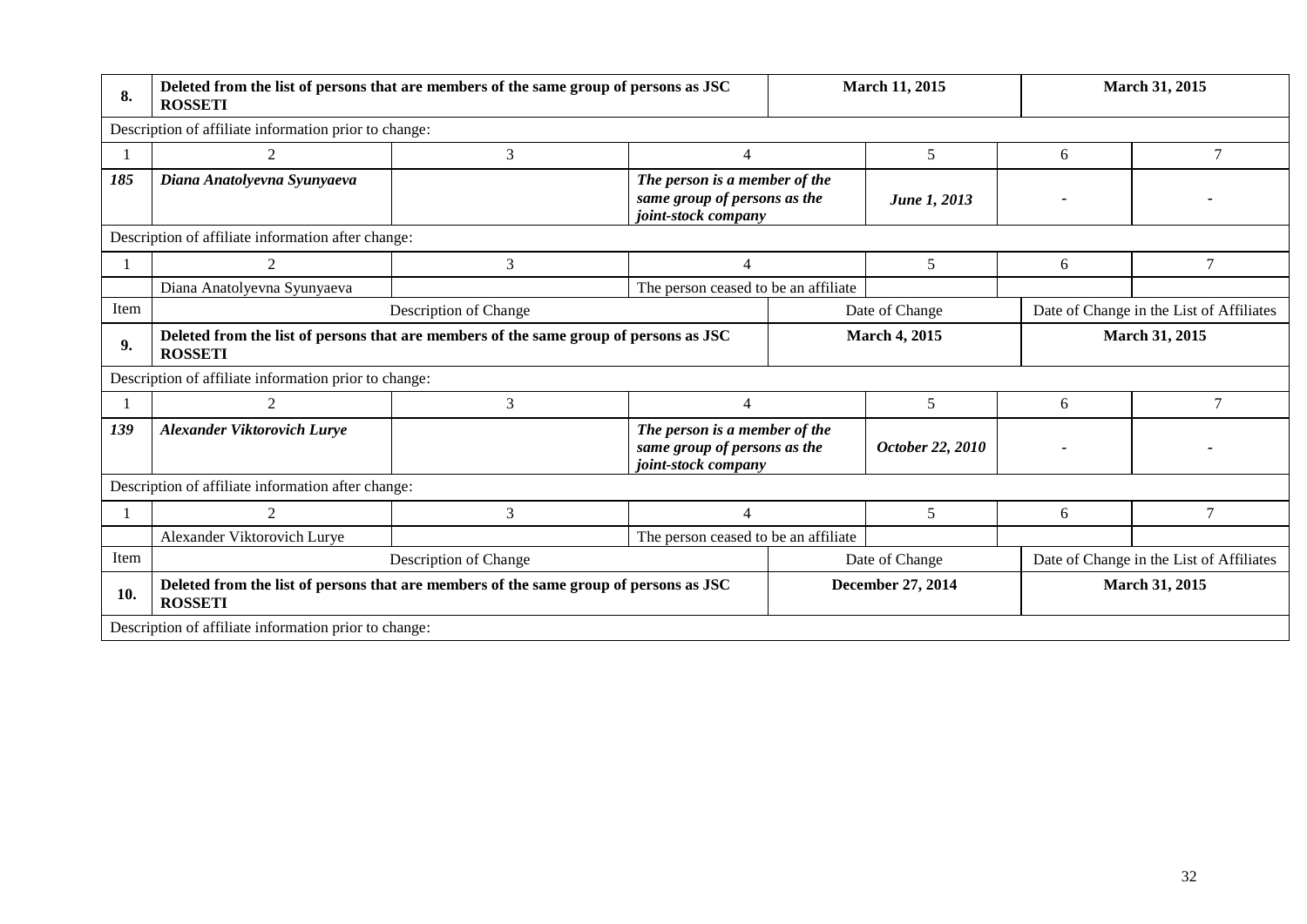| 8.   | <b>ROSSETI</b>                                                                                          | Deleted from the list of persons that are members of the same group of persons as JSC | March 11, 2015                                                                       |  |                          | March 31, 2015                           |                                          |
|------|---------------------------------------------------------------------------------------------------------|---------------------------------------------------------------------------------------|--------------------------------------------------------------------------------------|--|--------------------------|------------------------------------------|------------------------------------------|
|      | Description of affiliate information prior to change:                                                   |                                                                                       |                                                                                      |  |                          |                                          |                                          |
|      | 2                                                                                                       | 3                                                                                     | 4                                                                                    |  | 5                        | 6                                        | 7                                        |
| 185  | Diana Anatolyevna Syunyaeva                                                                             |                                                                                       | The person is a member of the<br>same group of persons as the<br>joint-stock company |  | June 1, 2013             |                                          |                                          |
|      | Description of affiliate information after change:                                                      |                                                                                       |                                                                                      |  |                          |                                          |                                          |
|      | $\mathfrak{D}$                                                                                          | 3                                                                                     | $\overline{\mathcal{A}}$                                                             |  | 5                        | 6                                        | $\overline{7}$                           |
|      | Diana Anatolyevna Syunyaeva                                                                             |                                                                                       | The person ceased to be an affiliate                                                 |  |                          |                                          |                                          |
| Item |                                                                                                         | Description of Change<br>Date of Change                                               |                                                                                      |  |                          | Date of Change in the List of Affiliates |                                          |
| 9.   | Deleted from the list of persons that are members of the same group of persons as JSC<br><b>ROSSETI</b> |                                                                                       |                                                                                      |  | <b>March 4, 2015</b>     |                                          | March 31, 2015                           |
|      | Description of affiliate information prior to change:                                                   |                                                                                       |                                                                                      |  |                          |                                          |                                          |
|      | $\overline{2}$                                                                                          | 3                                                                                     | 4                                                                                    |  | 5                        | 6                                        | 7                                        |
| 139  | <b>Alexander Viktorovich Lurye</b>                                                                      |                                                                                       | The person is a member of the<br>same group of persons as the<br>joint-stock company |  | October 22, 2010         |                                          |                                          |
|      | Description of affiliate information after change:                                                      |                                                                                       |                                                                                      |  |                          |                                          |                                          |
|      | $\overline{2}$                                                                                          | 3                                                                                     | $\overline{\mathcal{A}}$                                                             |  | 5                        | 6                                        | $\overline{7}$                           |
|      | Alexander Viktorovich Lurye                                                                             |                                                                                       | The person ceased to be an affiliate                                                 |  |                          |                                          |                                          |
| Item |                                                                                                         | Description of Change                                                                 |                                                                                      |  | Date of Change           |                                          | Date of Change in the List of Affiliates |
| 10.  | <b>ROSSETI</b>                                                                                          | Deleted from the list of persons that are members of the same group of persons as JSC |                                                                                      |  | <b>December 27, 2014</b> |                                          | March 31, 2015                           |
|      | Description of affiliate information prior to change:                                                   |                                                                                       |                                                                                      |  |                          |                                          |                                          |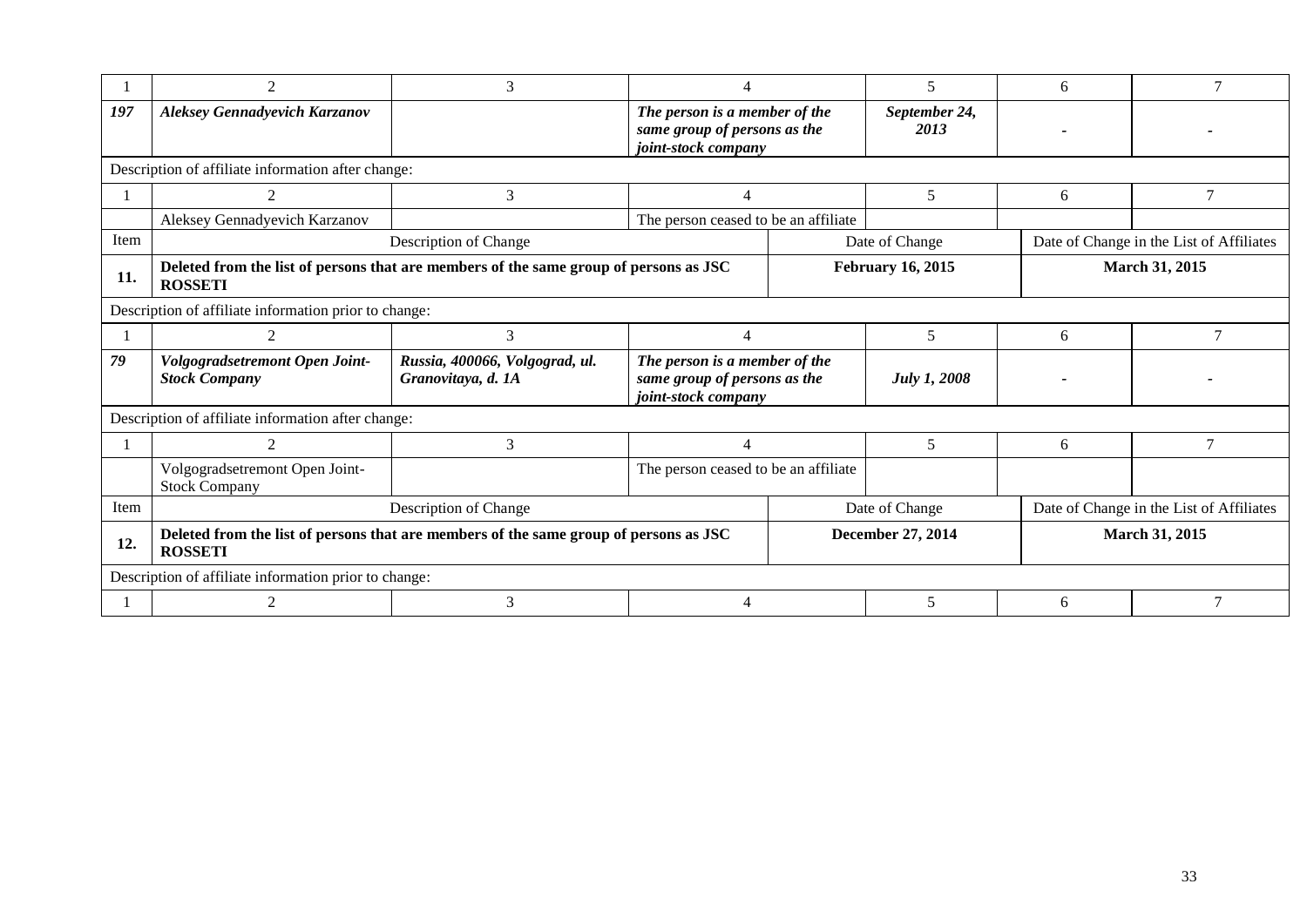|      | 2                                                                                                                                   | 3                                                    |                                                                                      |                          | 5                     | 6              |                                          |  |  |
|------|-------------------------------------------------------------------------------------------------------------------------------------|------------------------------------------------------|--------------------------------------------------------------------------------------|--------------------------|-----------------------|----------------|------------------------------------------|--|--|
|      |                                                                                                                                     |                                                      |                                                                                      |                          |                       |                |                                          |  |  |
| 197  | <b>Aleksey Gennadyevich Karzanov</b>                                                                                                |                                                      | The person is a member of the<br>same group of persons as the                        |                          | September 24,<br>2013 |                |                                          |  |  |
|      |                                                                                                                                     |                                                      | joint-stock company                                                                  |                          |                       |                |                                          |  |  |
|      | Description of affiliate information after change:                                                                                  |                                                      |                                                                                      |                          |                       |                |                                          |  |  |
|      | $\mathcal{D}_{\mathcal{L}}$                                                                                                         | 3                                                    | $\overline{4}$                                                                       |                          | 5                     | 6              | $\overline{7}$                           |  |  |
|      | Aleksey Gennadyevich Karzanov                                                                                                       |                                                      | The person ceased to be an affiliate                                                 |                          |                       |                |                                          |  |  |
| Item |                                                                                                                                     | Description of Change                                |                                                                                      |                          | Date of Change        |                | Date of Change in the List of Affiliates |  |  |
| 11.  | Deleted from the list of persons that are members of the same group of persons as JSC<br><b>February 16, 2015</b><br><b>ROSSETI</b> |                                                      |                                                                                      |                          |                       | March 31, 2015 |                                          |  |  |
|      | Description of affiliate information prior to change:                                                                               |                                                      |                                                                                      |                          |                       |                |                                          |  |  |
|      |                                                                                                                                     | 3                                                    | 4                                                                                    |                          | 5                     | 6              | 7                                        |  |  |
| 79   | Volgogradsetremont Open Joint-<br><b>Stock Company</b>                                                                              | Russia, 400066, Volgograd, ul.<br>Granovitaya, d. 1A | The person is a member of the<br>same group of persons as the<br>joint-stock company |                          | <b>July 1, 2008</b>   |                |                                          |  |  |
|      | Description of affiliate information after change:                                                                                  |                                                      |                                                                                      |                          |                       |                |                                          |  |  |
|      | $\mathcal{L}$                                                                                                                       | 3                                                    | $\overline{\mathcal{A}}$                                                             |                          | 5                     | 6              | 7                                        |  |  |
|      | Volgogradsetremont Open Joint-<br><b>Stock Company</b>                                                                              |                                                      | The person ceased to be an affiliate                                                 |                          |                       |                |                                          |  |  |
| Item |                                                                                                                                     | Description of Change                                |                                                                                      |                          | Date of Change        |                | Date of Change in the List of Affiliates |  |  |
| 12.  | Deleted from the list of persons that are members of the same group of persons as JSC<br><b>ROSSETI</b>                             |                                                      |                                                                                      | <b>December 27, 2014</b> |                       | March 31, 2015 |                                          |  |  |
|      | Description of affiliate information prior to change:                                                                               |                                                      |                                                                                      |                          |                       |                |                                          |  |  |
|      |                                                                                                                                     | 3                                                    | 4                                                                                    |                          | 5                     | 6              |                                          |  |  |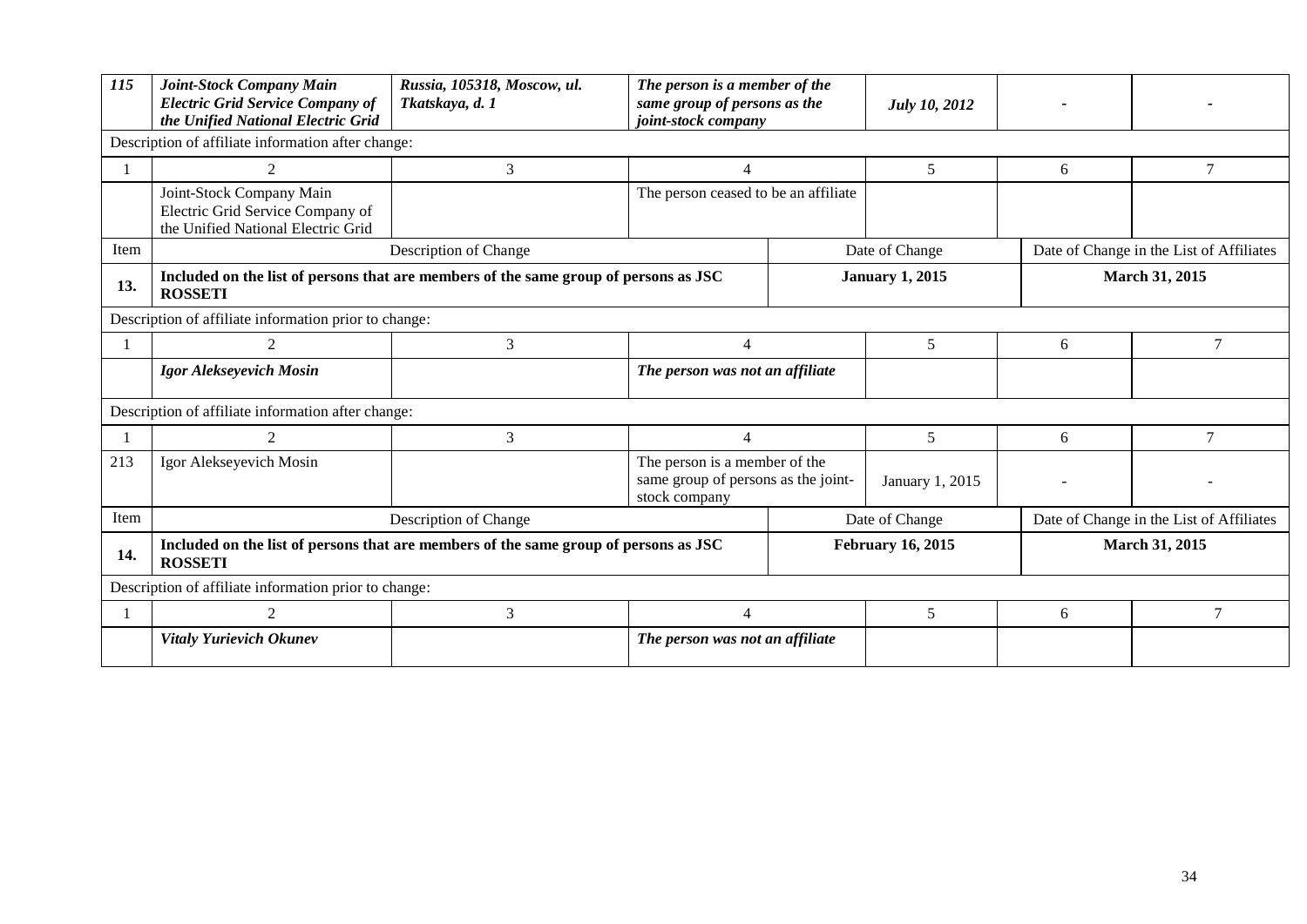| 115  | Joint-Stock Company Main<br><b>Electric Grid Service Company of</b><br>the Unified National Electric Grid | Russia, 105318, Moscow, ul.<br>Tkatskaya, d. 1 | The person is a member of the<br>same group of persons as the<br>joint-stock company  |                | <b>July 10, 2012</b>     |   |                                          |  |  |
|------|-----------------------------------------------------------------------------------------------------------|------------------------------------------------|---------------------------------------------------------------------------------------|----------------|--------------------------|---|------------------------------------------|--|--|
|      | Description of affiliate information after change:                                                        |                                                |                                                                                       |                |                          |   |                                          |  |  |
|      | 2                                                                                                         | 3                                              | $\overline{4}$                                                                        |                | 5                        | 6 | 7                                        |  |  |
|      | Joint-Stock Company Main<br>Electric Grid Service Company of<br>the Unified National Electric Grid        |                                                | The person ceased to be an affiliate                                                  |                |                          |   |                                          |  |  |
| Item |                                                                                                           | Description of Change                          |                                                                                       | Date of Change |                          |   | Date of Change in the List of Affiliates |  |  |
| 13.  | Included on the list of persons that are members of the same group of persons as JSC<br><b>ROSSETI</b>    |                                                | <b>January 1, 2015</b>                                                                |                |                          |   | <b>March 31, 2015</b>                    |  |  |
|      | Description of affiliate information prior to change:                                                     |                                                |                                                                                       |                |                          |   |                                          |  |  |
|      | $\mathcal{D}_{\mathcal{L}}$                                                                               | 3                                              | $\Lambda$                                                                             |                | 5                        | 6 | 7                                        |  |  |
|      | Igor Alekseyevich Mosin                                                                                   |                                                | The person was not an affiliate                                                       |                |                          |   |                                          |  |  |
|      | Description of affiliate information after change:                                                        |                                                |                                                                                       |                |                          |   |                                          |  |  |
|      | $\mathcal{L}$                                                                                             | 3                                              | $\overline{4}$                                                                        |                | 5                        | 6 | 7                                        |  |  |
| 213  | Igor Alekseyevich Mosin                                                                                   |                                                | The person is a member of the<br>same group of persons as the joint-<br>stock company |                | January 1, 2015          |   |                                          |  |  |
| Item |                                                                                                           | Description of Change                          |                                                                                       |                | Date of Change           |   | Date of Change in the List of Affiliates |  |  |
| 14.  | Included on the list of persons that are members of the same group of persons as JSC<br><b>ROSSETI</b>    |                                                |                                                                                       |                | <b>February 16, 2015</b> |   | <b>March 31, 2015</b>                    |  |  |
|      | Description of affiliate information prior to change:                                                     |                                                |                                                                                       |                |                          |   |                                          |  |  |
|      | $\mathcal{D}_{\mathcal{L}}$                                                                               | 3                                              | $\Delta$                                                                              |                | 5                        | 6 | 7                                        |  |  |
|      | <b>Vitaly Yurievich Okunev</b>                                                                            |                                                | The person was not an affiliate                                                       |                |                          |   |                                          |  |  |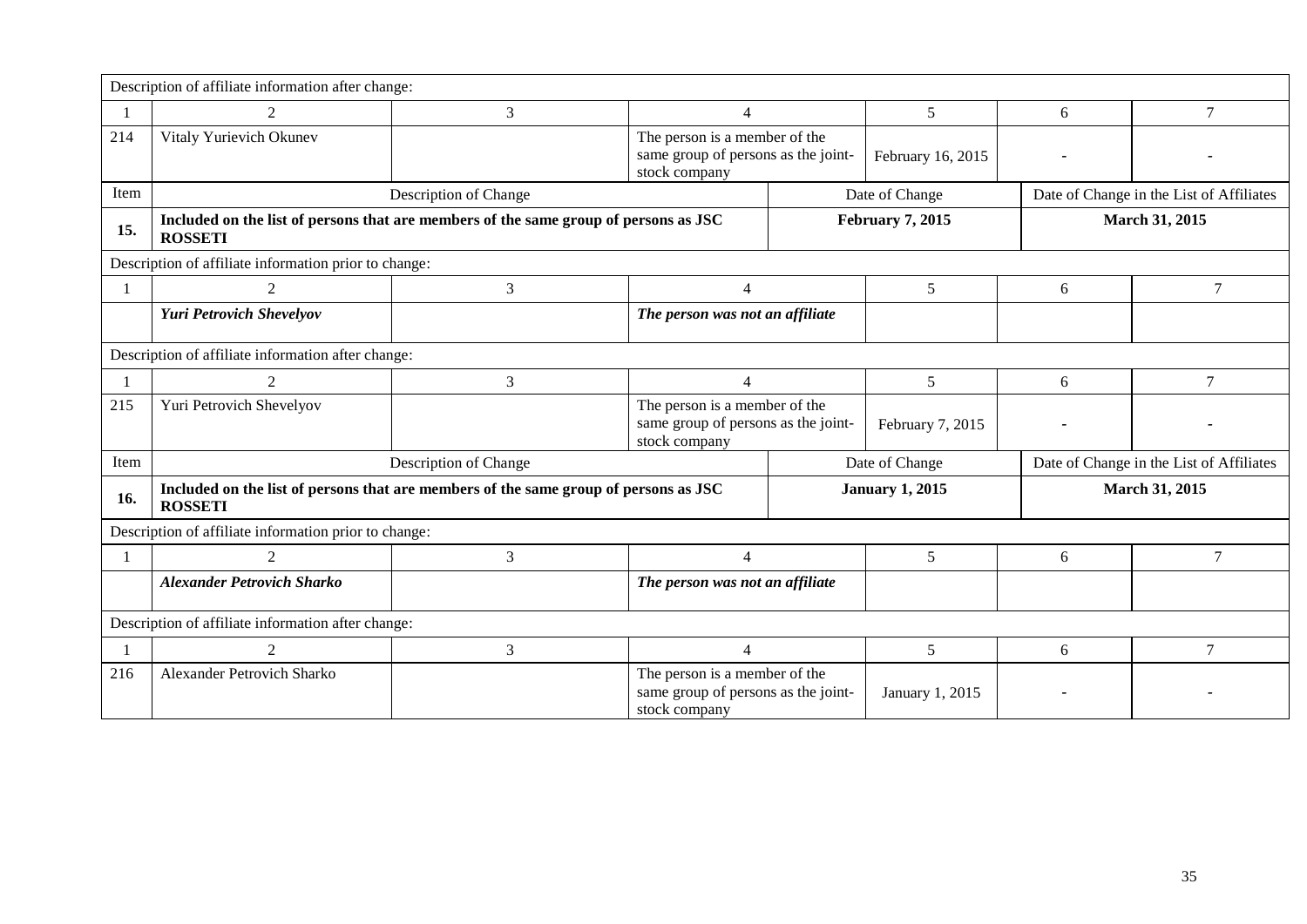|                                                    | Description of affiliate information after change:                                                     |                       |                                                                                       |                         |                   |                                          |                                          |  |
|----------------------------------------------------|--------------------------------------------------------------------------------------------------------|-----------------------|---------------------------------------------------------------------------------------|-------------------------|-------------------|------------------------------------------|------------------------------------------|--|
|                                                    | $\mathcal{D}$                                                                                          | 3                     | $\overline{4}$                                                                        |                         | 5                 | 6                                        | $\overline{7}$                           |  |
| 214                                                | Vitaly Yurievich Okunev                                                                                |                       | The person is a member of the<br>same group of persons as the joint-<br>stock company |                         | February 16, 2015 |                                          |                                          |  |
| Item                                               |                                                                                                        | Description of Change |                                                                                       | Date of Change          |                   | Date of Change in the List of Affiliates |                                          |  |
| 15.                                                | Included on the list of persons that are members of the same group of persons as JSC<br><b>ROSSETI</b> |                       |                                                                                       | <b>February 7, 2015</b> |                   | <b>March 31, 2015</b>                    |                                          |  |
|                                                    | Description of affiliate information prior to change:                                                  |                       |                                                                                       |                         |                   |                                          |                                          |  |
|                                                    | $\mathcal{D}_{\mathcal{L}}$                                                                            | 3                     | $\overline{\mathcal{A}}$                                                              |                         | 5                 | 6                                        | 7                                        |  |
|                                                    | <b>Yuri Petrovich Shevelyov</b>                                                                        |                       | The person was not an affiliate                                                       |                         |                   |                                          |                                          |  |
| Description of affiliate information after change: |                                                                                                        |                       |                                                                                       |                         |                   |                                          |                                          |  |
|                                                    | $\mathcal{D}_{\alpha}$                                                                                 | 3                     | $\overline{4}$                                                                        |                         | 5                 | 6                                        | $\overline{7}$                           |  |
| 215                                                | Yuri Petrovich Shevelyov                                                                               |                       | The person is a member of the<br>same group of persons as the joint-<br>stock company |                         | February 7, 2015  |                                          |                                          |  |
| Item                                               | Date of Change<br>Description of Change                                                                |                       |                                                                                       |                         |                   |                                          | Date of Change in the List of Affiliates |  |
| 16.                                                | Included on the list of persons that are members of the same group of persons as JSC<br><b>ROSSETI</b> |                       |                                                                                       | <b>January 1, 2015</b>  |                   | March 31, 2015                           |                                          |  |
|                                                    | Description of affiliate information prior to change:                                                  |                       |                                                                                       |                         |                   |                                          |                                          |  |
|                                                    | $\mathcal{D}_{\mathcal{L}}$                                                                            | 3                     | $\overline{4}$                                                                        |                         | 5                 | 6                                        | 7                                        |  |
|                                                    | <b>Alexander Petrovich Sharko</b>                                                                      |                       | The person was not an affiliate                                                       |                         |                   |                                          |                                          |  |
| Description of affiliate information after change: |                                                                                                        |                       |                                                                                       |                         |                   |                                          |                                          |  |
|                                                    | $\mathcal{D}_{\alpha}$                                                                                 | 3                     | $\overline{4}$                                                                        |                         | 5                 | 6                                        | $\tau$                                   |  |
| 216                                                | <b>Alexander Petrovich Sharko</b>                                                                      |                       | The person is a member of the<br>same group of persons as the joint-<br>stock company |                         | January 1, 2015   |                                          |                                          |  |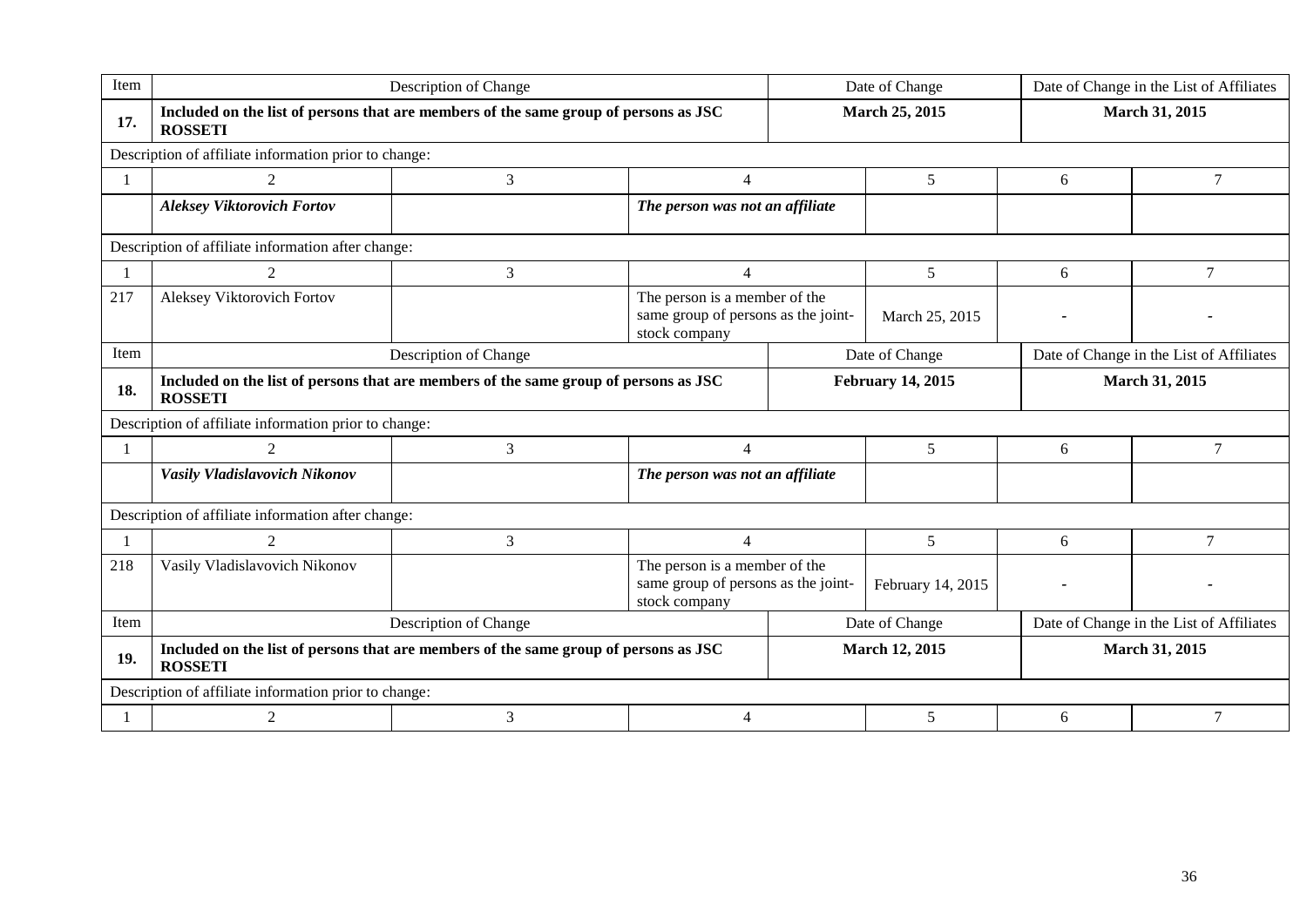| Item                                                  | Description of Change                                                                                  |   |                                                                                       | Date of Change           |                   | Date of Change in the List of Affiliates |                |  |  |
|-------------------------------------------------------|--------------------------------------------------------------------------------------------------------|---|---------------------------------------------------------------------------------------|--------------------------|-------------------|------------------------------------------|----------------|--|--|
| 17.                                                   | Included on the list of persons that are members of the same group of persons as JSC<br><b>ROSSETI</b> |   |                                                                                       | March 25, 2015           |                   | March 31, 2015                           |                |  |  |
| Description of affiliate information prior to change: |                                                                                                        |   |                                                                                       |                          |                   |                                          |                |  |  |
| $\overline{1}$                                        | $\overline{2}$                                                                                         | 3 | $\overline{4}$                                                                        |                          | 5                 | 6                                        | 7              |  |  |
|                                                       | <b>Aleksey Viktorovich Fortov</b>                                                                      |   | The person was not an affiliate                                                       |                          |                   |                                          |                |  |  |
|                                                       | Description of affiliate information after change:                                                     |   |                                                                                       |                          |                   |                                          |                |  |  |
|                                                       | 2                                                                                                      | 3 | $\overline{4}$                                                                        |                          | 5                 | 6                                        | 7              |  |  |
| 217                                                   | Aleksey Viktorovich Fortov                                                                             |   | The person is a member of the<br>same group of persons as the joint-<br>stock company |                          | March 25, 2015    |                                          |                |  |  |
| Item                                                  | Description of Change                                                                                  |   |                                                                                       | Date of Change           |                   | Date of Change in the List of Affiliates |                |  |  |
| 18.                                                   | Included on the list of persons that are members of the same group of persons as JSC<br><b>ROSSETI</b> |   |                                                                                       | <b>February 14, 2015</b> |                   |                                          | March 31, 2015 |  |  |
|                                                       | Description of affiliate information prior to change:                                                  |   |                                                                                       |                          |                   |                                          |                |  |  |
|                                                       | $\mathfrak{D}$                                                                                         | 3 | $\overline{A}$                                                                        |                          | 5                 | 6                                        | $\tau$         |  |  |
|                                                       | Vasily Vladislavovich Nikonov                                                                          |   | The person was not an affiliate                                                       |                          |                   |                                          |                |  |  |
|                                                       | Description of affiliate information after change:                                                     |   |                                                                                       |                          |                   |                                          |                |  |  |
|                                                       | 2                                                                                                      | 3 | $\overline{4}$                                                                        |                          | 5                 | 6                                        | $\tau$         |  |  |
| 218                                                   | Vasily Vladislavovich Nikonov                                                                          |   | The person is a member of the<br>same group of persons as the joint-<br>stock company |                          | February 14, 2015 |                                          |                |  |  |
| Item                                                  | Description of Change                                                                                  |   |                                                                                       | Date of Change           |                   | Date of Change in the List of Affiliates |                |  |  |
| 19.                                                   | Included on the list of persons that are members of the same group of persons as JSC<br><b>ROSSETI</b> |   |                                                                                       | March 12, 2015           |                   | March 31, 2015                           |                |  |  |
| Description of affiliate information prior to change: |                                                                                                        |   |                                                                                       |                          |                   |                                          |                |  |  |
|                                                       | 3<br>2<br>$\overline{4}$                                                                               |   |                                                                                       |                          | 5                 | 6                                        |                |  |  |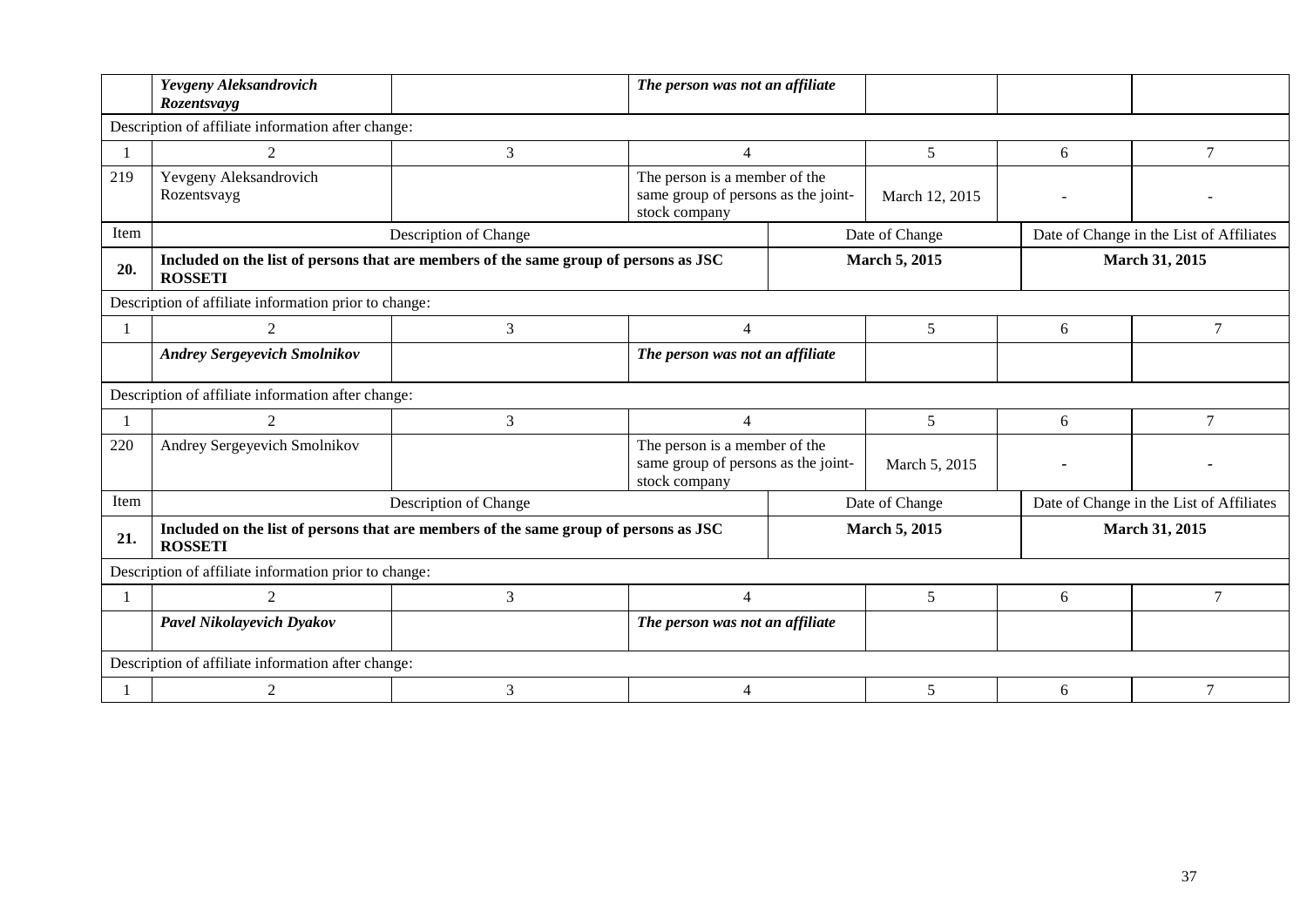|                                                       | Yevgeny Aleksandrovich<br>Rozentsvayg                                                                  |                                                                                      | The person was not an affiliate                                                       |                      |                      |   |                                          |  |  |  |
|-------------------------------------------------------|--------------------------------------------------------------------------------------------------------|--------------------------------------------------------------------------------------|---------------------------------------------------------------------------------------|----------------------|----------------------|---|------------------------------------------|--|--|--|
| Description of affiliate information after change:    |                                                                                                        |                                                                                      |                                                                                       |                      |                      |   |                                          |  |  |  |
|                                                       | 2                                                                                                      | 3                                                                                    | $\Lambda$                                                                             |                      | 5                    | 6 | $\tau$                                   |  |  |  |
| 219                                                   | Yevgeny Aleksandrovich<br>Rozentsvayg                                                                  |                                                                                      | The person is a member of the<br>same group of persons as the joint-<br>stock company |                      | March 12, 2015       |   |                                          |  |  |  |
| Item                                                  |                                                                                                        | Description of Change                                                                |                                                                                       |                      | Date of Change       |   | Date of Change in the List of Affiliates |  |  |  |
| 20.                                                   | <b>ROSSETI</b>                                                                                         | Included on the list of persons that are members of the same group of persons as JSC |                                                                                       |                      | <b>March 5, 2015</b> |   | March 31, 2015                           |  |  |  |
|                                                       | Description of affiliate information prior to change:                                                  |                                                                                      |                                                                                       |                      |                      |   |                                          |  |  |  |
|                                                       | 2                                                                                                      | 3                                                                                    | $\overline{4}$                                                                        |                      | 5                    | 6 | 7                                        |  |  |  |
|                                                       | <b>Andrey Sergeyevich Smolnikov</b>                                                                    |                                                                                      | The person was not an affiliate                                                       |                      |                      |   |                                          |  |  |  |
|                                                       | Description of affiliate information after change:                                                     |                                                                                      |                                                                                       |                      |                      |   |                                          |  |  |  |
|                                                       | 2                                                                                                      | 3                                                                                    | $\overline{4}$                                                                        |                      | 5                    | 6 | 7                                        |  |  |  |
| 220                                                   | Andrey Sergeyevich Smolnikov                                                                           |                                                                                      | The person is a member of the<br>same group of persons as the joint-<br>stock company |                      | March 5, 2015        |   |                                          |  |  |  |
| Item                                                  |                                                                                                        | Description of Change                                                                |                                                                                       |                      | Date of Change       |   | Date of Change in the List of Affiliates |  |  |  |
| 21.                                                   | Included on the list of persons that are members of the same group of persons as JSC<br><b>ROSSETI</b> |                                                                                      |                                                                                       | <b>March 5, 2015</b> |                      |   | March 31, 2015                           |  |  |  |
| Description of affiliate information prior to change: |                                                                                                        |                                                                                      |                                                                                       |                      |                      |   |                                          |  |  |  |
|                                                       | 2                                                                                                      | 3                                                                                    | $\overline{4}$                                                                        |                      | 5                    | 6 | 7                                        |  |  |  |
|                                                       | Pavel Nikolayevich Dyakov                                                                              |                                                                                      | The person was not an affiliate                                                       |                      |                      |   |                                          |  |  |  |
| Description of affiliate information after change:    |                                                                                                        |                                                                                      |                                                                                       |                      |                      |   |                                          |  |  |  |
|                                                       | 2                                                                                                      | 3                                                                                    | $\boldsymbol{\varDelta}$                                                              |                      | 5                    | 6 |                                          |  |  |  |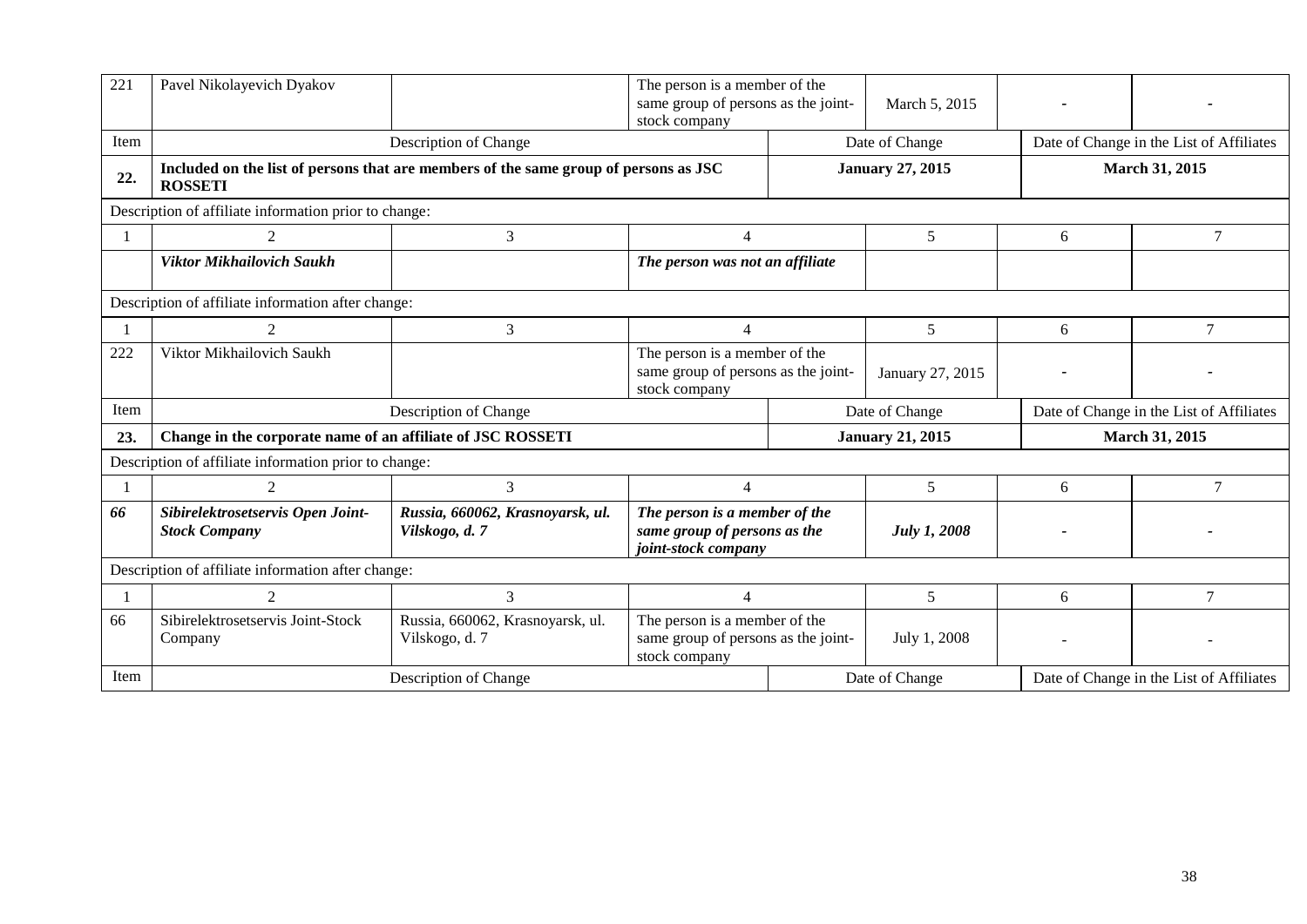| 221                                                | Pavel Nikolayevich Dyakov                                                                              |                                                    | The person is a member of the<br>same group of persons as the joint-<br>stock company |                                                            | March 5, 2015         |                                          |        |  |  |  |
|----------------------------------------------------|--------------------------------------------------------------------------------------------------------|----------------------------------------------------|---------------------------------------------------------------------------------------|------------------------------------------------------------|-----------------------|------------------------------------------|--------|--|--|--|
| Item                                               | Description of Change                                                                                  |                                                    |                                                                                       | Date of Change                                             |                       | Date of Change in the List of Affiliates |        |  |  |  |
| 22.                                                | Included on the list of persons that are members of the same group of persons as JSC<br><b>ROSSETI</b> |                                                    | <b>January 27, 2015</b>                                                               |                                                            | <b>March 31, 2015</b> |                                          |        |  |  |  |
|                                                    | Description of affiliate information prior to change:                                                  |                                                    |                                                                                       |                                                            |                       |                                          |        |  |  |  |
|                                                    | 3                                                                                                      |                                                    |                                                                                       | 5                                                          |                       | 6                                        | 7      |  |  |  |
|                                                    | Viktor Mikhailovich Saukh                                                                              |                                                    | The person was not an affiliate                                                       |                                                            |                       |                                          |        |  |  |  |
|                                                    | Description of affiliate information after change:                                                     |                                                    |                                                                                       |                                                            |                       |                                          |        |  |  |  |
|                                                    | $\mathcal{L}$                                                                                          | 3                                                  | $\Delta$                                                                              |                                                            | 5                     | 6                                        | 7      |  |  |  |
| 222                                                | Viktor Mikhailovich Saukh                                                                              |                                                    | The person is a member of the<br>same group of persons as the joint-<br>stock company |                                                            | January 27, 2015      |                                          |        |  |  |  |
| Item                                               | Date of Change<br>Date of Change in the List of Affiliates<br>Description of Change                    |                                                    |                                                                                       |                                                            |                       |                                          |        |  |  |  |
| 23.                                                | Change in the corporate name of an affiliate of JSC ROSSETI                                            |                                                    |                                                                                       | <b>January 21, 2015</b>                                    |                       | <b>March 31, 2015</b>                    |        |  |  |  |
|                                                    | Description of affiliate information prior to change:                                                  |                                                    |                                                                                       |                                                            |                       |                                          |        |  |  |  |
|                                                    |                                                                                                        | 3                                                  | $\overline{4}$                                                                        |                                                            | 5                     | 6                                        | $\tau$ |  |  |  |
| 66                                                 | Sibirelektrosetservis Open Joint-<br><b>Stock Company</b>                                              | Russia, 660062, Krasnoyarsk, ul.<br>Vilskogo, d. 7 | The person is a member of the<br>same group of persons as the<br>joint-stock company  |                                                            | <b>July 1, 2008</b>   |                                          |        |  |  |  |
| Description of affiliate information after change: |                                                                                                        |                                                    |                                                                                       |                                                            |                       |                                          |        |  |  |  |
|                                                    | $\mathfrak{D}$                                                                                         | 3                                                  |                                                                                       |                                                            | 5                     | 6                                        | 7      |  |  |  |
| 66                                                 | Sibirelektrosetservis Joint-Stock<br>Company                                                           | Russia, 660062, Krasnoyarsk, ul.<br>Vilskogo, d. 7 | The person is a member of the<br>same group of persons as the joint-<br>stock company |                                                            | July 1, 2008          |                                          |        |  |  |  |
| Item                                               | Description of Change                                                                                  |                                                    |                                                                                       | Date of Change<br>Date of Change in the List of Affiliates |                       |                                          |        |  |  |  |